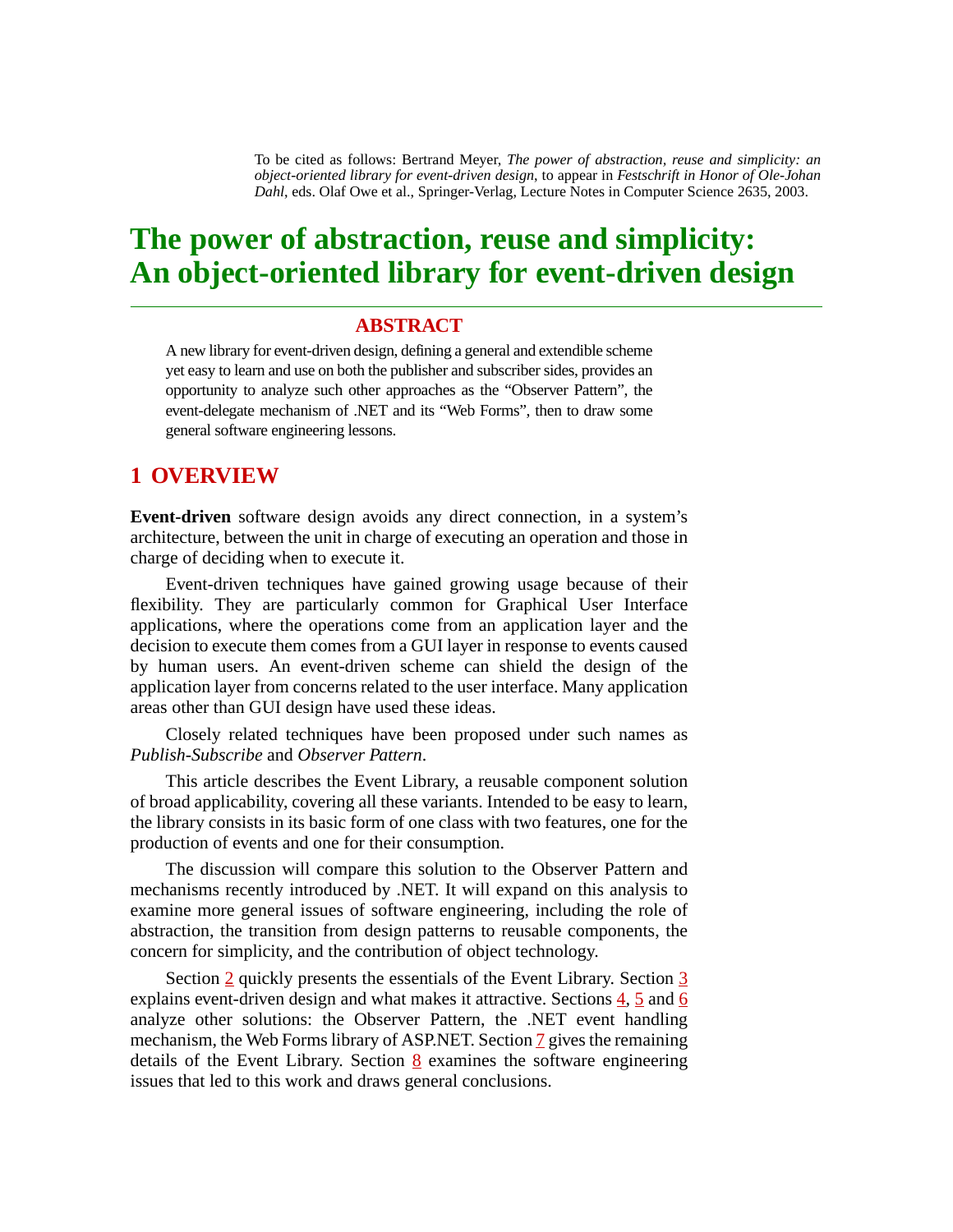To be cited as follows: Bertrand Meyer, *The power of abstraction, reuse and simplicity: an object-oriented library for event-driven design*, to appear in *Festschrift in Honor of Ole-Johan Dahl*, eds. Olaf Owe et al., Springer-Verlag, Lecture Notes in Computer Science 2635, 2003.

# **The power of abstraction, reuse and simplicity: An object-oriented library for event-driven design**

#### **ABSTRACT**

A new library for event-driven design, defining a general and extendible scheme yet easy to learn and use on both the publisher and subscriber sides, provides an opportunity to analyze such other approaches as the "Observer Pattern", the event-delegate mechanism of .NET and its "Web Forms", then to draw some general software engineering lessons.

# **1 OVERVIEW**

**Event-driven** software design avoids any direct connection, in a system's architecture, between the unit in charge of executing an operation and those in charge of deciding when to execute it.

Event-driven techniques have gained growing usage because of their flexibility. They are particularly common for Graphical User Interface applications, where the operations come from an application layer and the decision to execute them comes from a GUI layer in response to events caused by human users. An event-driven scheme can shield the design of the application layer from concerns related to the user interface. Many application areas other than GUI design have used these ideas.

Closely related techniques have been proposed under such names as *Publish-Subscribe* and *Observer Pattern*.

This article describes the Event Library, a reusable component solution of broad applicability, covering all these variants. Intended to be easy to learn, the library consists in its basic form of one class with two features, one for the production of events and one for their consumption.

The discussion will compare this solution to the Observer Pattern and mechanisms recently introduced by .NET. It will expand on this analysis to examine more general issues of software engineering, including the role of abstraction, the transition from design patterns to reusable components, the concern for simplicity, and the contribution of object technology.

Section [2](#page-1-0) quickly presents the essentials of the Event Library. Section [3](#page-3-0) explains event-driven design and what makes it attractive. Sections  $\frac{4}{1}$  $\frac{4}{1}$  $\frac{4}{1}$ ,  $\frac{5}{2}$  $\frac{5}{2}$  $\frac{5}{2}$  and  $\frac{6}{2}$  $\frac{6}{2}$  $\frac{6}{2}$ analyze other solutions: the Observer Pattern, the .NET event handling mechanism, the Web Forms library of ASP.NET. Section [7](#page-33-0) gives the remaining details of the Event Library. Section  $\frac{8}{9}$  $\frac{8}{9}$  $\frac{8}{9}$  examines the software engineering issues that led to this work and draws general conclusions.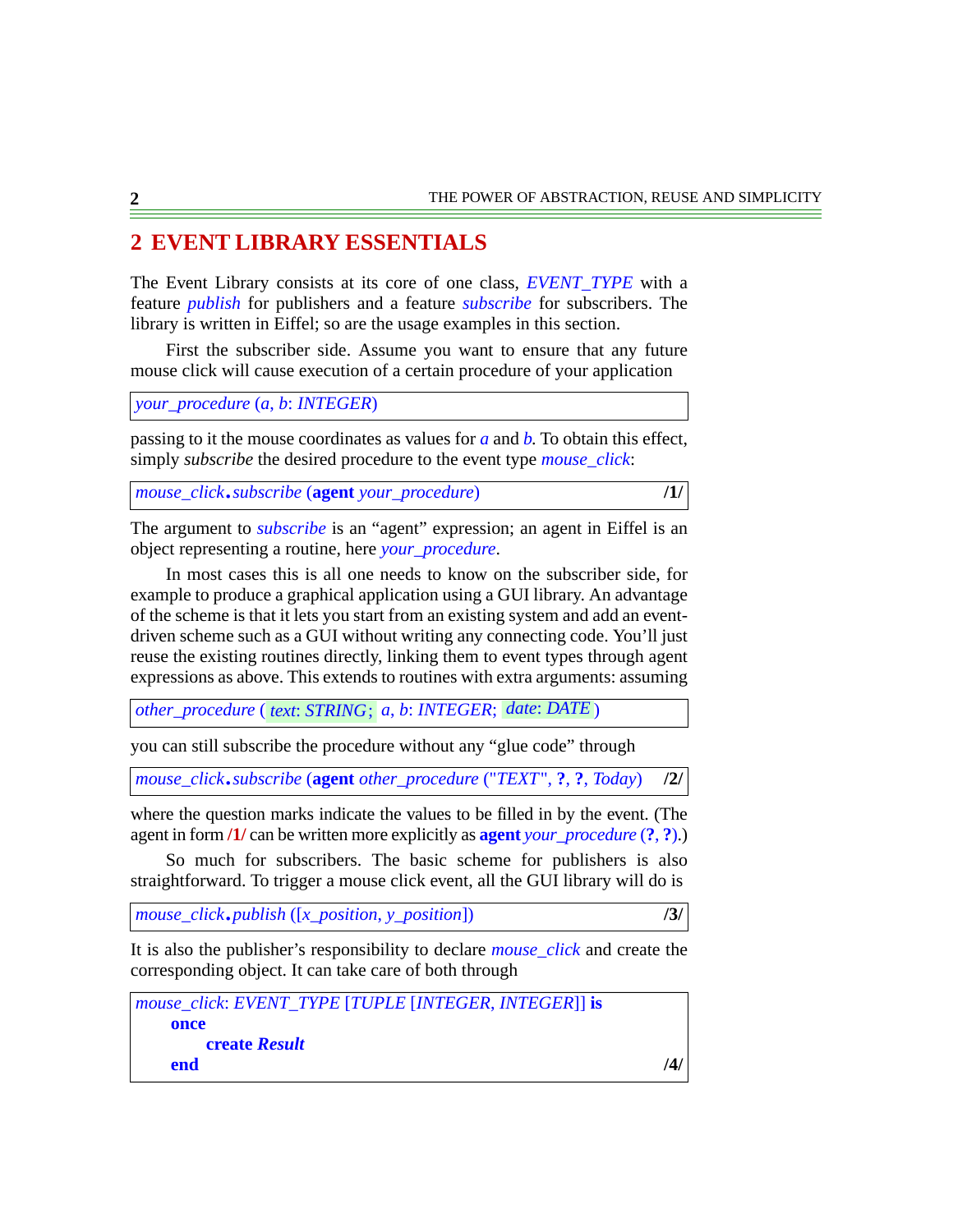# <span id="page-1-0"></span>**2 EVENT LIBRARY ESSENTIALS**

The Event Library consists at its core of one class, *EVENT\_TYPE* with a feature *publish* for publishers and a feature *subscribe* for subscribers. The library is written in Eiffel; so are the usage examples in this section.

First the subscriber side. Assume you want to ensure that any future mouse click will cause execution of a certain procedure of your application

*your\_procedure* (*a*, *b*: *INTEGER*)

passing to it the mouse coordinates as values for *a* and *b*. To obtain this effect, simply *subscribe* the desired procedure to the event type *mouse\_click*:

<span id="page-1-1"></span>*mouse\_click*.*subscribe* (**agent** *your\_procedure*) **/1/**

The argument to *subscribe* is an "agent" expression; an agent in Eiffel is an object representing a routine, here *your\_procedure*.

In most cases this is all one needs to know on the subscriber side, for example to produce a graphical application using a GUI library. An advantage of the scheme is that it lets you start from an existing system and add an eventdriven scheme such as a GUI without writing any connecting code. You'll just reuse the existing routines directly, linking them to event types through agent expressions as above. This extends to routines with extra arguments: assuming

*other\_procedure* (*text: STRING*; *a, b: INTEGER*; *date: DATE*)

you can still subscribe the procedure without any "glue code" through

<span id="page-1-2"></span>*mouse\_click*.*subscribe* (**agent** *other\_procedure* ("*TEXT*", **?**, **?**, *Today*) **/2/**

where the question marks indicate the values to be filled in by the event. (The agent in form **[/1/](#page-1-1)** can be written more explicitly as **agent** *your\_procedure* (**?**, **?**).)

So much for subscribers. The basic scheme for publishers is also straightforward. To trigger a mouse click event, all the GUI library will do is

<span id="page-1-3"></span>*mouse\_click*.*publish* ([*x\_position*, *y\_position*]) **/3/**

It is also the publisher's responsibility to declare *mouse\_click* and create the corresponding object. It can take care of both through

| mouse click: EVENT TYPE [TUPLE [INTEGER, INTEGER]] is |
|-------------------------------------------------------|
|                                                       |
|                                                       |
| /4/                                                   |
|                                                       |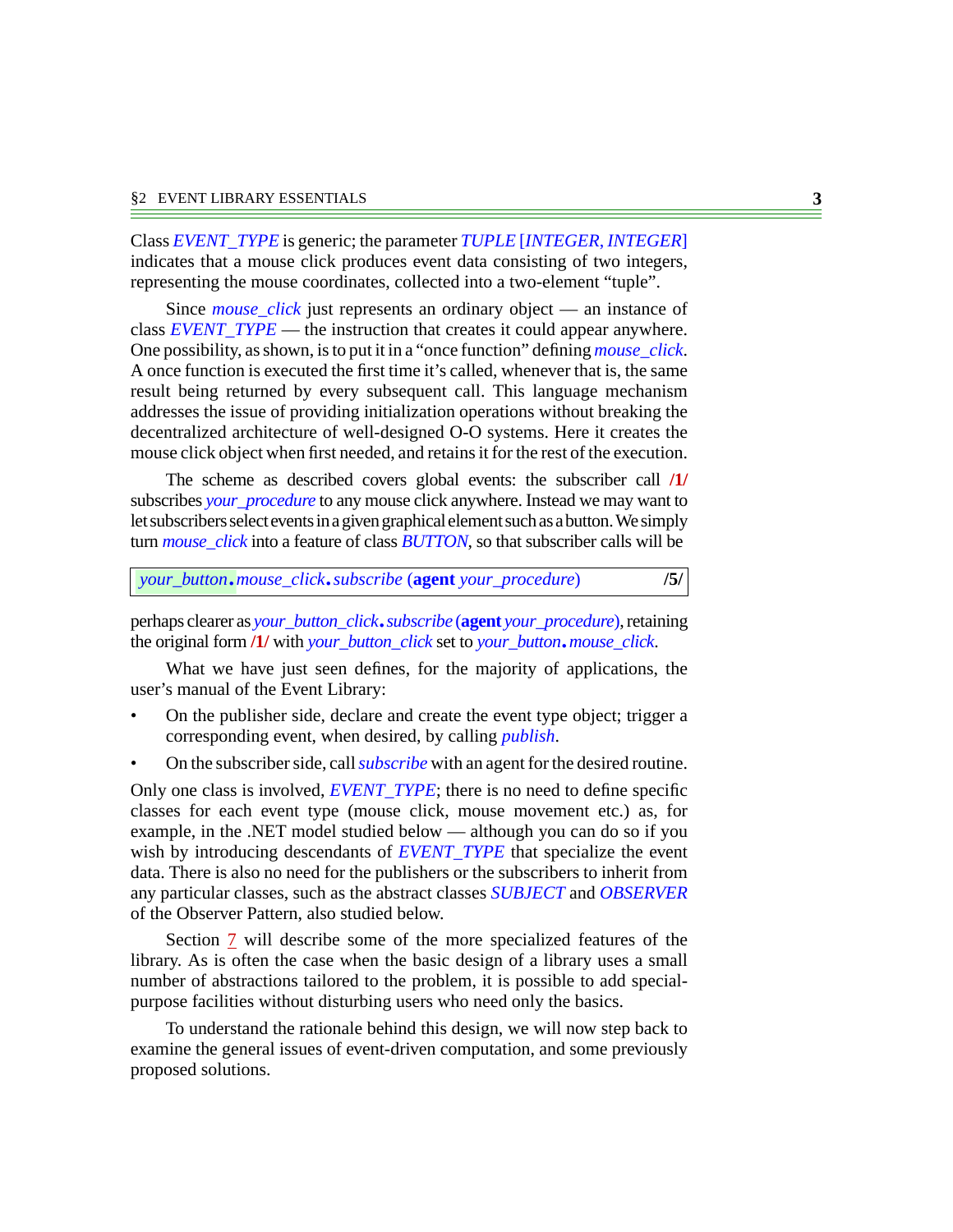Class *EVENT\_TYPE* is generic; the parameter *TUPLE* [*INTEGER*, *INTEGER*] indicates that a mouse click produces event data consisting of two integers, representing the mouse coordinates, collected into a two-element "tuple".

Since *mouse\_click* just represents an ordinary object — an instance of class *EVENT* TYPE — the instruction that creates it could appear anywhere. One possibility, as shown, is to put it in a "once function" defining *mouse\_click*. A once function is executed the first time it's called, whenever that is, the same result being returned by every subsequent call. This language mechanism addresses the issue of providing initialization operations without breaking the decentralized architecture of well-designed O-O systems. Here it creates the mouse click object when first needed, and retains it for the rest of the execution.

The scheme as described covers global events: the subscriber call **[/1/](#page-1-1)** subscribes *your\_procedure* to any mouse click anywhere. Instead we may want to let subscribers select events in a given graphical element such as a button. We simply turn *mouse\_click* into a feature of class *BUTTON*, so that subscriber calls will be

<span id="page-2-0"></span>*your\_button*.*mouse\_click*.*subscribe* (**agent** *your\_procedure*) **/5/**

perhaps clearer as *your\_button\_click*.*subscribe* (**agent** *your\_procedure*), retaining the original form **[/1/](#page-1-1)** with *your\_button\_click* set to *your\_button*.*mouse\_click*.

What we have just seen defines, for the majority of applications, the user's manual of the Event Library:

- On the publisher side, declare and create the event type object; trigger a corresponding event, when desired, by calling *publish*.
- On the subscriber side, call*subscribe* with an agent for the desired routine.

Only one class is involved, *EVENT\_TYPE*; there is no need to define specific classes for each event type (mouse click, mouse movement etc.) as, for example, in the .NET model studied below — although you can do so if you wish by introducing descendants of *EVENT\_TYPE* that specialize the event data. There is also no need for the publishers or the subscribers to inherit from any particular classes, such as the abstract classes *SUBJECT* and *OBSERVER* of the Observer Pattern, also studied below.

Section  $\overline{1}$  will describe some of the more specialized features of the library. As is often the case when the basic design of a library uses a small number of abstractions tailored to the problem, it is possible to add specialpurpose facilities without disturbing users who need only the basics.

To understand the rationale behind this design, we will now step back to examine the general issues of event-driven computation, and some previously proposed solutions.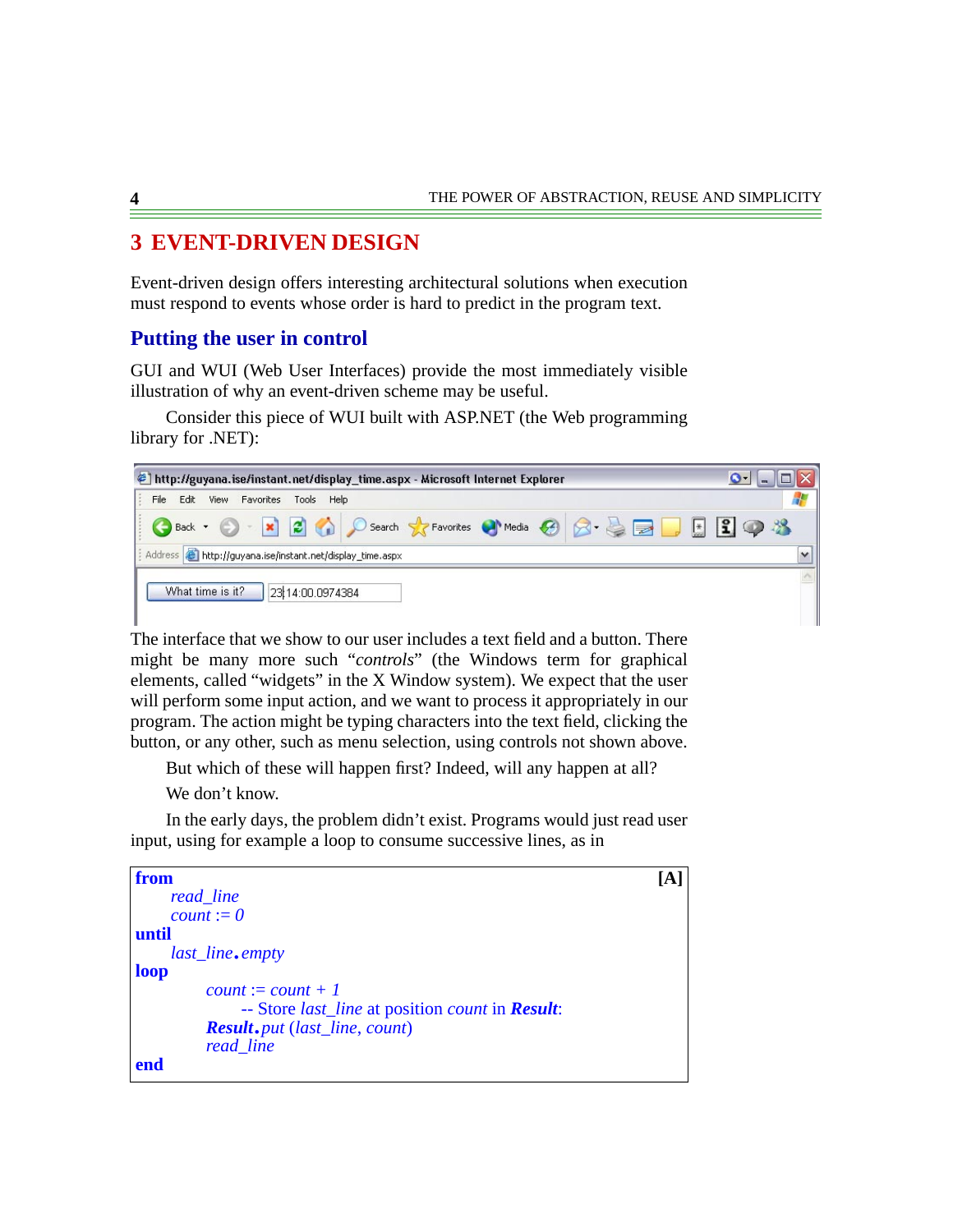# <span id="page-3-0"></span>**3 EVENT-DRIVEN DESIGN**

Event-driven design offers interesting architectural solutions when execution must respond to events whose order is hard to predict in the program text.

# **Putting the user in control**

GUI and WUI (Web User Interfaces) provide the most immediately visible illustration of why an event-driven scheme may be useful.

Consider this piece of WUI built with ASP.NET (the Web programming library for .NET):



The interface that we show to our user includes a text field and a button. There might be many more such "*controls*" (the Windows term for graphical elements, called "widgets" in the X Window system). We expect that the user will perform some input action, and we want to process it appropriately in our program. The action might be typing characters into the text field, clicking the button, or any other, such as menu selection, using controls not shown above.

But which of these will happen first? Indeed, will any happen at all?

We don't know.

In the early days, the problem didn't exist. Programs would just read user input, using for example a loop to consume successive lines, as in

```
from [A]
   read_line
   count := 0
until
   last_line.empty
loop
       count := count + 1
          -- Store last_line at position count in Result:
      Result.put (last_line, count)
       read_line
end
```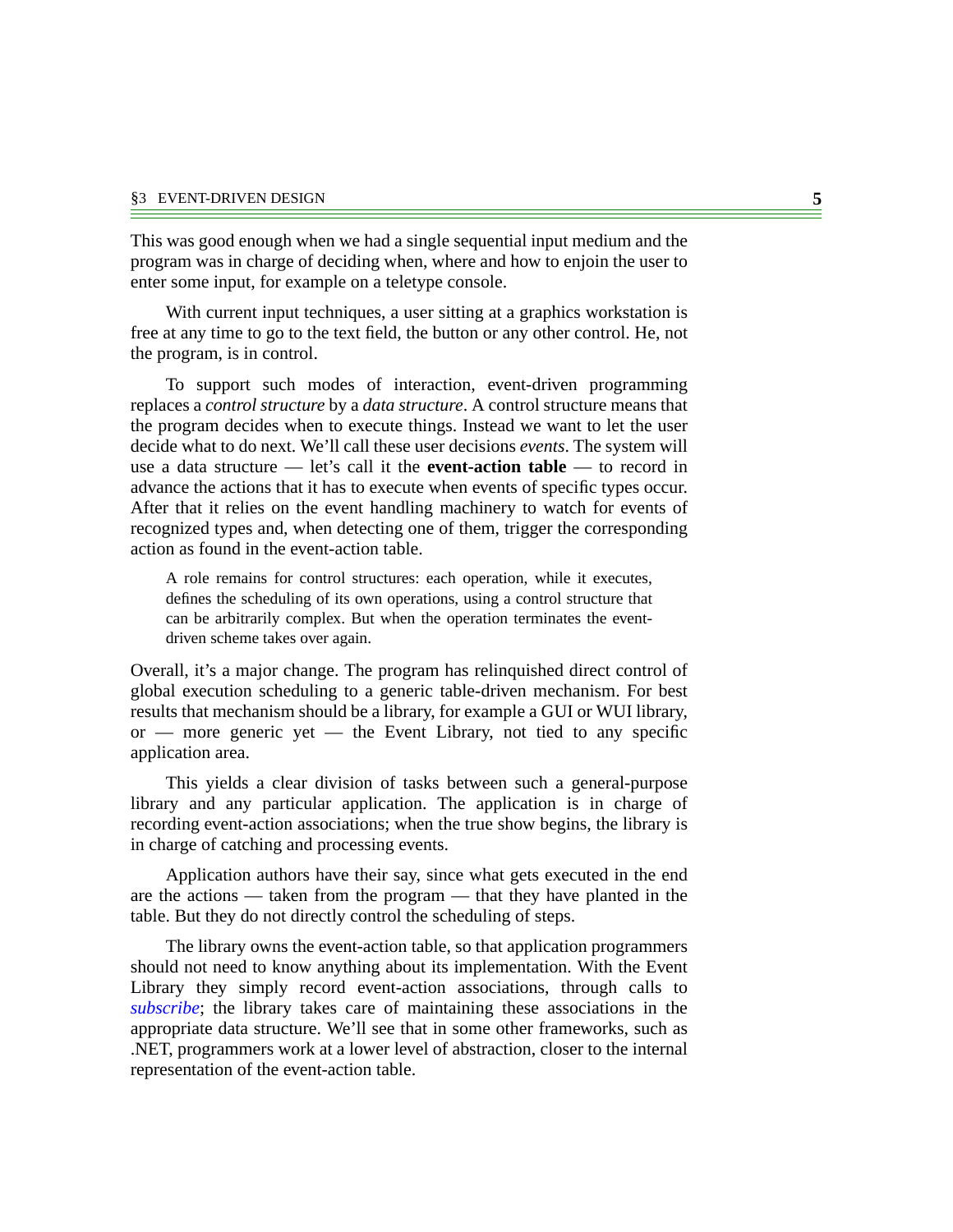This was good enough when we had a single sequential input medium and the program was in charge of deciding when, where and how to enjoin the user to enter some input, for example on a teletype console.

With current input techniques, a user sitting at a graphics workstation is free at any time to go to the text field, the button or any other control. He, not the program, is in control.

To support such modes of interaction, event-driven programming replaces a *control structure* by a *data structure*. A control structure means that the program decides when to execute things. Instead we want to let the user decide what to do next. We'll call these user decisions *events*. The system will use a data structure — let's call it the **event-action table** — to record in advance the actions that it has to execute when events of specific types occur. After that it relies on the event handling machinery to watch for events of recognized types and, when detecting one of them, trigger the corresponding action as found in the event-action table.

A role remains for control structures: each operation, while it executes, defines the scheduling of its own operations, using a control structure that can be arbitrarily complex. But when the operation terminates the eventdriven scheme takes over again.

Overall, it's a major change. The program has relinquished direct control of global execution scheduling to a generic table-driven mechanism. For best results that mechanism should be a library, for example a GUI or WUI library,  $or$  — more generic yet — the Event Library, not tied to any specific application area.

This yields a clear division of tasks between such a general-purpose library and any particular application. The application is in charge of recording event-action associations; when the true show begins, the library is in charge of catching and processing events.

Application authors have their say, since what gets executed in the end are the actions — taken from the program — that they have planted in the table. But they do not directly control the scheduling of steps.

The library owns the event-action table, so that application programmers should not need to know anything about its implementation. With the Event Library they simply record event-action associations, through calls to *subscribe*; the library takes care of maintaining these associations in the appropriate data structure. We'll see that in some other frameworks, such as .NET, programmers work at a lower level of abstraction, closer to the internal representation of the event-action table.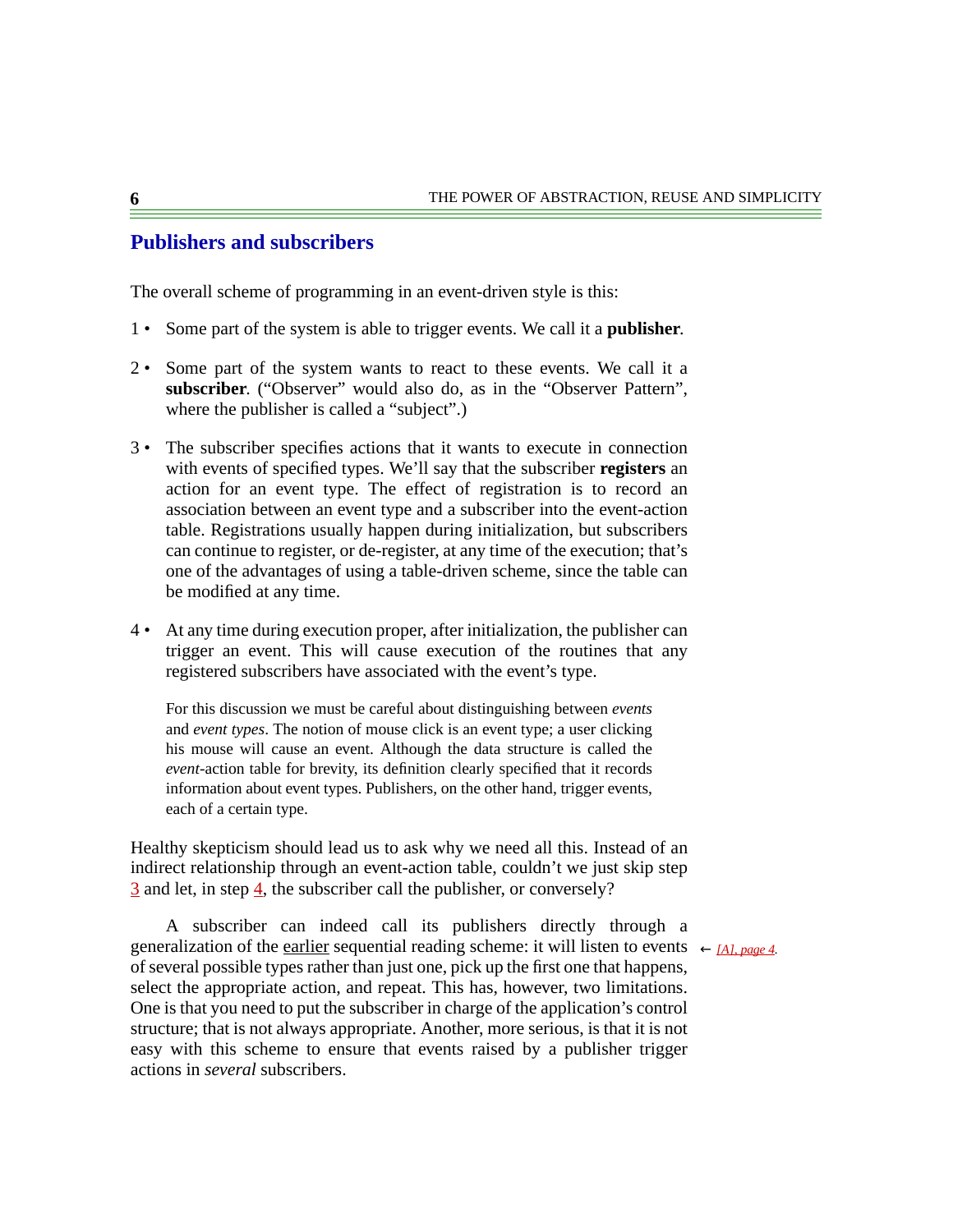### **Publishers and subscribers**

The overall scheme of programming in an event-driven style is this:

- 1 Some part of the system is able to trigger events. We call it a **publisher**.
- 2 Some part of the system wants to react to these events. We call it a **subscriber**. ("Observer" would also do, as in the "Observer Pattern", where the publisher is called a "subject".)
- <span id="page-5-0"></span>3 • The subscriber specifies actions that it wants to execute in connection with events of specified types. We'll say that the subscriber **registers** an action for an event type. The effect of registration is to record an association between an event type and a subscriber into the event-action table. Registrations usually happen during initialization, but subscribers can continue to register, or de-register, at any time of the execution; that's one of the advantages of using a table-driven scheme, since the table can be modified at any time.
- <span id="page-5-1"></span>4 • At any time during execution proper, after initialization, the publisher can trigger an event. This will cause execution of the routines that any registered subscribers have associated with the event's type.

For this discussion we must be careful about distinguishing between *events* and *event types*. The notion of mouse click is an event type; a user clicking his mouse will cause an event. Although the data structure is called the *event*-action table for brevity, its definition clearly specified that it records information about event types. Publishers, on the other hand, trigger events, each of a certain type.

Healthy skepticism should lead us to ask why we need all this. Instead of an indirect relationship through an event-action table, couldn't we just skip step [3](#page-5-0) and let, in step [4,](#page-5-1) the subscriber call the publisher, or conversely?

A subscriber can indeed call its publishers directly through a generalization of the earlier sequential reading scheme: it will listen to events  $\leftarrow$  [\[A\], page 4.](#page-3-1) of several possible types rather than just one, pick up the first one that happens, select the appropriate action, and repeat. This has, however, two limitations. One is that you need to put the subscriber in charge of the application's control structure; that is not always appropriate. Another, more serious, is that it is not easy with this scheme to ensure that events raised by a publisher trigger actions in *several* subscribers.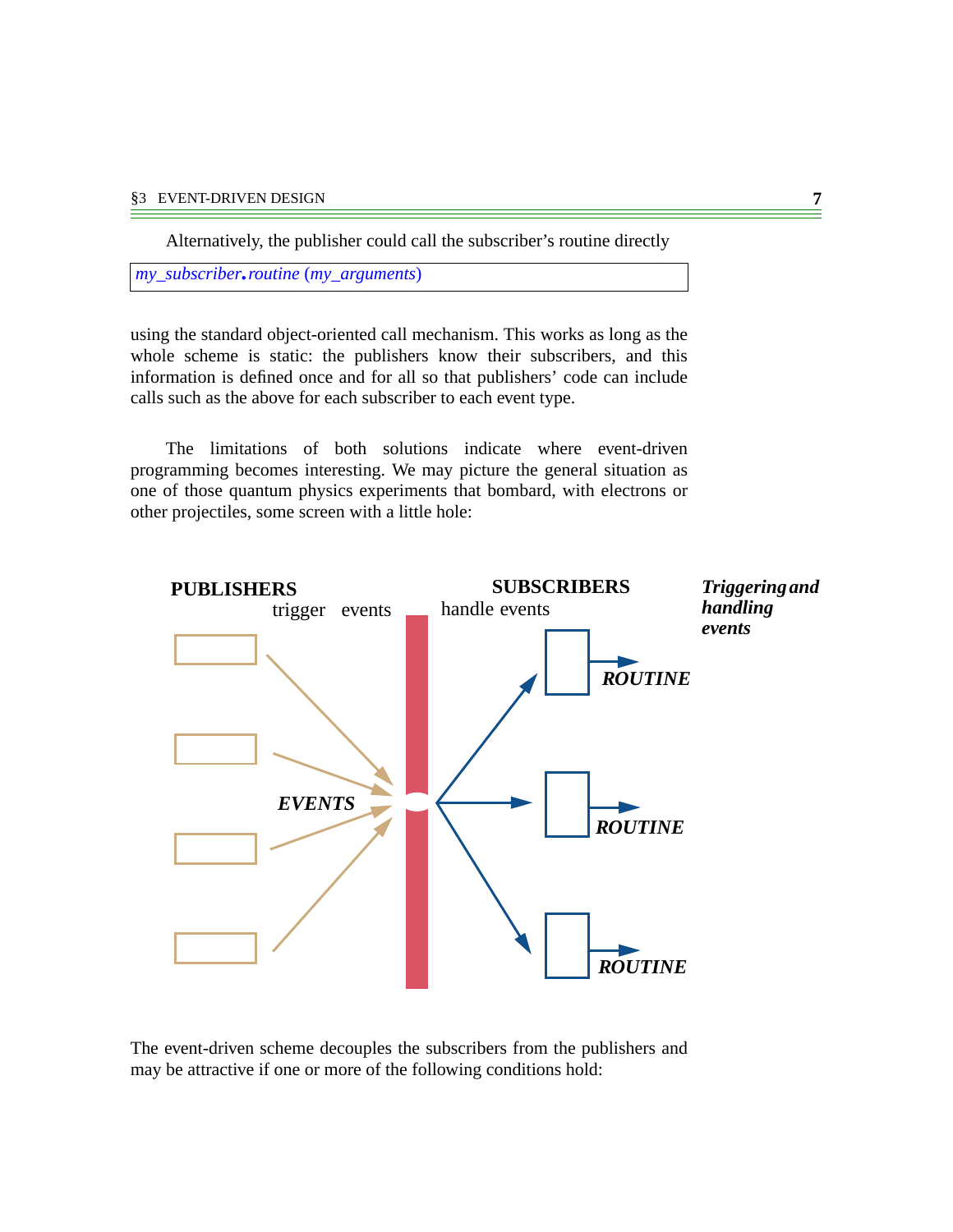Alternatively, the publisher could call the subscriber's routine directly

*my\_subscriber*.*routine* (*my\_arguments*)

using the standard object-oriented call mechanism. This works as long as the whole scheme is static: the publishers know their subscribers, and this information is defined once and for all so that publishers' code can include calls such as the above for each subscriber to each event type.

The limitations of both solutions indicate where event-driven programming becomes interesting. We may picture the general situation as one of those quantum physics experiments that bombard, with electrons or other projectiles, some screen with a little hole:

<span id="page-6-0"></span>

The event-driven scheme decouples the subscribers from the publishers and may be attractive if one or more of the following conditions hold: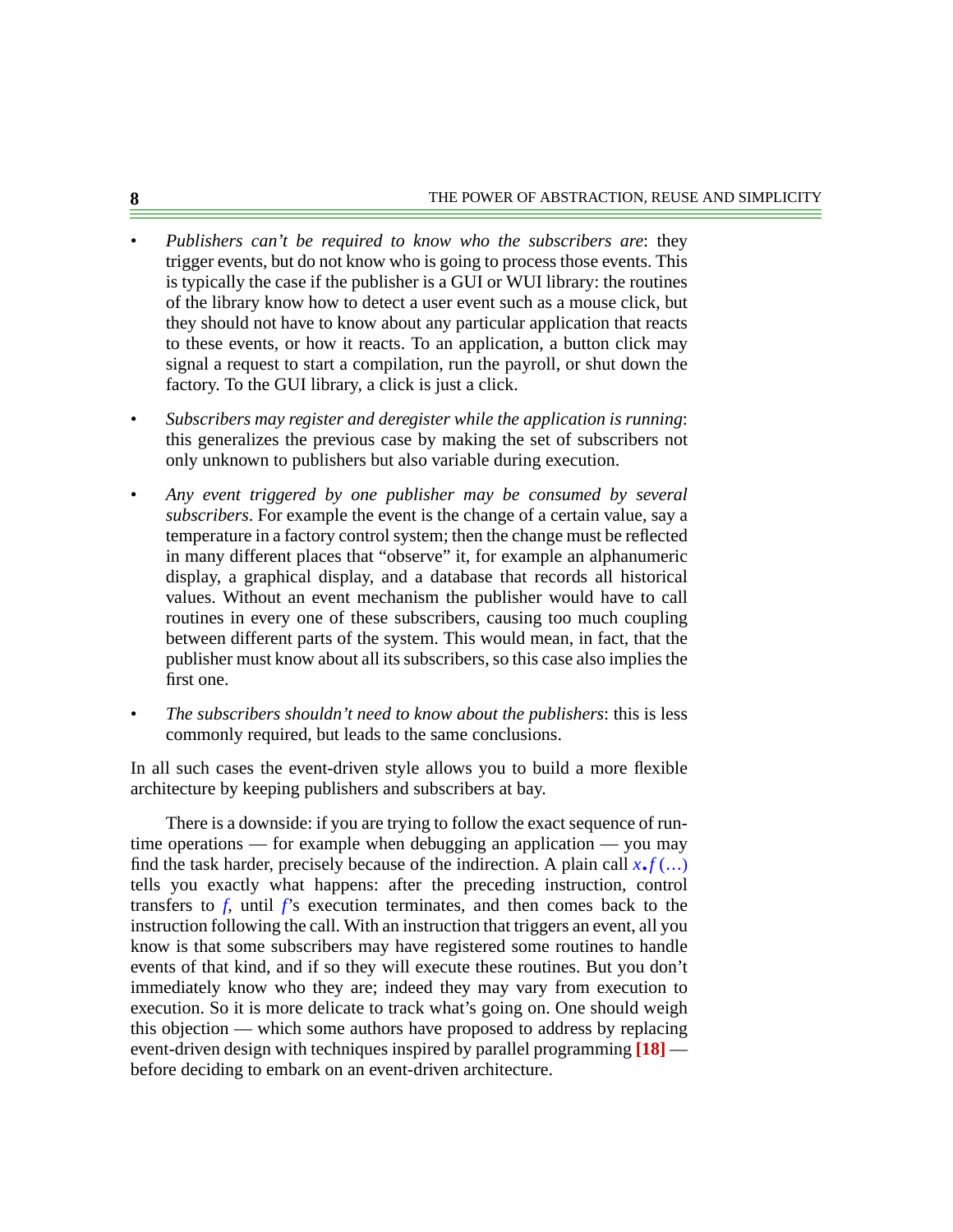- *Publishers can't be required to know who the subscribers are*: they trigger events, but do not know who is going to process those events. This is typically the case if the publisher is a GUI or WUI library: the routines of the library know how to detect a user event such as a mouse click, but they should not have to know about any particular application that reacts to these events, or how it reacts. To an application, a button click may signal a request to start a compilation, run the payroll, or shut down the factory. To the GUI library, a click is just a click.
- *Subscribers may register and deregister while the application is running*: this generalizes the previous case by making the set of subscribers not only unknown to publishers but also variable during execution.
- *Any event triggered by one publisher may be consumed by several subscribers*. For example the event is the change of a certain value, say a temperature in a factory control system; then the change must be reflected in many different places that "observe" it, for example an alphanumeric display, a graphical display, and a database that records all historical values. Without an event mechanism the publisher would have to call routines in every one of these subscribers, causing too much coupling between different parts of the system. This would mean, in fact, that the publisher must know about all its subscribers, so this case also implies the first one.
- *The subscribers shouldn't need to know about the publishers*: this is less commonly required, but leads to the same conclusions.

In all such cases the event-driven style allows you to build a more flexible architecture by keeping publishers and subscribers at bay.

There is a downside: if you are trying to follow the exact sequence of runtime operations — for example when debugging an application — you may find the task harder, precisely because of the indirection. A plain call  $x \cdot f$  (...) tells you exactly what happens: after the preceding instruction, control transfers to  $f$ , until  $f$ 's execution terminates, and then comes back to the instruction following the call. With an instruction that triggers an event, all you know is that some subscribers may have registered some routines to handle events of that kind, and if so they will execute these routines. But you don't immediately know who they are; indeed they may vary from execution to execution. So it is more delicate to track what's going on. One should weigh this objection — which some authors have proposed to address by replacing event-driven design with techniques inspired by parallel programming **[\[18\]](#page-44-0)** before deciding to embark on an event-driven architecture.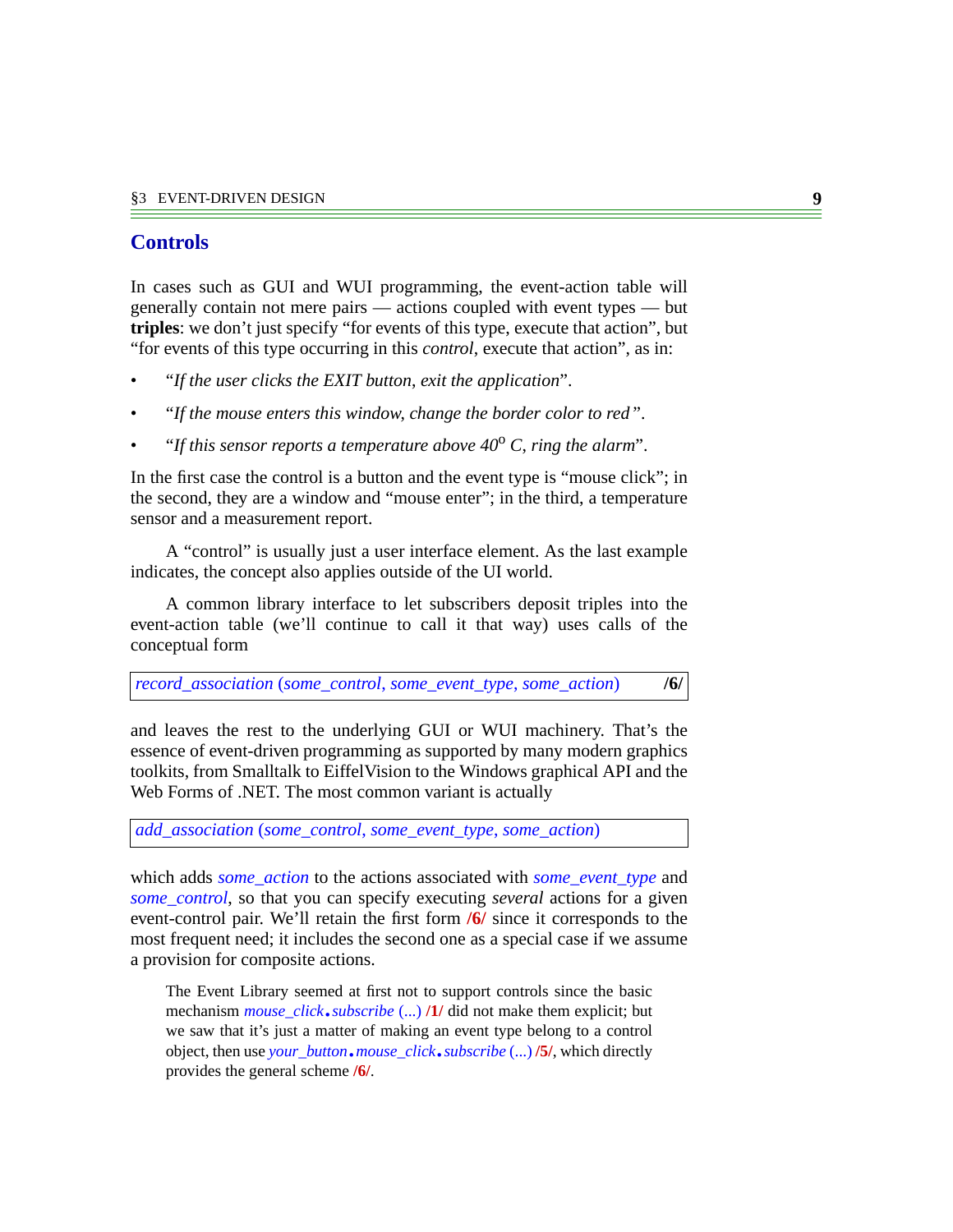### **Controls**

In cases such as GUI and WUI programming, the event-action table will generally contain not mere pairs — actions coupled with event types — but **triples**: we don't just specify "for events of this type, execute that action", but "for events of this type occurring in this *control*, execute that action", as in:

- "*If the user clicks the EXIT button*, *exit the application*".
- "*If the mouse enters this window*, *change the border color to red* ".
- *"If this sensor reports a temperature above 40<sup>o</sup> C, ring the alarm"*.

In the first case the control is a button and the event type is "mouse click"; in the second, they are a window and "mouse enter"; in the third, a temperature sensor and a measurement report.

A "control" is usually just a user interface element. As the last example indicates, the concept also applies outside of the UI world.

A common library interface to let subscribers deposit triples into the event-action table (we'll continue to call it that way) uses calls of the conceptual form

<span id="page-8-0"></span>*record\_association* (*some\_control*, *some\_event\_type*, *some\_action*) **/6/**

and leaves the rest to the underlying GUI or WUI machinery. That's the essence of event-driven programming as supported by many modern graphics toolkits, from Smalltalk to EiffelVision to the Windows graphical API and the Web Forms of .NET. The most common variant is actually

*add\_association* (*some\_control*, *some\_event\_type*, *some\_action*)

which adds *some\_action* to the actions associated with *some\_event\_type* and *some\_control*, so that you can specify executing *several* actions for a given event-control pair. We'll retain the first form **[/6/](#page-8-0)** since it corresponds to the most frequent need; it includes the second one as a special case if we assume a provision for composite actions.

The Event Library seemed at first not to support controls since the basic mechanism *mouse\_click*.*subscribe* (...) **[/1/](#page-1-1)** did not make them explicit; but we saw that it's just a matter of making an event type belong to a control object, then use *your\_button*.*mouse\_click*.*subscribe* (...) **[/5/](#page-2-0)**, which directly provides the general scheme **[/6/](#page-8-0)**.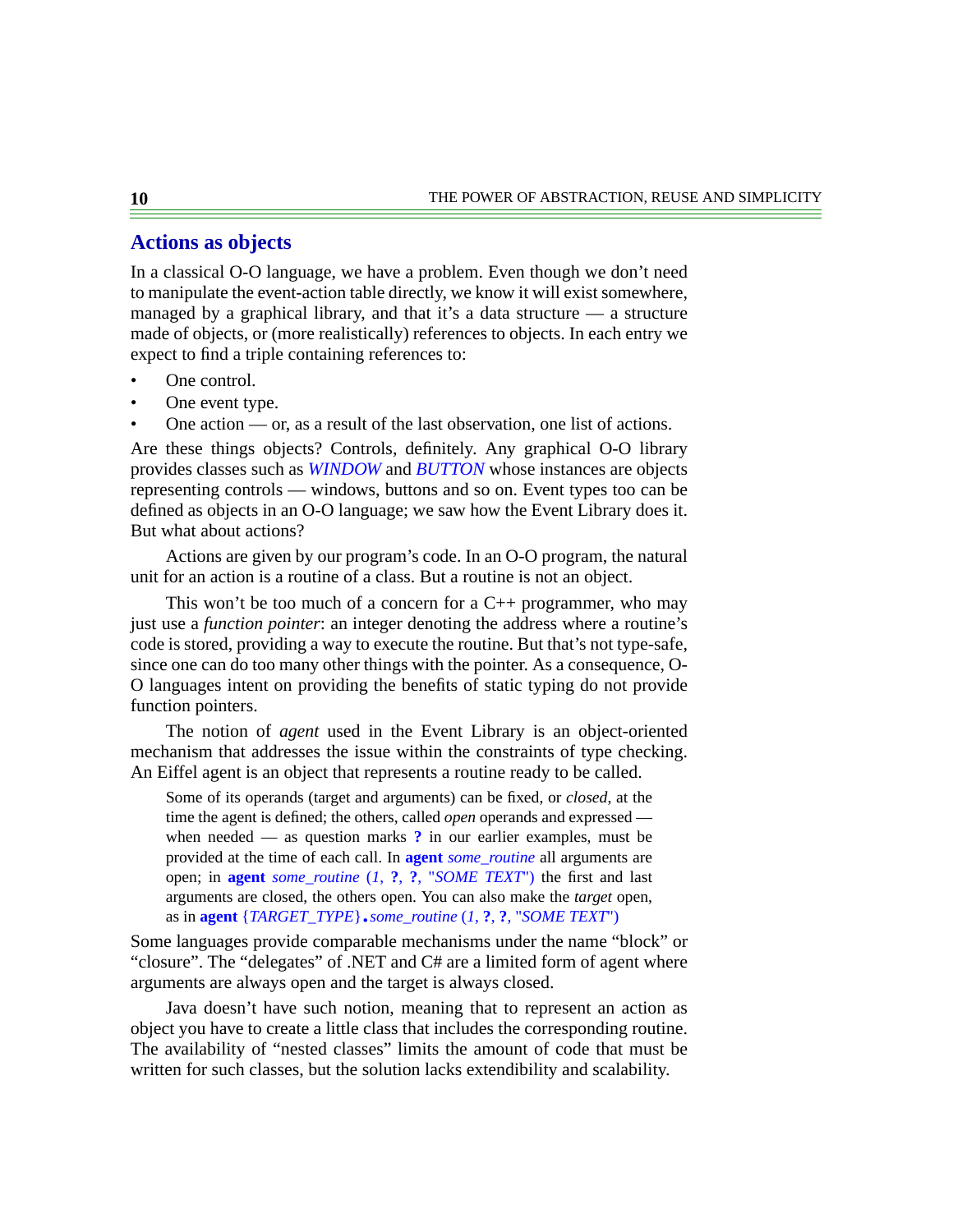### **Actions as objects**

In a classical O-O language, we have a problem. Even though we don't need to manipulate the event-action table directly, we know it will exist somewhere, managed by a graphical library, and that it's a data structure — a structure made of objects, or (more realistically) references to objects. In each entry we expect to find a triple containing references to:

- One control.
- One event type.
- One action or, as a result of the last observation, one list of actions.

Are these things objects? Controls, definitely. Any graphical O-O library provides classes such as *WINDOW* and *BUTTON* whose instances are objects representing controls — windows, buttons and so on. Event types too can be defined as objects in an O-O language; we saw how the Event Library does it. But what about actions?

Actions are given by our program's code. In an O-O program, the natural unit for an action is a routine of a class. But a routine is not an object.

This won't be too much of a concern for a  $C_{++}$  programmer, who may just use a *function pointer*: an integer denoting the address where a routine's code is stored, providing a way to execute the routine. But that's not type-safe, since one can do too many other things with the pointer. As a consequence, O-O languages intent on providing the benefits of static typing do not provide function pointers.

The notion of *agent* used in the Event Library is an object-oriented mechanism that addresses the issue within the constraints of type checking. An Eiffel agent is an object that represents a routine ready to be called.

Some of its operands (target and arguments) can be fixed, or *closed*, at the time the agent is defined; the others, called *open* operands and expressed when needed — as question marks **?** in our earlier examples, must be provided at the time of each call. In **agent** *some\_routine* all arguments are open; in **agent** *some\_routine* (*1*, **?**, **?**, "*SOME TEXT*") the first and last arguments are closed, the others open. You can also make the *target* open, as in **agent** {*TARGET\_TYPE*}.*some\_routine* (*1*, **?**, **?**, "*SOME TEXT*")

Some languages provide comparable mechanisms under the name "block" or "closure". The "delegates" of .NET and C# are a limited form of agent where arguments are always open and the target is always closed.

Java doesn't have such notion, meaning that to represent an action as object you have to create a little class that includes the corresponding routine. The availability of "nested classes" limits the amount of code that must be written for such classes, but the solution lacks extendibility and scalability.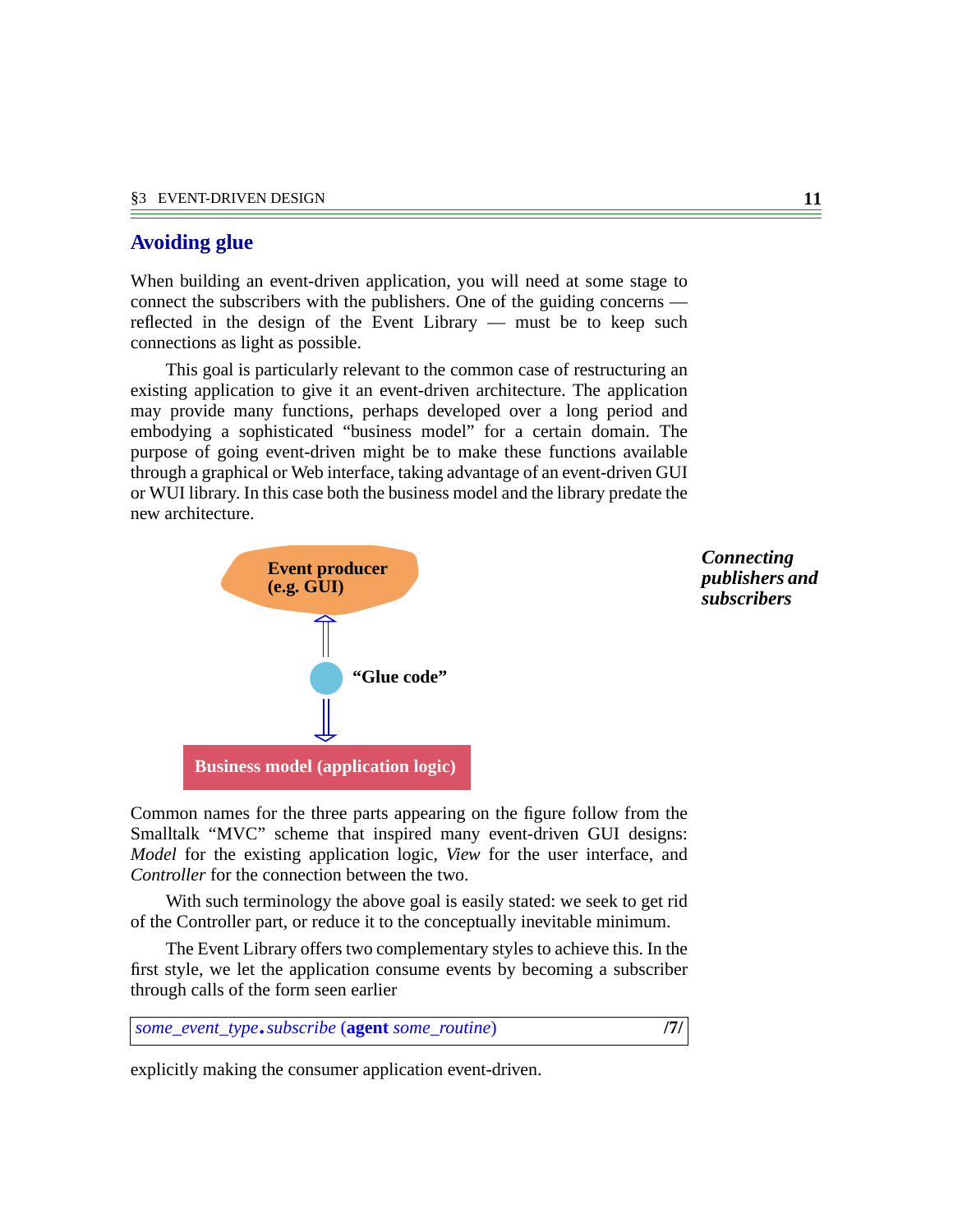# <span id="page-10-1"></span>**Avoiding glue**

When building an event-driven application, you will need at some stage to connect the subscribers with the publishers. One of the guiding concerns reflected in the design of the Event Library — must be to keep such connections as light as possible.

This goal is particularly relevant to the common case of restructuring an existing application to give it an event-driven architecture. The application may provide many functions, perhaps developed over a long period and embodying a sophisticated "business model" for a certain domain. The purpose of going event-driven might be to make these functions available through a graphical or Web interface, taking advantage of an event-driven GUI or WUI library. In this case both the business model and the library predate the new architecture.



*Connecting publishers and subscribers*

Common names for the three parts appearing on the figure follow from the Smalltalk "MVC" scheme that inspired many event-driven GUI designs: *Model* for the existing application logic, *View* for the user interface, and *Controller* for the connection between the two.

With such terminology the above goal is easily stated: we seek to get rid of the Controller part, or reduce it to the conceptually inevitable minimum.

The Event Library offers two complementary styles to achieve this. In the first style, we let the application consume events by becoming a subscriber through calls of the form seen earlier

```
some_event_type.subscribe (agent some_routine) /7/
```
explicitly making the consumer application event-driven.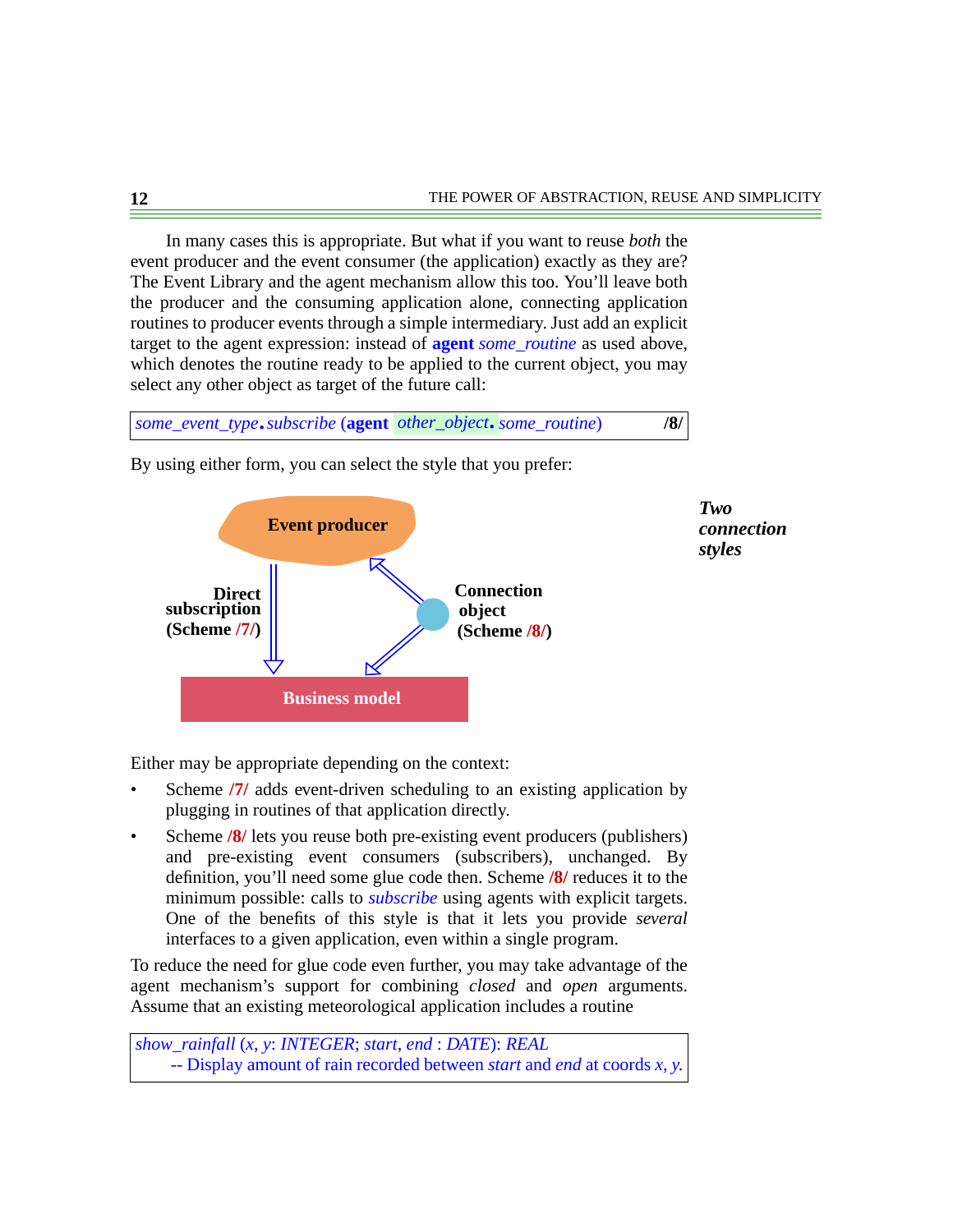In many cases this is appropriate. But what if you want to reuse *both* the event producer and the event consumer (the application) exactly as they are? The Event Library and the agent mechanism allow this too. You'll leave both the producer and the consuming application alone, connecting application routines to producer events through a simple intermediary. Just add an explicit target to the agent expression: instead of **agent** *some\_routine* as used above, which denotes the routine ready to be applied to the current object, you may select any other object as target of the future call:

```
some_event_type.subscribe (agent other_object.some_routine) /8/
```






Either may be appropriate depending on the context:

- Scheme **[/7/](#page-10-0)** adds event-driven scheduling to an existing application by plugging in routines of that application directly.
- Scheme **[/8/](#page-11-0)** lets you reuse both pre-existing event producers (publishers) and pre-existing event consumers (subscribers), unchanged. By definition, you'll need some glue code then. Scheme **[/8/](#page-11-0)** reduces it to the minimum possible: calls to *subscribe* using agents with explicit targets. One of the benefits of this style is that it lets you provide *several* interfaces to a given application, even within a single program.

To reduce the need for glue code even further, you may take advantage of the agent mechanism's support for combining *closed* and *open* arguments. Assume that an existing meteorological application includes a routine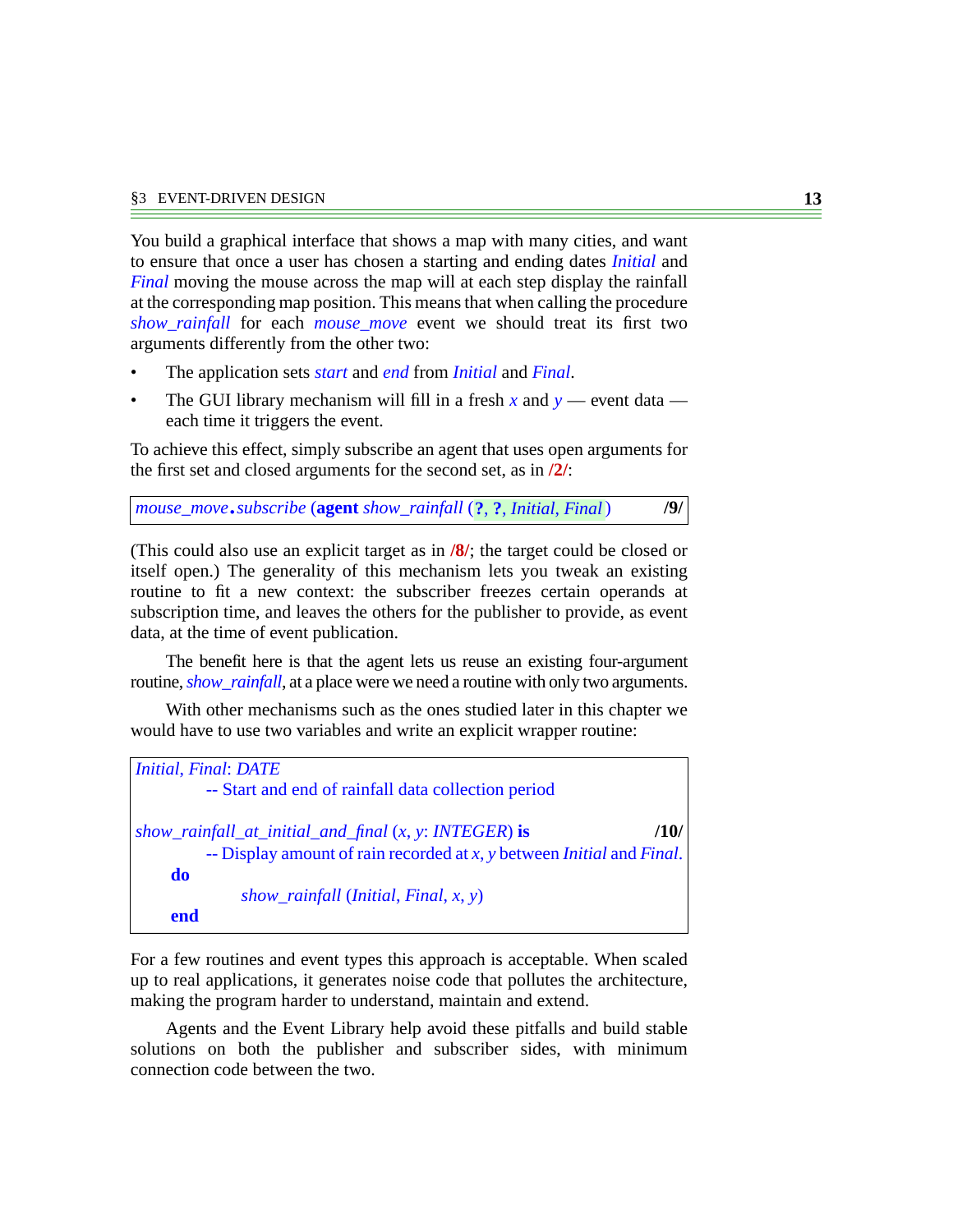You build a graphical interface that shows a map with many cities, and want to ensure that once a user has chosen a starting and ending dates *Initial* and *Final* moving the mouse across the map will at each step display the rainfall at the corresponding map position. This means that when calling the procedure *show\_rainfall* for each *mouse\_move* event we should treat its first two arguments differently from the other two:

- The application sets *start* and *end* from *Initial* and *Final*.
- The GUI library mechanism will fill in a fresh  $x$  and  $y$  event data each time it triggers the event.

To achieve this effect, simply subscribe an agent that uses open arguments for the first set and closed arguments for the second set, as in **[/2/](#page-1-2)**:

<span id="page-12-0"></span>*mouse\_move*.*subscribe* (**agent** *show\_rainfall* (2, 2, *Initial*, *Final*) (9/

(This could also use an explicit target as in **[/8/](#page-11-0)**; the target could be closed or itself open.) The generality of this mechanism lets you tweak an existing routine to fit a new context: the subscriber freezes certain operands at subscription time, and leaves the others for the publisher to provide, as event data, at the time of event publication.

The benefit here is that the agent lets us reuse an existing four-argument routine,*show\_rainfall*, at a place were we need a routine with only two arguments.

With other mechanisms such as the ones studied later in this chapter we would have to use two variables and write an explicit wrapper routine:

```
Initial, Final: DATE
         -- Start and end of rainfall data collection period
show_rainfall_at_initial_and_final (x, y: INTEGER) is /10/
         -- Display amount of rain recorded at x, y between Initial and Final.
    do
              show_rainfall (Initial, Final, x, y)
    end
```
For a few routines and event types this approach is acceptable. When scaled up to real applications, it generates noise code that pollutes the architecture, making the program harder to understand, maintain and extend.

Agents and the Event Library help avoid these pitfalls and build stable solutions on both the publisher and subscriber sides, with minimum connection code between the two.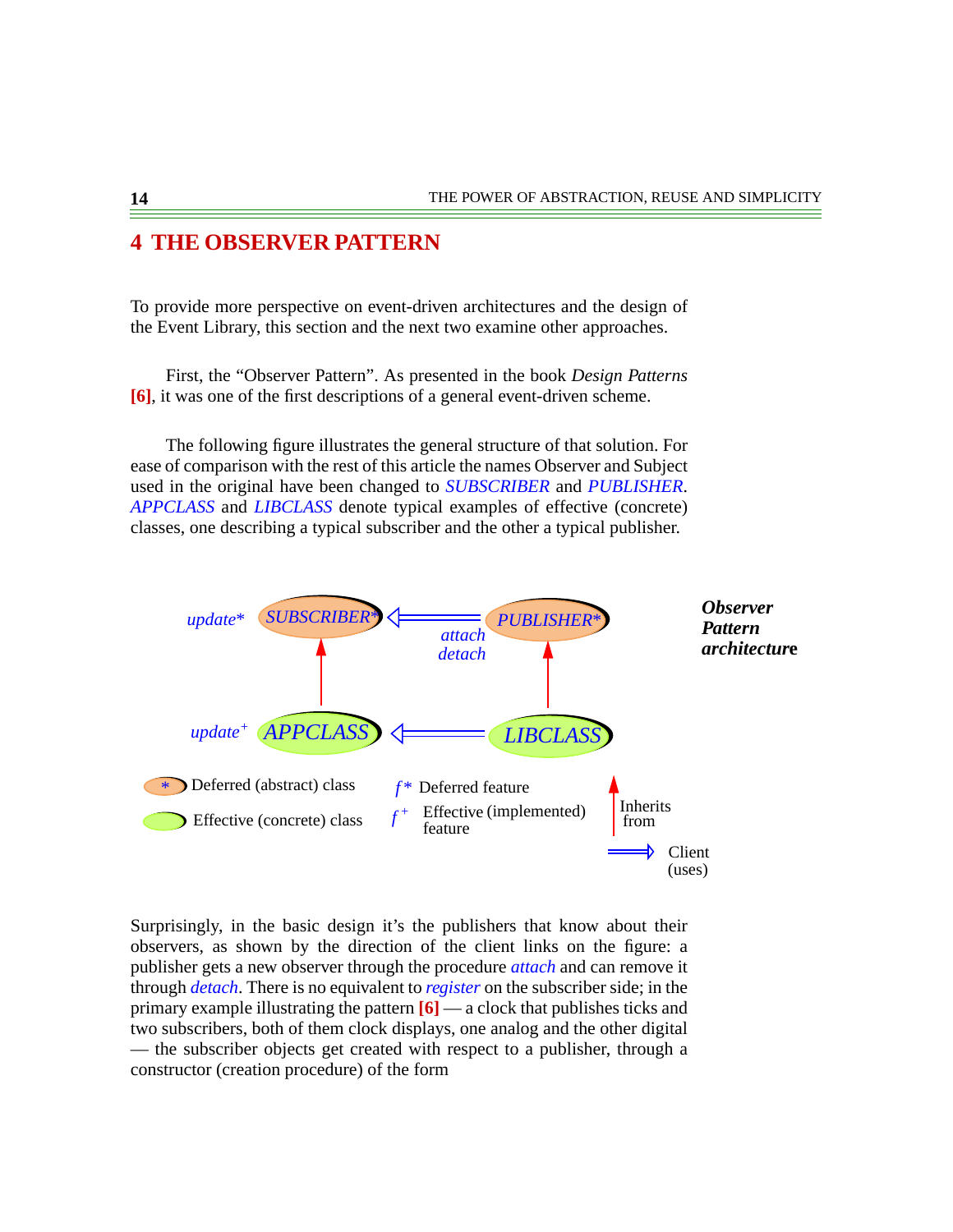# <span id="page-13-0"></span>**4 THE OBSERVER PATTERN**

To provide more perspective on event-driven architectures and the design of the Event Library, this section and the next two examine other approaches.

First, the "Observer Pattern". As presented in the book *Design Patterns* **[\[6\]](#page-44-1)**, it was one of the first descriptions of a general event-driven scheme.

The following figure illustrates the general structure of that solution. For ease of comparison with the rest of this article the names Observer and Subject used in the original have been changed to *SUBSCRIBER* and *PUBLISHER*. *APPCLASS* and *LIBCLASS* denote typical examples of effective (concrete) classes, one describing a typical subscriber and the other a typical publisher.



Surprisingly, in the basic design it's the publishers that know about their observers, as shown by the direction of the client links on the figure: a publisher gets a new observer through the procedure *attach* and can remove it through *detach*. There is no equivalent to *register* on the subscriber side; in the primary example illustrating the pattern **[\[6\]](#page-44-1)** — a clock that publishes ticks and two subscribers, both of them clock displays, one analog and the other digital — the subscriber objects get created with respect to a publisher, through a constructor (creation procedure) of the form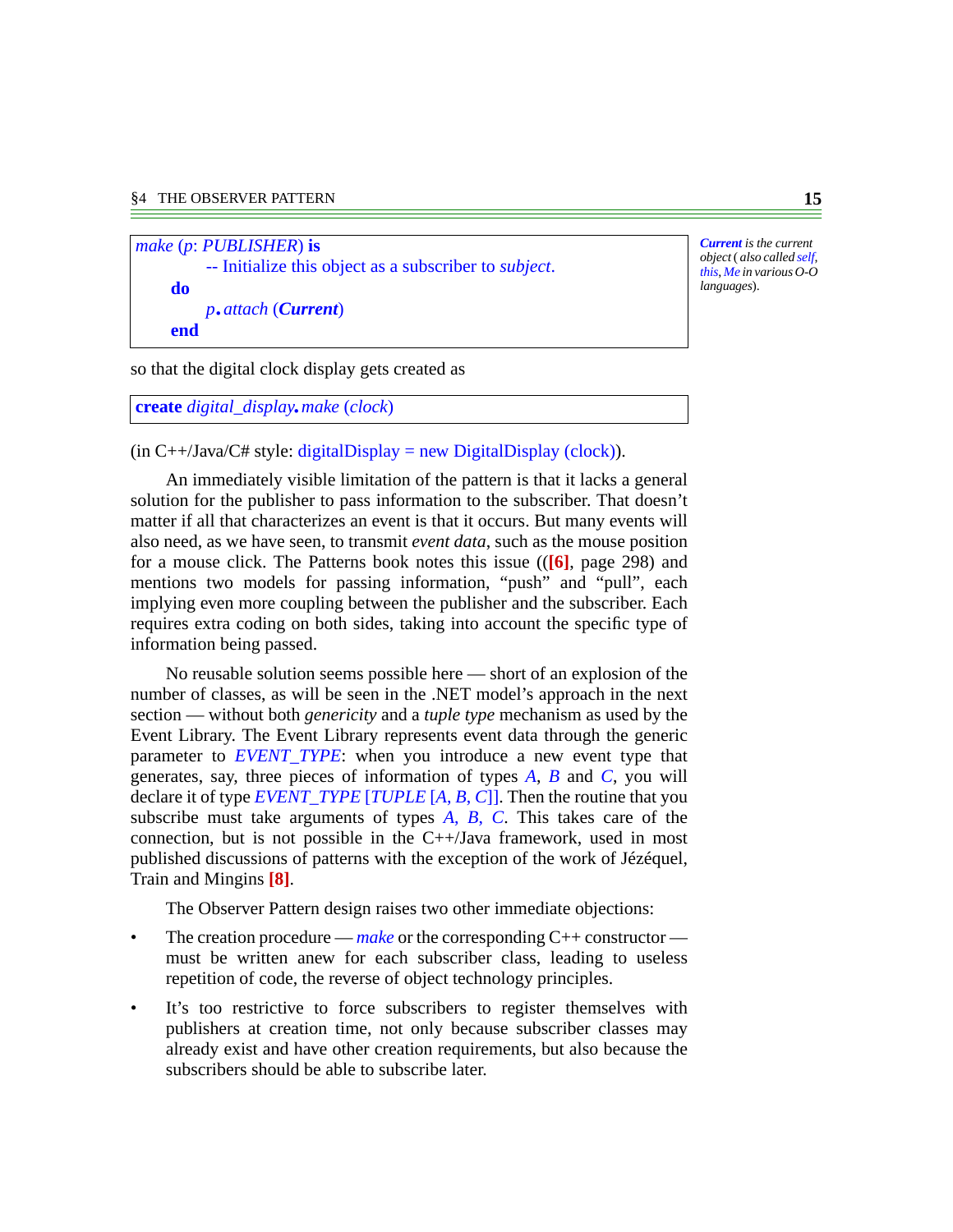```
make (p: PUBLISHER) is
         -- Initialize this object as a subscriber to subject.
    do
         p.attach (Current)
     end
```
so that the digital clock display gets created as

**create** *digital\_display*.*make* (*clock*)

 $(in C++/Java/C# style: digital Display = new DigitalDisplay (clock)).$ 

An immediately visible limitation of the pattern is that it lacks a general solution for the publisher to pass information to the subscriber. That doesn't matter if all that characterizes an event is that it occurs. But many events will also need, as we have seen, to transmit *event data*, such as the mouse position for a mouse click. The Patterns book notes this issue ((**[\[6\]](#page-44-1)**, page 298) and mentions two models for passing information, "push" and "pull", each implying even more coupling between the publisher and the subscriber. Each requires extra coding on both sides, taking into account the specific type of information being passed.

No reusable solution seems possible here — short of an explosion of the number of classes, as will be seen in the .NET model's approach in the next section — without both *genericity* and a *tuple type* mechanism as used by the Event Library. The Event Library represents event data through the generic parameter to *EVENT TYPE*: when you introduce a new event type that generates, say, three pieces of information of types *A*, *B* and *C*, you will declare it of type *EVENT\_TYPE* [*TUPLE* [*A*, *B*, *C*]]. Then the routine that you subscribe must take arguments of types *A*, *B*, *C*. This takes care of the connection, but is not possible in the  $C++/Java$  framework, used in most published discussions of patterns with the exception of the work of Jézéquel, Train and Mingins **[\[8\]](#page-44-2)**.

The Observer Pattern design raises two other immediate objections:

- The creation procedure  $make$  or the corresponding  $C++$  constructor must be written anew for each subscriber class, leading to useless repetition of code, the reverse of object technology principles.
- It's too restrictive to force subscribers to register themselves with publishers at creation time, not only because subscriber classes may already exist and have other creation requirements, but also because the subscribers should be able to subscribe later.

*Current is the current object*( *also called self*, *this*, *Me in various O-O languages*).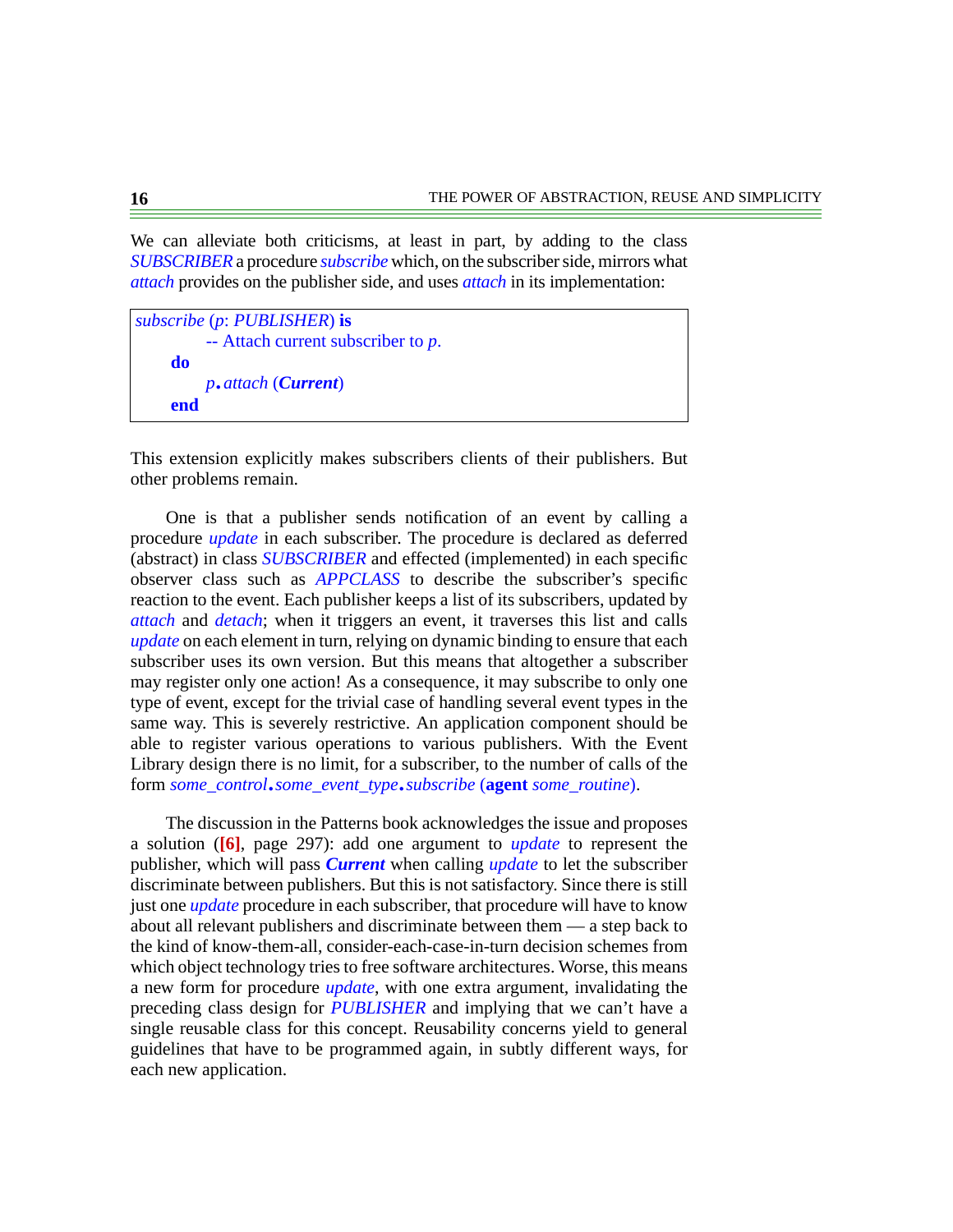We can alleviate both criticisms, at least in part, by adding to the class *SUBSCRIBER* a procedure *subscribe* which, on the subscriber side, mirrors what *attach* provides on the publisher side, and uses *attach* in its implementation:

```
subscribe (p: PUBLISHER) is
         -- Attach current subscriber to p.
    do
         p.attach (Current)
    end
```
This extension explicitly makes subscribers clients of their publishers. But other problems remain.

One is that a publisher sends notification of an event by calling a procedure *update* in each subscriber. The procedure is declared as deferred (abstract) in class *SUBSCRIBER* and effected (implemented) in each specific observer class such as *APPCLASS* to describe the subscriber's specific reaction to the event. Each publisher keeps a list of its subscribers, updated by *attach* and *detach*; when it triggers an event, it traverses this list and calls *update* on each element in turn, relying on dynamic binding to ensure that each subscriber uses its own version. But this means that altogether a subscriber may register only one action! As a consequence, it may subscribe to only one type of event, except for the trivial case of handling several event types in the same way. This is severely restrictive. An application component should be able to register various operations to various publishers. With the Event Library design there is no limit, for a subscriber, to the number of calls of the form *some\_control*.*some\_event\_type*.*subscribe* (**agent** *some\_routine*).

The discussion in the Patterns book acknowledges the issue and proposes a solution (**[\[6\]](#page-44-1)**, page 297): add one argument to *update* to represent the publisher, which will pass *Current* when calling *update* to let the subscriber discriminate between publishers. But this is not satisfactory. Since there is still just one *update* procedure in each subscriber, that procedure will have to know about all relevant publishers and discriminate between them — a step back to the kind of know-them-all, consider-each-case-in-turn decision schemes from which object technology tries to free software architectures. Worse, this means a new form for procedure *update*, with one extra argument, invalidating the preceding class design for *PUBLISHER* and implying that we can't have a single reusable class for this concept. Reusability concerns yield to general guidelines that have to be programmed again, in subtly different ways, for each new application.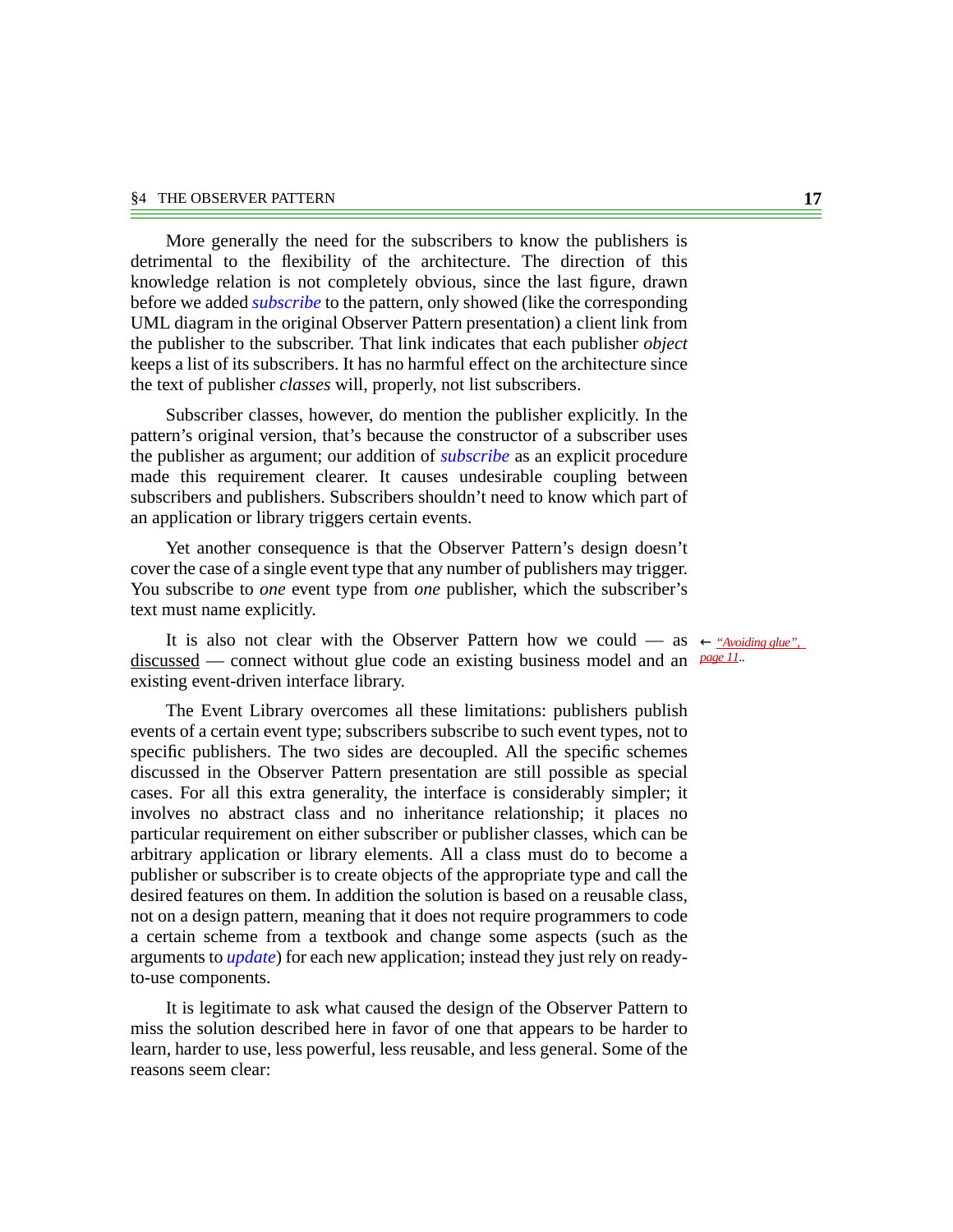More generally the need for the subscribers to know the publishers is detrimental to the flexibility of the architecture. The direction of this knowledge relation is not completely obvious, since the last figure, drawn before we added *subscribe* to the pattern, only showed (like the corresponding UML diagram in the original Observer Pattern presentation) a client link from the publisher to the subscriber. That link indicates that each publisher *object* keeps a list of its subscribers. It has no harmful effect on the architecture since the text of publisher *classes* will, properly, not list subscribers.

Subscriber classes, however, do mention the publisher explicitly. In the pattern's original version, that's because the constructor of a subscriber uses the publisher as argument; our addition of *subscribe* as an explicit procedure made this requirement clearer. It causes undesirable coupling between subscribers and publishers. Subscribers shouldn't need to know which part of an application or library triggers certain events.

Yet another consequence is that the Observer Pattern's design doesn't cover the case of a single event type that any number of publishers may trigger. You subscribe to *one* event type from *one* publisher, which the subscriber's text must name explicitly.

It is also not clear with the Observer Pattern how we could — as  $\leftarrow$  *"Avoiding glue"*. discussed — connect without glue code an existing business model and an *[page 11](#page-10-1)*. existing event-driven interface library.

The Event Library overcomes all these limitations: publishers publish events of a certain event type; subscribers subscribe to such event types, not to specific publishers. The two sides are decoupled. All the specific schemes discussed in the Observer Pattern presentation are still possible as special cases. For all this extra generality, the interface is considerably simpler; it involves no abstract class and no inheritance relationship; it places no particular requirement on either subscriber or publisher classes, which can be arbitrary application or library elements. All a class must do to become a publisher or subscriber is to create objects of the appropriate type and call the desired features on them. In addition the solution is based on a reusable class, not on a design pattern, meaning that it does not require programmers to code a certain scheme from a textbook and change some aspects (such as the arguments to *update*) for each new application; instead they just rely on readyto-use components.

It is legitimate to ask what caused the design of the Observer Pattern to miss the solution described here in favor of one that appears to be harder to learn, harder to use, less powerful, less reusable, and less general. Some of the reasons seem clear: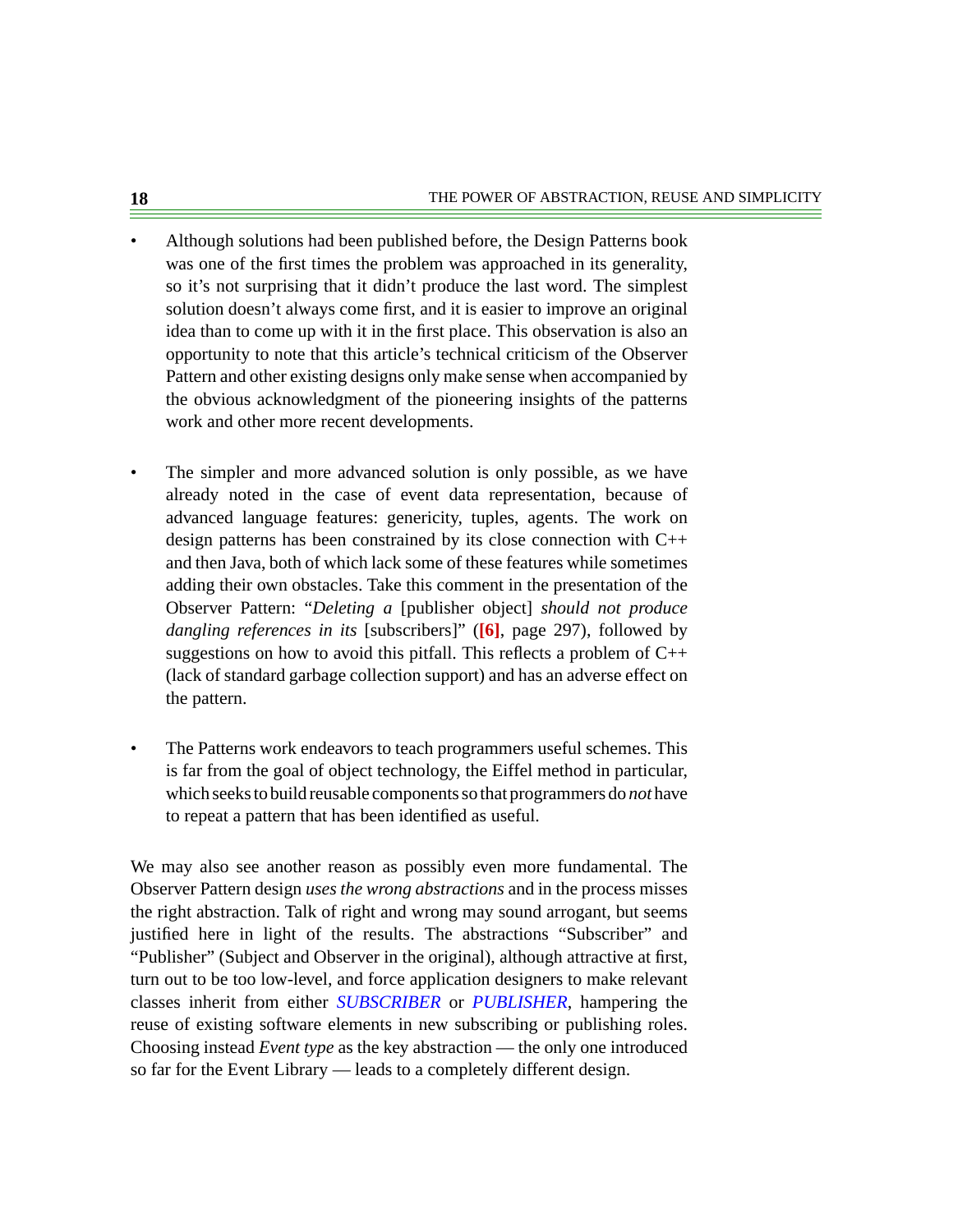- Although solutions had been published before, the Design Patterns book was one of the first times the problem was approached in its generality, so it's not surprising that it didn't produce the last word. The simplest solution doesn't always come first, and it is easier to improve an original idea than to come up with it in the first place. This observation is also an opportunity to note that this article's technical criticism of the Observer Pattern and other existing designs only make sense when accompanied by the obvious acknowledgment of the pioneering insights of the patterns work and other more recent developments.
- The simpler and more advanced solution is only possible, as we have already noted in the case of event data representation, because of advanced language features: genericity, tuples, agents. The work on design patterns has been constrained by its close connection with C++ and then Java, both of which lack some of these features while sometimes adding their own obstacles. Take this comment in the presentation of the Observer Pattern: "*Deleting a* [publisher object] *should not produce dangling references in its* [subscribers]" (**[\[6\]](#page-44-1)**, page 297), followed by suggestions on how to avoid this pitfall. This reflects a problem of  $C_{++}$ (lack of standard garbage collection support) and has an adverse effect on the pattern.
- The Patterns work endeavors to teach programmers useful schemes. This is far from the goal of object technology, the Eiffel method in particular, which seeks to build reusable components so that programmers do *not* have to repeat a pattern that has been identified as useful.

We may also see another reason as possibly even more fundamental. The Observer Pattern design *uses the wrong abstractions* and in the process misses the right abstraction. Talk of right and wrong may sound arrogant, but seems justified here in light of the results. The abstractions "Subscriber" and "Publisher" (Subject and Observer in the original), although attractive at first, turn out to be too low-level, and force application designers to make relevant classes inherit from either *SUBSCRIBER* or *PUBLISHER*, hampering the reuse of existing software elements in new subscribing or publishing roles. Choosing instead *Event type* as the key abstraction — the only one introduced so far for the Event Library — leads to a completely different design.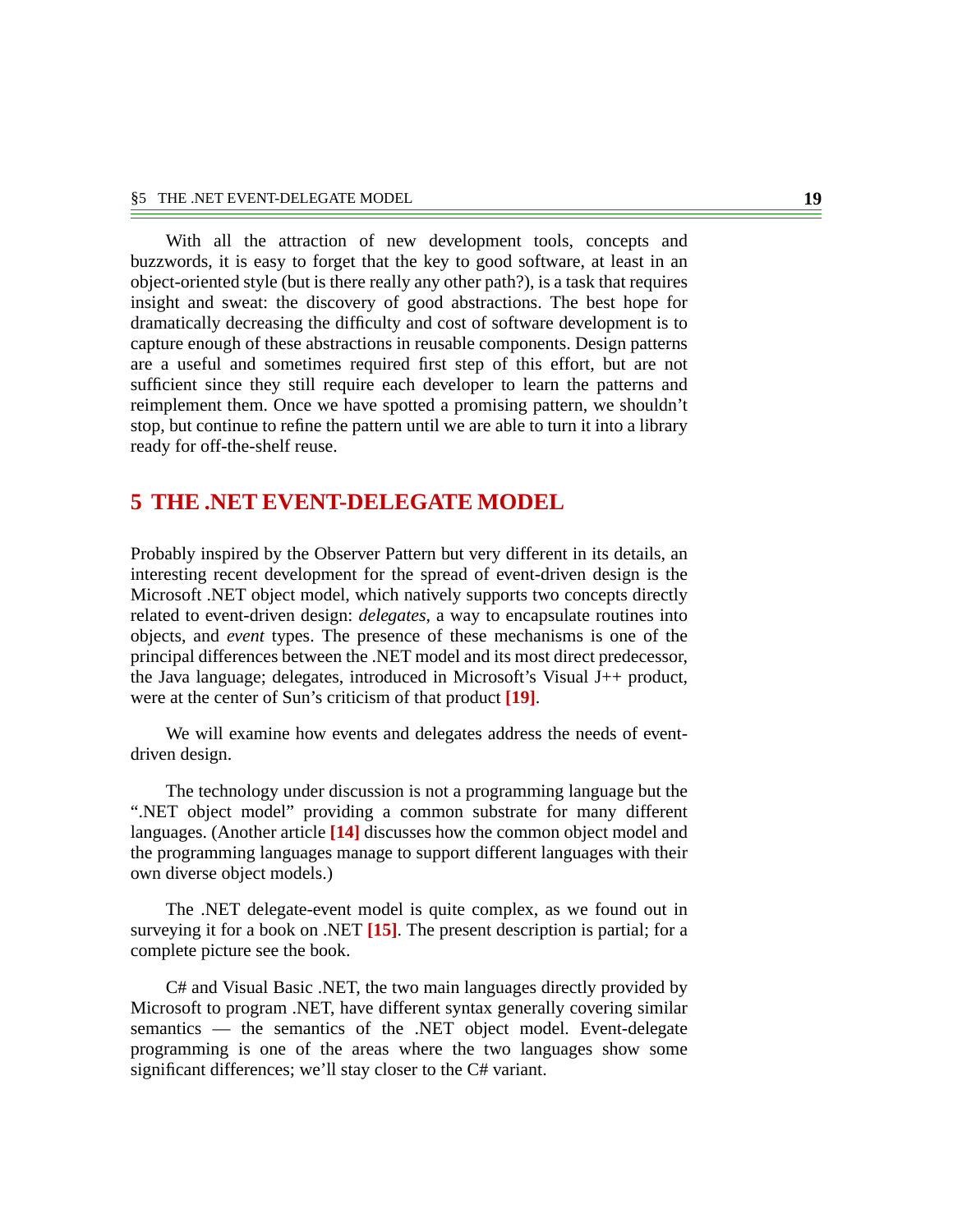With all the attraction of new development tools, concepts and buzzwords, it is easy to forget that the key to good software, at least in an object-oriented style (but is there really any other path?), is a task that requires insight and sweat: the discovery of good abstractions. The best hope for dramatically decreasing the difficulty and cost of software development is to capture enough of these abstractions in reusable components. Design patterns are a useful and sometimes required first step of this effort, but are not sufficient since they still require each developer to learn the patterns and reimplement them. Once we have spotted a promising pattern, we shouldn't stop, but continue to refine the pattern until we are able to turn it into a library ready for off-the-shelf reuse.

# <span id="page-18-0"></span>**5 THE .NET EVENT-DELEGATE MODEL**

Probably inspired by the Observer Pattern but very different in its details, an interesting recent development for the spread of event-driven design is the Microsoft .NET object model, which natively supports two concepts directly related to event-driven design: *delegates*, a way to encapsulate routines into objects, and *event* types. The presence of these mechanisms is one of the principal differences between the .NET model and its most direct predecessor, the Java language; delegates, introduced in Microsoft's Visual J++ product, were at the center of Sun's criticism of that product **[\[19\]](#page-44-3)**.

We will examine how events and delegates address the needs of eventdriven design.

The technology under discussion is not a programming language but the ".NET object model" providing a common substrate for many different languages. (Another article **[\[14\]](#page-44-4)** discusses how the common object model and the programming languages manage to support different languages with their own diverse object models.)

The .NET delegate-event model is quite complex, as we found out in surveying it for a book on .NET **[\[15\]](#page-44-5)**. The present description is partial; for a complete picture see the book.

C# and Visual Basic .NET, the two main languages directly provided by Microsoft to program .NET, have different syntax generally covering similar semantics — the semantics of the .NET object model. Event-delegate programming is one of the areas where the two languages show some significant differences; we'll stay closer to the C# variant.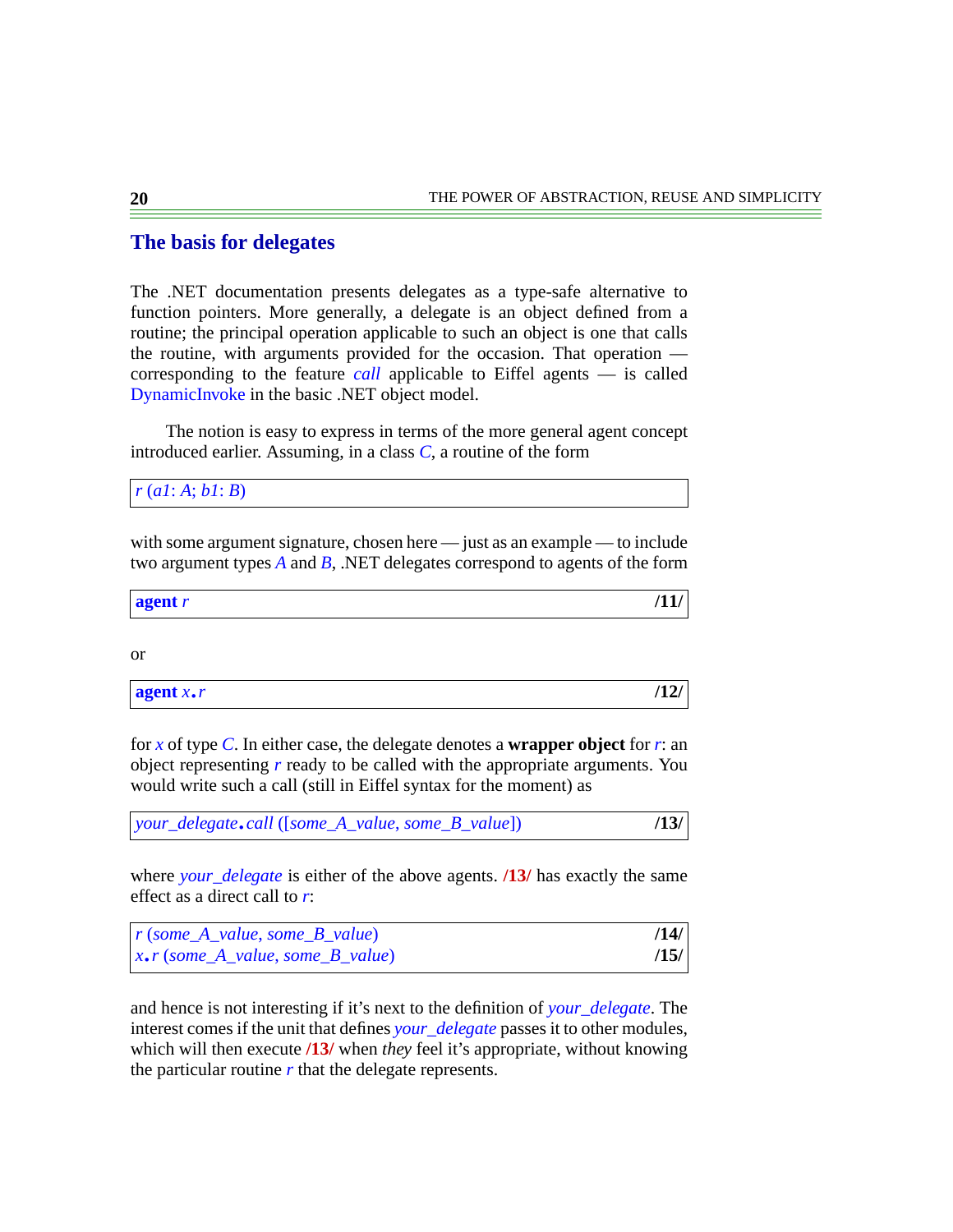### **The basis for delegates**

The .NET documentation presents delegates as a type-safe alternative to function pointers. More generally, a delegate is an object defined from a routine; the principal operation applicable to such an object is one that calls the routine, with arguments provided for the occasion. That operation corresponding to the feature *call* applicable to Eiffel agents — is called DynamicInvoke in the basic .NET object model.

The notion is easy to express in terms of the more general agent concept introduced earlier. Assuming, in a class *C*, a routine of the form

*r* (*a1*: *A*; *b1*: *B*)

with some argument signature, chosen here — just as an example — to include two argument types *A* and *B*, .NET delegates correspond to agents of the form

<span id="page-19-1"></span>**agent** *r* **/11/**

or

<span id="page-19-2"></span>

| $\int$ agent x.r |  |
|------------------|--|

for *x* of type *C*. In either case, the delegate denotes a **wrapper object** for *r*: an object representing *r* ready to be called with the appropriate arguments. You would write such a call (still in Eiffel syntax for the moment) as

<span id="page-19-0"></span>

| your_delegate.call ([some_A_value, some_B_value]) | /13/ |
|---------------------------------------------------|------|

where *your\_delegate* is either of the above agents. **[/13/](#page-19-0)** has exactly the same effect as a direct call to *r*:

<span id="page-19-4"></span><span id="page-19-3"></span>

| $\vert r \, (some\_A\_value, some\_B\_value) \vert$      | /14/ |
|----------------------------------------------------------|------|
| $\vert x \cdot r \vert$ (some $A$ value, some $B$ value) | /15/ |

and hence is not interesting if it's next to the definition of *your\_delegate*. The interest comes if the unit that defines *your\_delegate* passes it to other modules, which will then execute **[/13/](#page-19-0)** when *they* feel it's appropriate, without knowing the particular routine *r* that the delegate represents.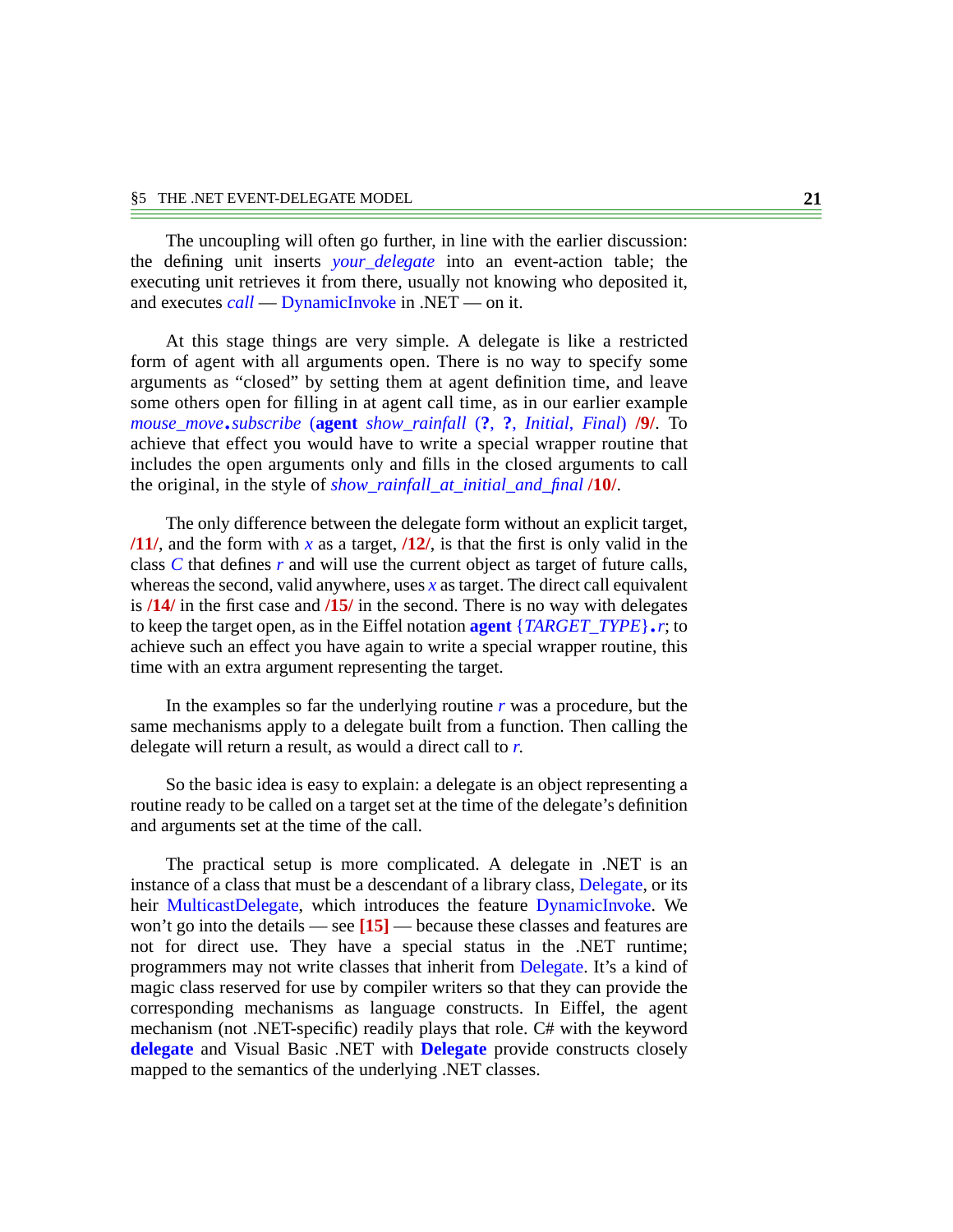The uncoupling will often go further, in line with the earlier discussion: the defining unit inserts *your\_delegate* into an event-action table; the executing unit retrieves it from there, usually not knowing who deposited it, and executes *call* — DynamicInvoke in .NET — on it.

At this stage things are very simple. A delegate is like a restricted form of agent with all arguments open. There is no way to specify some arguments as "closed" by setting them at agent definition time, and leave some others open for filling in at agent call time, as in our earlier example *mouse\_move*.*subscribe* (**agent** *show\_rainfall* (**?**, **?**, *Initial*, *Final*) **[/9/](#page-12-0)**. To achieve that effect you would have to write a special wrapper routine that includes the open arguments only and fills in the closed arguments to call the original, in the style of *show\_rainfall\_at\_initial\_and\_final* **[/10/](#page-12-1)**.

The only difference between the delegate form without an explicit target, **[/11/](#page-19-1)**, and the form with x as a target,  $/12$ , is that the first is only valid in the class *C* that defines *r* and will use the current object as target of future calls, whereas the second, valid anywhere, uses  $x$  as target. The direct call equivalent is **[/14/](#page-19-3)** in the first case and **[/15/](#page-19-4)** in the second. There is no way with delegates to keep the target open, as in the Eiffel notation **agent** {*TARGET\_TYPE*}.*r*; to achieve such an effect you have again to write a special wrapper routine, this time with an extra argument representing the target.

In the examples so far the underlying routine *r* was a procedure, but the same mechanisms apply to a delegate built from a function. Then calling the delegate will return a result, as would a direct call to *r*.

So the basic idea is easy to explain: a delegate is an object representing a routine ready to be called on a target set at the time of the delegate's definition and arguments set at the time of the call.

The practical setup is more complicated. A delegate in .NET is an instance of a class that must be a descendant of a library class, Delegate, or its heir MulticastDelegate, which introduces the feature DynamicInvoke. We won't go into the details — see **[\[15\]](#page-44-5)** — because these classes and features are not for direct use. They have a special status in the .NET runtime; programmers may not write classes that inherit from Delegate. It's a kind of magic class reserved for use by compiler writers so that they can provide the corresponding mechanisms as language constructs. In Eiffel, the agent mechanism (not .NET-specific) readily plays that role. C# with the keyword **delegate** and Visual Basic .NET with **Delegate** provide constructs closely mapped to the semantics of the underlying .NET classes.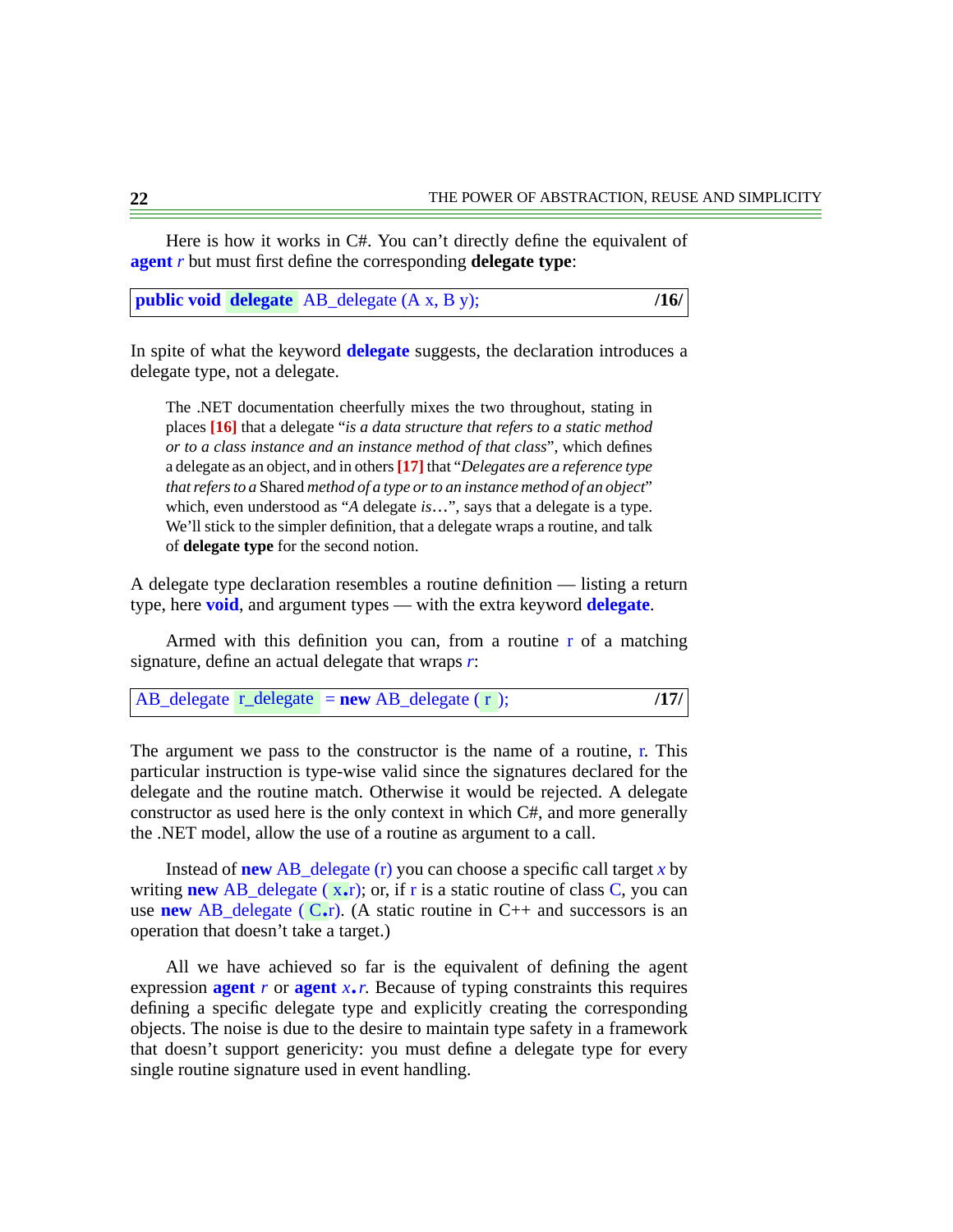Here is how it works in C#. You can't directly define the equivalent of **agent** *r* but must first define the corresponding **delegate type**:

```
public void delegate AB_delegate (A x, B y); /16/
```
In spite of what the keyword **delegate** suggests, the declaration introduces a delegate type, not a delegate.

The .NET documentation cheerfully mixes the two throughout, stating in places **[\[16\]](#page-44-6)** that a delegate "*is a data structure that refers to a static method or to a class instance and an instance method of that class*", which defines a delegate as an object, and in others**[\[17\]](#page-44-7)** that "*Delegates are a reference type that refers to a* Shared *method of a type or to an instance method of an object*" which, even understood as "*A* delegate *is*…", says that a delegate is a type. We'll stick to the simpler definition, that a delegate wraps a routine, and talk of **delegate type** for the second notion.

A delegate type declaration resembles a routine definition — listing a return type, here **void**, and argument types — with the extra keyword **delegate**.

Armed with this definition you can, from a routine  $r$  of a matching signature, define an actual delegate that wraps *r*:

```
AB_delegate r_delegate = new AB_delegate (r); /17/
```
The argument we pass to the constructor is the name of a routine, r. This particular instruction is type-wise valid since the signatures declared for the delegate and the routine match. Otherwise it would be rejected. A delegate constructor as used here is the only context in which C#, and more generally the .NET model, allow the use of a routine as argument to a call.

Instead of **new** AB\_delegate (r) you can choose a specific call target  $x$  by writing **new** AB\_delegate  $(x, r)$ ; or, if r is a static routine of class C, you can<br>use **new** AB\_delegate  $(C, r)$ . (A static routine in C++ and successors is an use **new** AB\_delegate  $(C, r)$ . (A static routine in C++ and successors is an operation that doesn't take a target.)

All we have achieved so far is the equivalent of defining the agent expression **agent** *<sup>r</sup>* or **agent** *<sup>x</sup>*.*r*. Because of typing constraints this requires defining a specific delegate type and explicitly creating the corresponding objects. The noise is due to the desire to maintain type safety in a framework that doesn't support genericity: you must define a delegate type for every single routine signature used in event handling.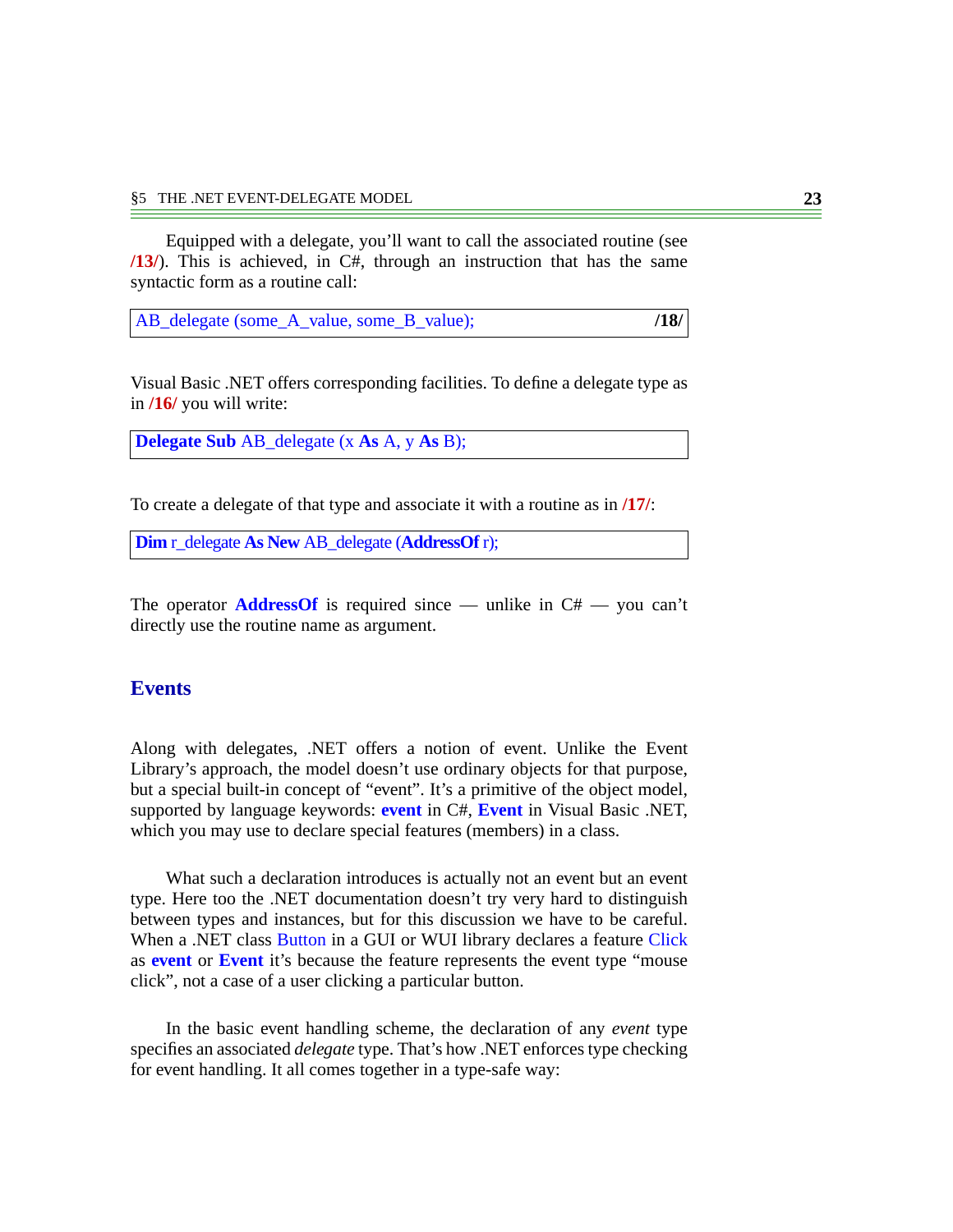Equipped with a delegate, you'll want to call the associated routine (see **[/13/](#page-19-0)**). This is achieved, in C#, through an instruction that has the same syntactic form as a routine call:

|  |  |  | AB_delegate (some_A_value, some_B_value); |  |  | /18/ |
|--|--|--|-------------------------------------------|--|--|------|
|--|--|--|-------------------------------------------|--|--|------|

Visual Basic .NET offers corresponding facilities. To define a delegate type as in **[/16/](#page-21-0)** you will write:

**Delegate Sub** AB\_delegate (x **As** A, y **As** B);

To create a delegate of that type and associate it with a routine as in **[/17/](#page-21-1)**:

**Dim** r\_delegate **As New** AB\_delegate (**AddressOf** r);

The operator **AddressOf** is required since — unlike in  $C#$  — you can't directly use the routine name as argument.

#### **Events**

Along with delegates, .NET offers a notion of event. Unlike the Event Library's approach, the model doesn't use ordinary objects for that purpose, but a special built-in concept of "event". It's a primitive of the object model, supported by language keywords: **event** in C#, **Event** in Visual Basic .NET, which you may use to declare special features (members) in a class.

What such a declaration introduces is actually not an event but an event type. Here too the .NET documentation doesn't try very hard to distinguish between types and instances, but for this discussion we have to be careful. When a .NET class Button in a GUI or WUI library declares a feature Click as **event** or **Event** it's because the feature represents the event type "mouse click", not a case of a user clicking a particular button.

In the basic event handling scheme, the declaration of any *event* type specifies an associated *delegate* type. That's how .NET enforces type checking for event handling. It all comes together in a type-safe way: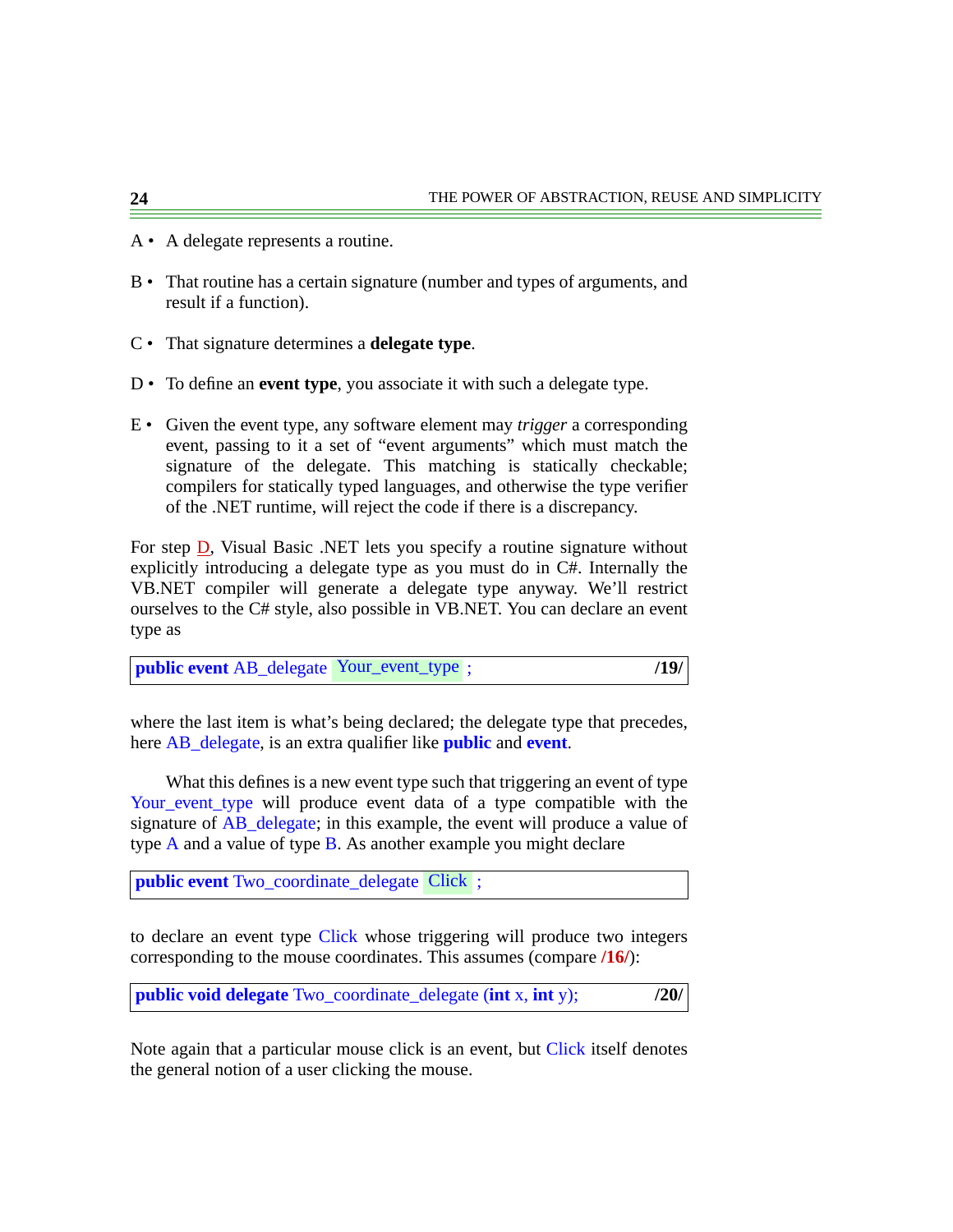- A A delegate represents a routine.
- B That routine has a certain signature (number and types of arguments, and result if a function).
- C That signature determines a **delegate type**.
- <span id="page-23-0"></span>D • To define an **event type**, you associate it with such a delegate type.
- E Given the event type, any software element may *trigger* a corresponding event, passing to it a set of "event arguments" which must match the signature of the delegate. This matching is statically checkable; compilers for statically typed languages, and otherwise the type verifier of the .NET runtime, will reject the code if there is a discrepancy.

For step **D**, Visual Basic .NET lets you specify a routine signature without explicitly introducing a delegate type as you must do in C#. Internally the VB.NET compiler will generate a delegate type anyway. We'll restrict ourselves to the C# style, also possible in VB.NET. You can declare an event type as

<span id="page-23-1"></span>

| <b>public event</b> AB_delegate Your_event_type; |  | /19 |
|--------------------------------------------------|--|-----|
|--------------------------------------------------|--|-----|

where the last item is what's being declared; the delegate type that precedes, here AB\_delegate, is an extra qualifier like **public** and **event**.

What this defines is a new event type such that triggering an event of type Your\_event\_type will produce event data of a type compatible with the signature of AB\_delegate; in this example, the event will produce a value of type  $\overline{A}$  and a value of type  $\overline{B}$ . As another example you might declare

public event Two\_coordinate\_delegate Click ;

to declare an event type Click whose triggering will produce two integers corresponding to the mouse coordinates. This assumes (compare **[/16/](#page-21-0)**):

<span id="page-23-2"></span>**public void delegate** Two\_coordinate\_delegate (**int** x, **int** y); **/20/**

Note again that a particular mouse click is an event, but Click itself denotes the general notion of a user clicking the mouse.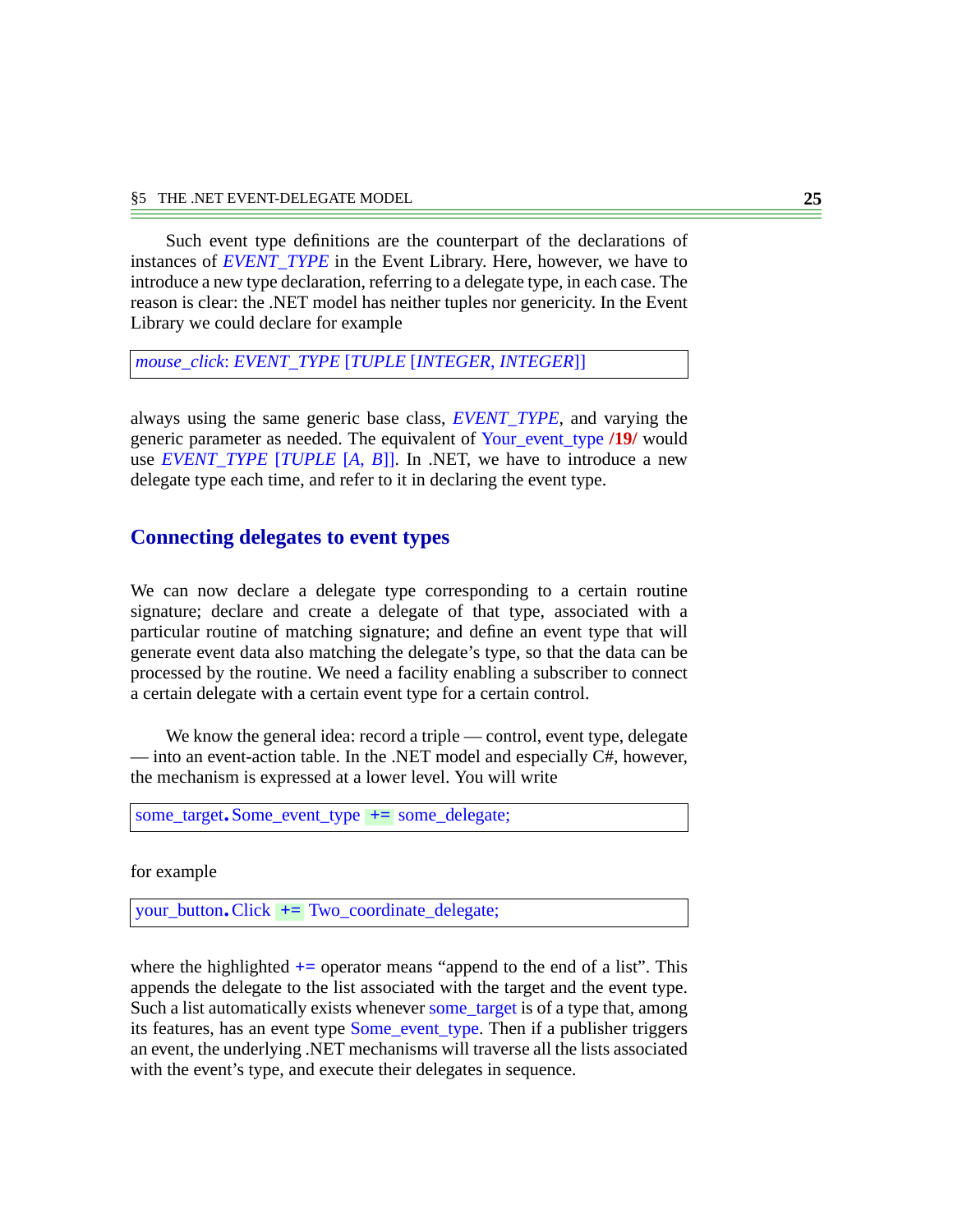Such event type definitions are the counterpart of the declarations of instances of *EVENT\_TYPE* in the Event Library. Here, however, we have to introduce a new type declaration, referring to a delegate type, in each case. The reason is clear: the .NET model has neither tuples nor genericity. In the Event Library we could declare for example

*mouse\_click*: *EVENT\_TYPE* [*TUPLE* [*INTEGER*, *INTEGER*]]

always using the same generic base class, *EVENT\_TYPE*, and varying the generic parameter as needed. The equivalent of Your\_event\_type **[/19/](#page-23-1)** would use *EVENT* TYPE [*TUPLE* [*A*, *B*]]. In .NET, we have to introduce a new delegate type each time, and refer to it in declaring the event type.

### **Connecting delegates to event types**

We can now declare a delegate type corresponding to a certain routine signature; declare and create a delegate of that type, associated with a particular routine of matching signature; and define an event type that will generate event data also matching the delegate's type, so that the data can be processed by the routine. We need a facility enabling a subscriber to connect a certain delegate with a certain event type for a certain control.

We know the general idea: record a triple — control, event type, delegate — into an event-action table. In the .NET model and especially C#, however, the mechanism is expressed at a lower level. You will write

```
some_target.Some_event_type += some_delegate;
```
for example

your\_button.Click += Two\_coordinate\_delegate;

where the highlighted  $+$  operator means "append to the end of a list". This appends the delegate to the list associated with the target and the event type. Such a list automatically exists whenever some\_target is of a type that, among its features, has an event type Some\_event\_type. Then if a publisher triggers an event, the underlying .NET mechanisms will traverse all the lists associated with the event's type, and execute their delegates in sequence.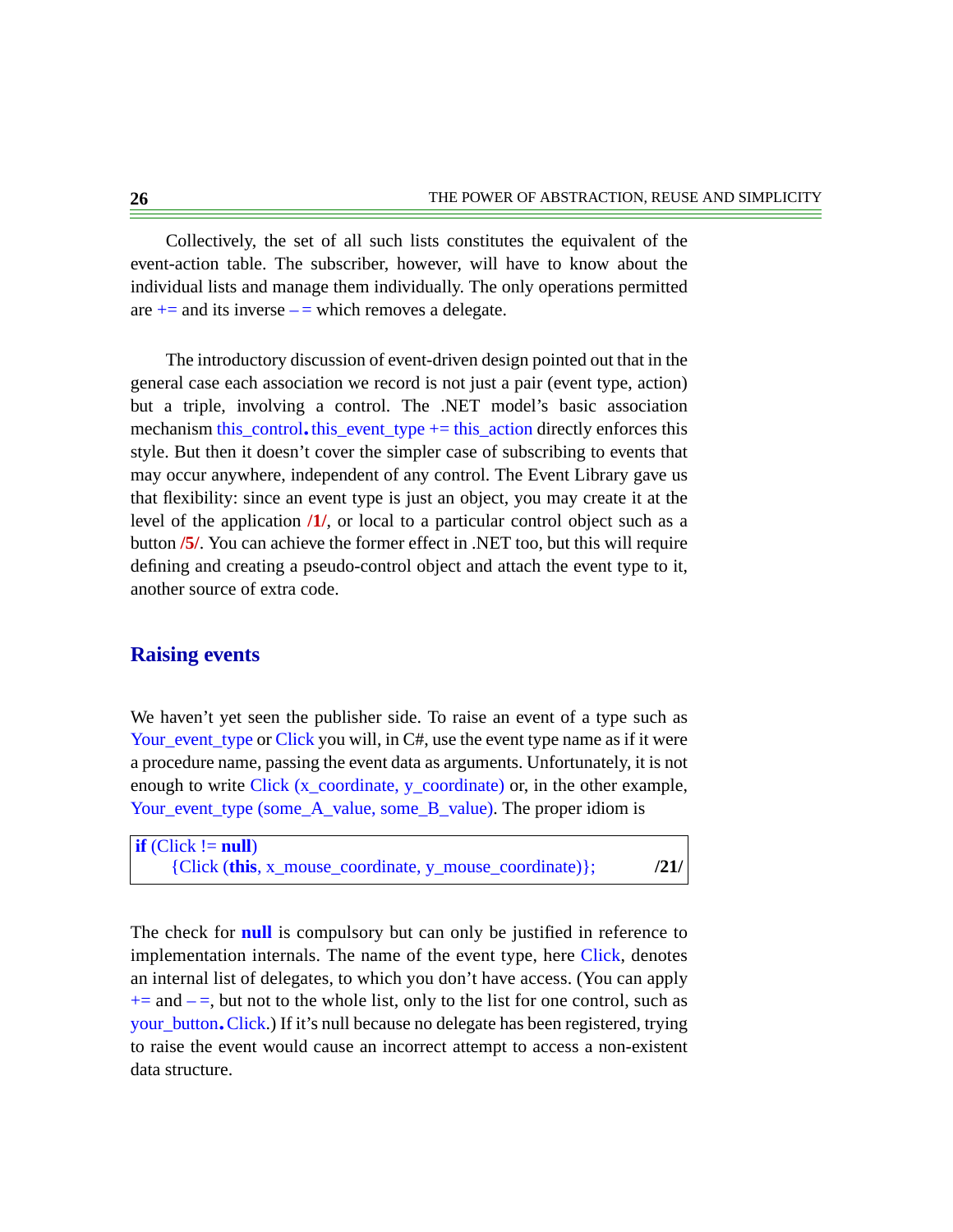Collectively, the set of all such lists constitutes the equivalent of the event-action table. The subscriber, however, will have to know about the individual lists and manage them individually. The only operations permitted are  $+=$  and its inverse  $-=$  which removes a delegate.

The introductory discussion of event-driven design pointed out that in the general case each association we record is not just a pair (event type, action) but a triple, involving a control. The .NET model's basic association mechanism this\_control.this\_event\_type += this\_action directly enforces this style. But then it doesn't cover the simpler case of subscribing to events that may occur anywhere, independent of any control. The Event Library gave us that flexibility: since an event type is just an object, you may create it at the level of the application **[/1/](#page-1-1)**, or local to a particular control object such as a button **[/5/](#page-2-0)**. You can achieve the former effect in .NET too, but this will require defining and creating a pseudo-control object and attach the event type to it, another source of extra code.

### **Raising events**

We haven't yet seen the publisher side. To raise an event of a type such as Your\_event\_type or Click you will, in C#, use the event type name as if it were a procedure name, passing the event data as arguments. Unfortunately, it is not enough to write Click (x\_coordinate, y\_coordinate) or, in the other example, Your\_event\_type (some\_A\_value, some\_B\_value). The proper idiom is

<span id="page-25-0"></span>

| <b>if</b> (Click $!=$ <b>null</b> )                     |      |
|---------------------------------------------------------|------|
| {Click (this, x_mouse_coordinate, y_mouse_coordinate)}; | /21/ |

The check for **null** is compulsory but can only be justified in reference to implementation internals. The name of the event type, here Click, denotes an internal list of delegates, to which you don't have access. (You can apply  $+=$  and  $-=$ , but not to the whole list, only to the list for one control, such as your\_button.Click.) If it's null because no delegate has been registered, trying to raise the event would cause an incorrect attempt to access a non-existent data structure.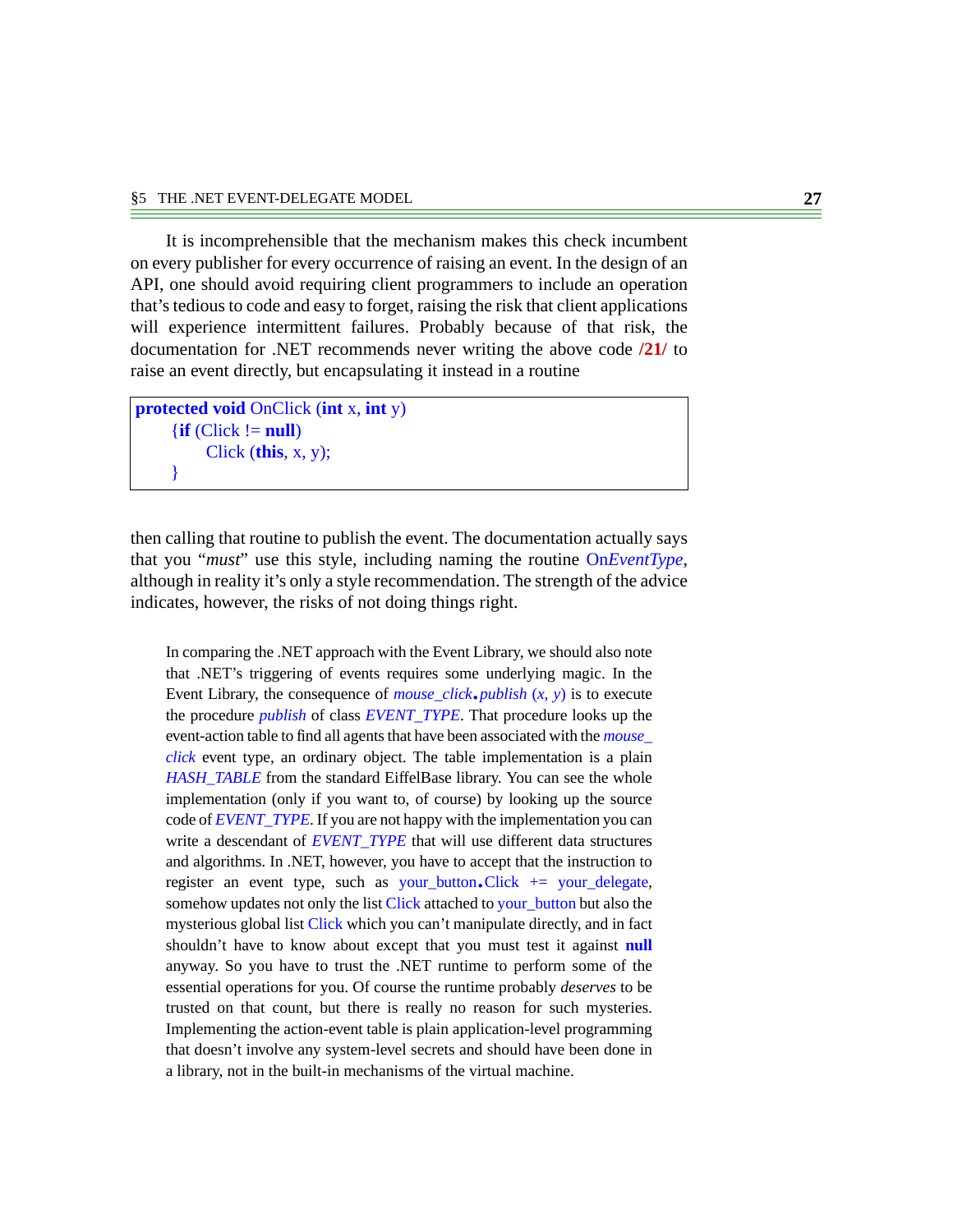It is incomprehensible that the mechanism makes this check incumbent on every publisher for every occurrence of raising an event. In the design of an API, one should avoid requiring client programmers to include an operation that's tedious to code and easy to forget, raising the risk that client applications will experience intermittent failures. Probably because of that risk, the documentation for .NET recommends never writing the above code **[/21/](#page-25-0)** to raise an event directly, but encapsulating it instead in a routine

```
protected void OnClick (int x, int y)
     \{if (Click != null)Click (this, x, y);
     }
```
then calling that routine to publish the event. The documentation actually says that you "*must*" use this style, including naming the routine On*EventType*, although in reality it's only a style recommendation. The strength of the advice indicates, however, the risks of not doing things right.

In comparing the .NET approach with the Event Library, we should also note that .NET's triggering of events requires some underlying magic. In the Event Library, the consequence of *mouse\_click*.*publish* (*x*, *<sup>y</sup>*) is to execute the procedure *publish* of class *EVENT\_TYPE*. That procedure looks up the event-action table to find all agents that have been associated with the *mouse\_ click* event type, an ordinary object. The table implementation is a plain *HASH\_TABLE* from the standard EiffelBase library. You can see the whole implementation (only if you want to, of course) by looking up the source code of *EVENT\_TYPE*. If you are not happy with the implementation you can write a descendant of *EVENT\_TYPE* that will use different data structures and algorithms. In .NET, however, you have to accept that the instruction to register an event type, such as your\_button.Click  $+=$  your\_delegate, somehow updates not only the list Click attached to your button but also the mysterious global list Click which you can't manipulate directly, and in fact shouldn't have to know about except that you must test it against **null** anyway. So you have to trust the .NET runtime to perform some of the essential operations for you. Of course the runtime probably *deserves* to be trusted on that count, but there is really no reason for such mysteries. Implementing the action-event table is plain application-level programming that doesn't involve any system-level secrets and should have been done in a library, not in the built-in mechanisms of the virtual machine.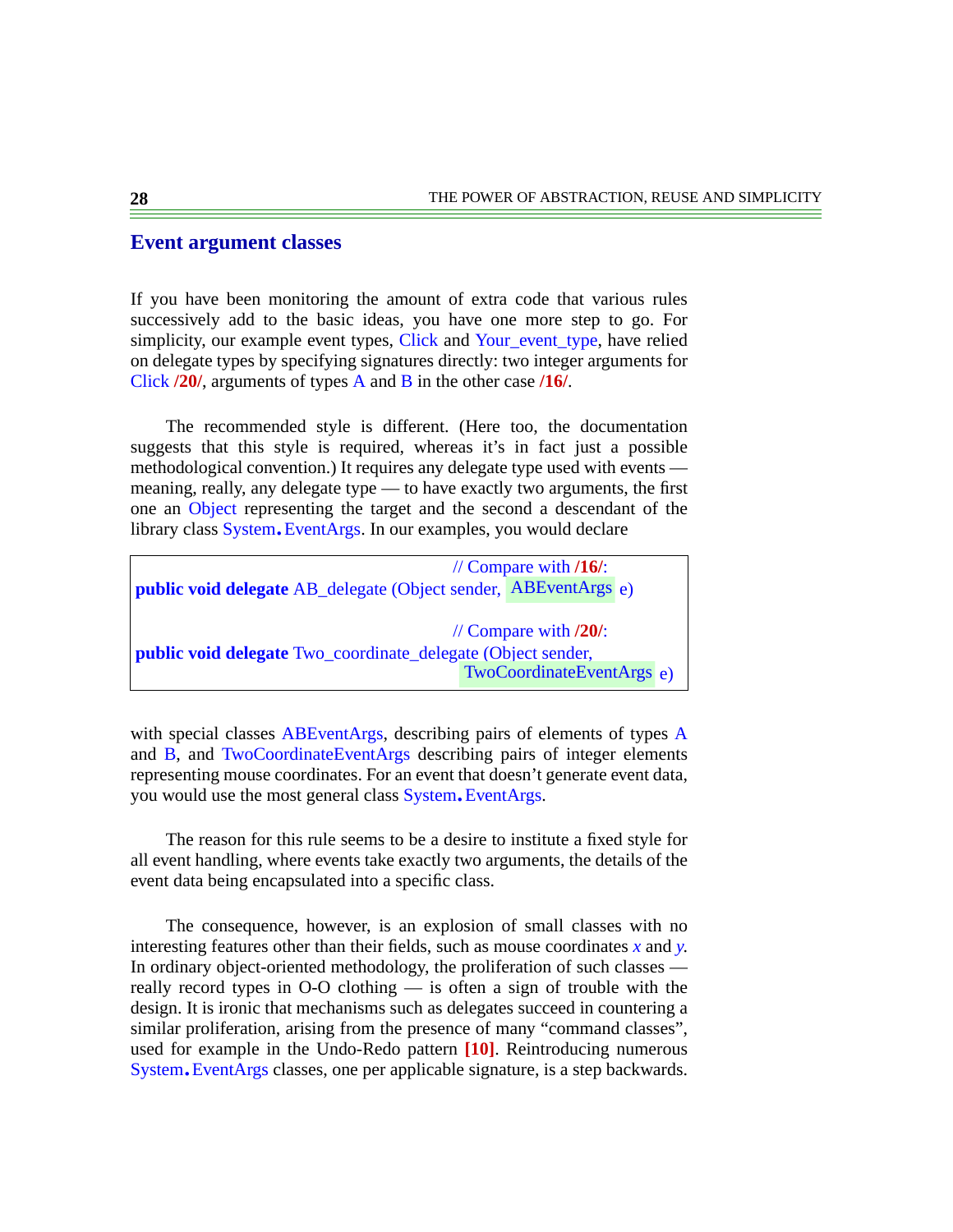# **Event argument classes**

If you have been monitoring the amount of extra code that various rules successively add to the basic ideas, you have one more step to go. For simplicity, our example event types, Click and Your\_event\_type, have relied on delegate types by specifying signatures directly: two integer arguments for Click **[/20/](#page-23-2)**, arguments of types A and B in the other case **[/16/](#page-21-0)**.

The recommended style is different. (Here too, the documentation suggests that this style is required, whereas it's in fact just a possible methodological convention.) It requires any delegate type used with events meaning, really, any delegate type — to have exactly two arguments, the first one an Object representing the target and the second a descendant of the library class System.EventArgs. In our examples, you would declare

| // Compare with $/16$ :                                             |                           |  |
|---------------------------------------------------------------------|---------------------------|--|
| public void delegate AB_delegate (Object sender, ABEventArgs e)     |                           |  |
|                                                                     |                           |  |
|                                                                     | // Compare with $/20$ :   |  |
| <b>public void delegate</b> Two_coordinate_delegate (Object sender, |                           |  |
|                                                                     | TwoCoordinateEventArgs e) |  |

with special classes ABEventArgs, describing pairs of elements of types A and B, and TwoCoordinateEventArgs describing pairs of integer elements representing mouse coordinates. For an event that doesn't generate event data, you would use the most general class System.EventArgs.

The reason for this rule seems to be a desire to institute a fixed style for all event handling, where events take exactly two arguments, the details of the event data being encapsulated into a specific class.

The consequence, however, is an explosion of small classes with no interesting features other than their fields, such as mouse coordinates *x* and *y*. In ordinary object-oriented methodology, the proliferation of such classes really record types in O-O clothing — is often a sign of trouble with the design. It is ironic that mechanisms such as delegates succeed in countering a similar proliferation, arising from the presence of many "command classes", used for example in the Undo-Redo pattern **[\[10\]](#page-44-8)**. Reintroducing numerous System.EventArgs classes, one per applicable signature, is a step backwards.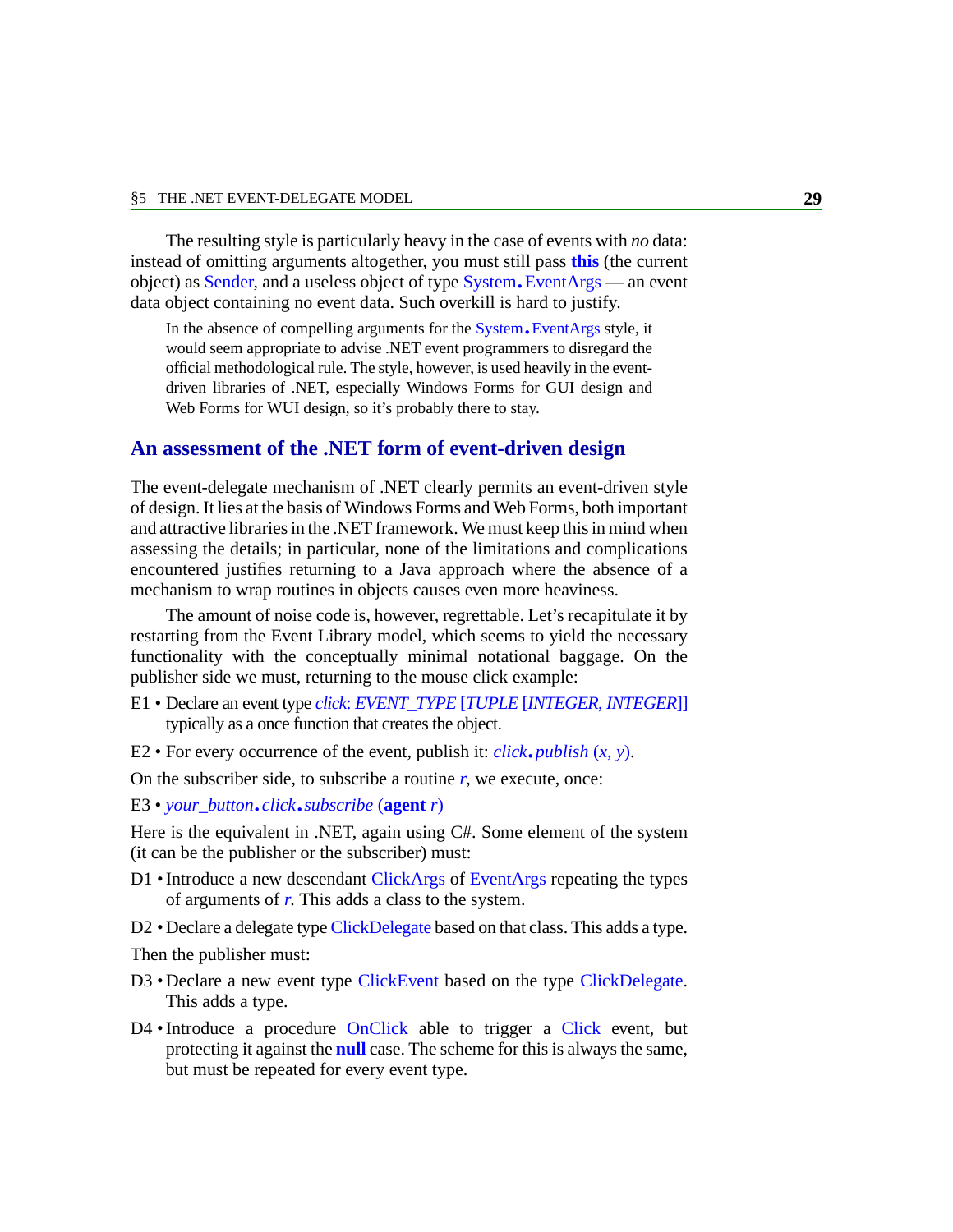The resulting style is particularly heavy in the case of events with *no* data: instead of omitting arguments altogether, you must still pass **this** (the current object) as Sender, and a useless object of type System.EventArgs — an event data object containing no event data. Such overkill is hard to justify.

In the absence of compelling arguments for the **System**. EventArgs style, it would seem appropriate to advise .NET event programmers to disregard the official methodological rule. The style, however, is used heavily in the eventdriven libraries of .NET, especially Windows Forms for GUI design and Web Forms for WUI design, so it's probably there to stay.

#### <span id="page-28-1"></span>**An assessment of the .NET form of event-driven design**

The event-delegate mechanism of .NET clearly permits an event-driven style of design. It lies at the basis of Windows Forms and Web Forms, both important and attractive libraries in the .NET framework. We must keep this in mind when assessing the details; in particular, none of the limitations and complications encountered justifies returning to a Java approach where the absence of a mechanism to wrap routines in objects causes even more heaviness.

The amount of noise code is, however, regrettable. Let's recapitulate it by restarting from the Event Library model, which seems to yield the necessary functionality with the conceptually minimal notational baggage. On the publisher side we must, returning to the mouse click example:

- E1 Declare an event type *click*: *EVENT\_TYPE* [*TUPLE* [*INTEGER*, *INTEGER*]] typically as a once function that creates the object.
- E2 For every occurrence of the event, publish it: *click*.*publish* (*x*, *y*).

On the subscriber side, to subscribe a routine *r*, we execute, once:

<span id="page-28-0"></span>E3 • *your\_button*.*click*.*subscribe* (**agent** *r*)

Here is the equivalent in .NET, again using C#. Some element of the system (it can be the publisher or the subscriber) must:

- D1 Introduce a new descendant ClickArgs of EventArgs repeating the types of arguments of *r*. This adds a class to the system.
- D2 Declare a delegate type ClickDelegate based on that class. This adds a type.

Then the publisher must:

- D3 Declare a new event type ClickEvent based on the type ClickDelegate. This adds a type.
- D4 Introduce a procedure OnClick able to trigger a Click event, but protecting it against the **null** case. The scheme for this is always the same, but must be repeated for every event type.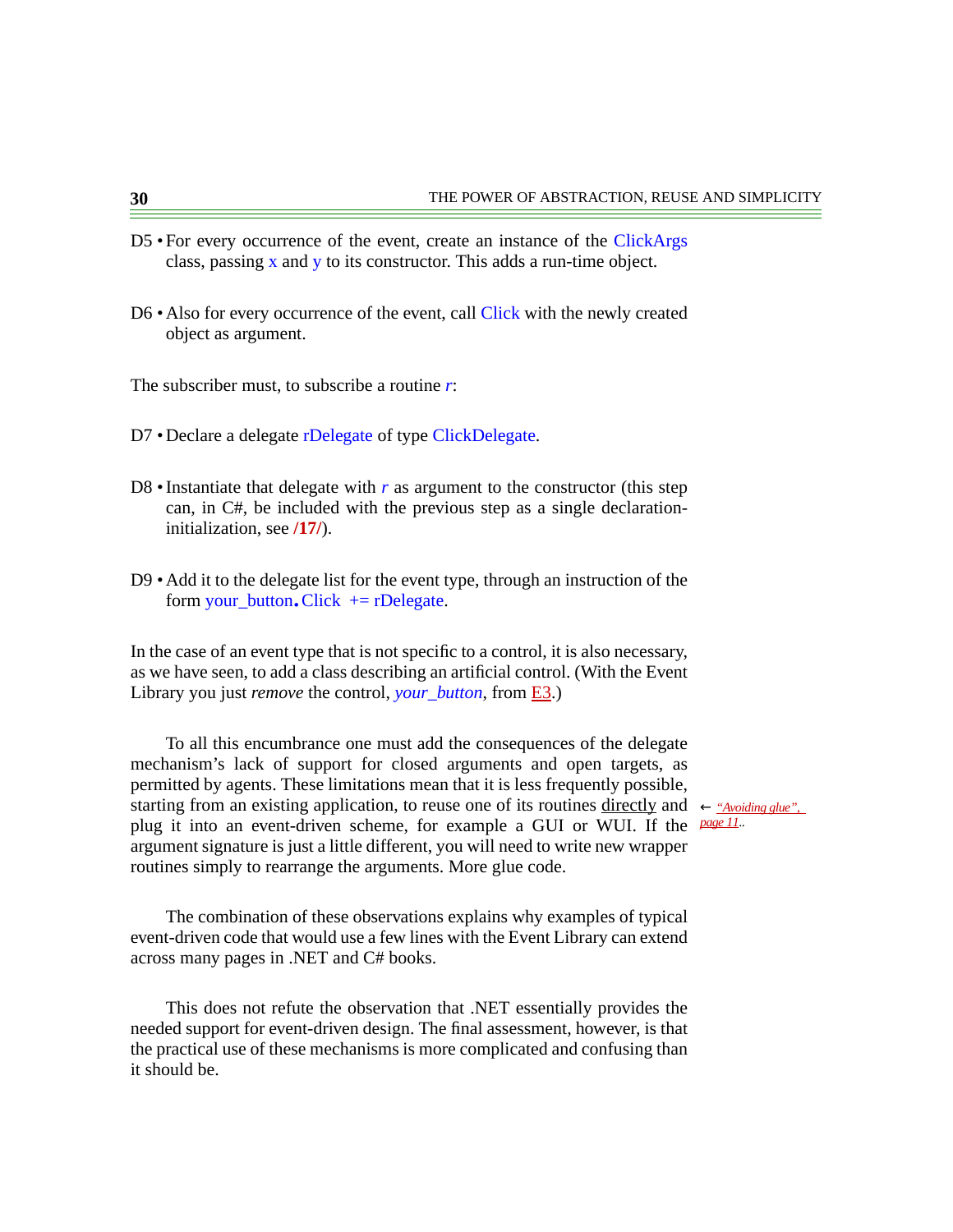- D5 For every occurrence of the event, create an instance of the ClickArgs class, passing x and y to its constructor. This adds a run-time object.
- D6 Also for every occurrence of the event, call Click with the newly created object as argument.

The subscriber must, to subscribe a routine *r*:

- D7 Declare a delegate rDelegate of type ClickDelegate.
- D8 Instantiate that delegate with  $r$  as argument to the constructor (this step can, in C#, be included with the previous step as a single declarationinitialization, see **[/17/](#page-21-1)**).
- D9 Add it to the delegate list for the event type, through an instruction of the form your\_button. Click  $+=$  rDelegate.

In the case of an event type that is not specific to a control, it is also necessary, as we have seen, to add a class describing an artificial control. (With the Event Library you just *remove* the control, *your\_button*, from E[3](#page-28-0).)

To all this encumbrance one must add the consequences of the delegate mechanism's lack of support for closed arguments and open targets, as permitted by agents. These limitations mean that it is less frequently possible, starting from an existing application, to reuse one of its routines directly and ← *["Avoiding glue",](#page-10-1)* plug it into an event-driven scheme, for example a GUI or WUI. If the *[page 11](#page-10-1)*. argument signature is just a little different, you will need to write new wrapper routines simply to rearrange the arguments. More glue code.

The combination of these observations explains why examples of typical event-driven code that would use a few lines with the Event Library can extend across many pages in .NET and C# books.

This does not refute the observation that .NET essentially provides the needed support for event-driven design. The final assessment, however, is that the practical use of these mechanisms is more complicated and confusing than it should be.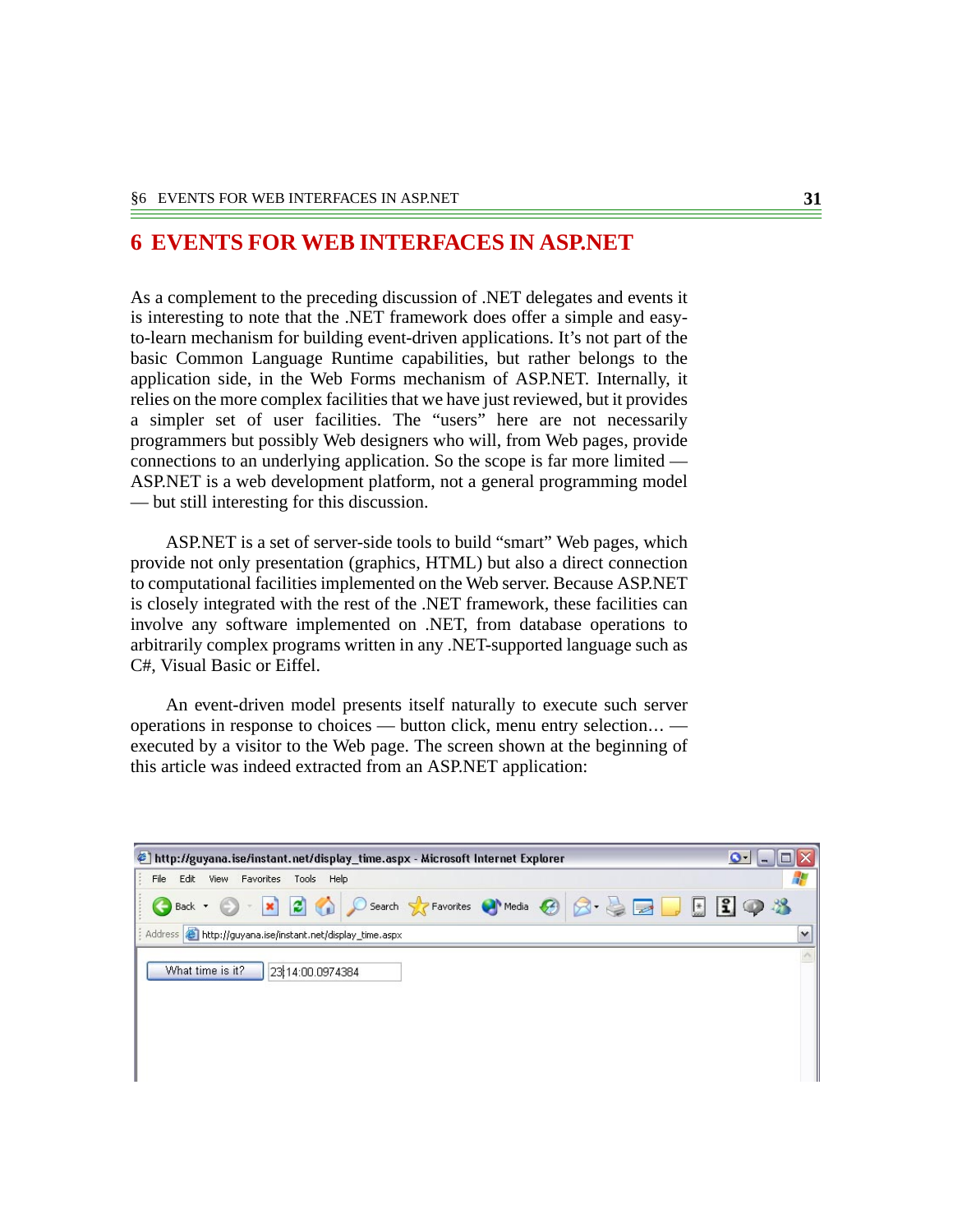# <span id="page-30-0"></span>**6 EVENTS FOR WEB INTERFACES IN ASP.NET**

As a complement to the preceding discussion of .NET delegates and events it is interesting to note that the .NET framework does offer a simple and easyto-learn mechanism for building event-driven applications. It's not part of the basic Common Language Runtime capabilities, but rather belongs to the application side, in the Web Forms mechanism of ASP.NET. Internally, it relies on the more complex facilities that we have just reviewed, but it provides a simpler set of user facilities. The "users" here are not necessarily programmers but possibly Web designers who will, from Web pages, provide connections to an underlying application. So the scope is far more limited — ASP.NET is a web development platform, not a general programming model — but still interesting for this discussion.

ASP.NET is a set of server-side tools to build "smart" Web pages, which provide not only presentation (graphics, HTML) but also a direct connection to computational facilities implemented on the Web server. Because ASP.NET is closely integrated with the rest of the .NET framework, these facilities can involve any software implemented on .NET, from database operations to arbitrarily complex programs written in any .NET-supported language such as C#, Visual Basic or Eiffel.

An event-driven model presents itself naturally to execute such server operations in response to choices — button click, menu entry selection… executed by a visitor to the Web page. The screen shown at the beginning of this article was indeed extracted from an ASP.NET application:

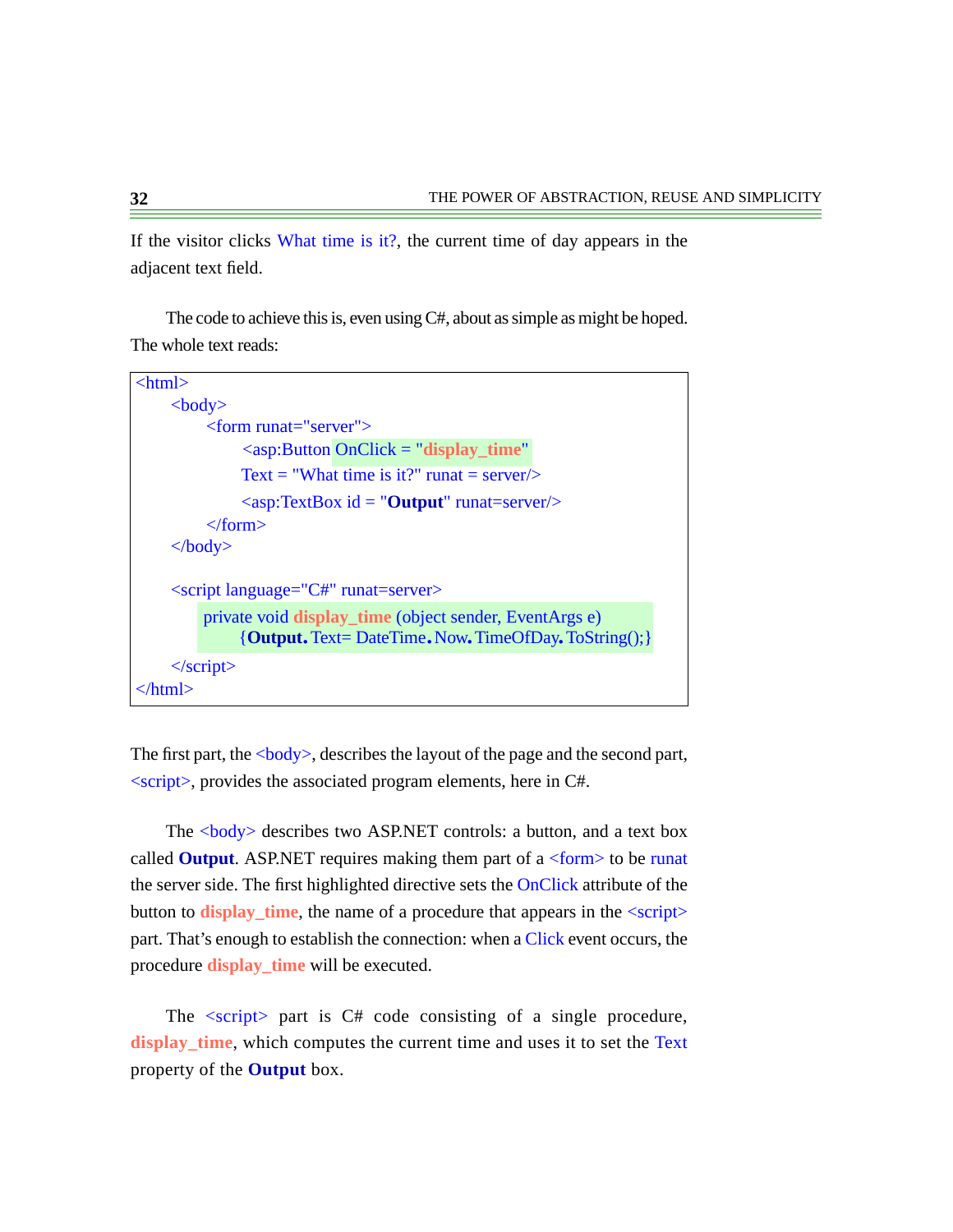If the visitor clicks What time is it?, the current time of day appears in the adjacent text field.

The code to achieve this is, even using C#, about as simple as might be hoped. The whole text reads:

```
<html>
    <body>
        <form runat="server">
             Text = "What time is it?" runat = server<asp:TextBox id = "Output" runat=server/>
         </form>
    </body>
    <script language="C#" runat=server>
    </script>
</html>
             <asp:Button OnClick = "display_time"
        private void display_time (object sender, EventArgs e)
             {Output.Text= DateTime.Now.TimeOfDay.ToString();}
```
The first part, the  $\langle \text{body} \rangle$ , describes the layout of the page and the second part,  $\le$ script $>$ , provides the associated program elements, here in C#.

The  $\langle \text{body} \rangle$  describes two ASP.NET controls: a button, and a text box called **Output**. ASP.NET requires making them part of a <form> to be runat the server side. The first highlighted directive sets the OnClick attribute of the button to **display\_time**, the name of a procedure that appears in the  $\langle \text{script} \rangle$ part. That's enough to establish the connection: when a Click event occurs, the procedure **display\_time** will be executed.

The  $\langle$ script $\rangle$  part is C# code consisting of a single procedure, **display\_time**, which computes the current time and uses it to set the Text property of the **Output** box.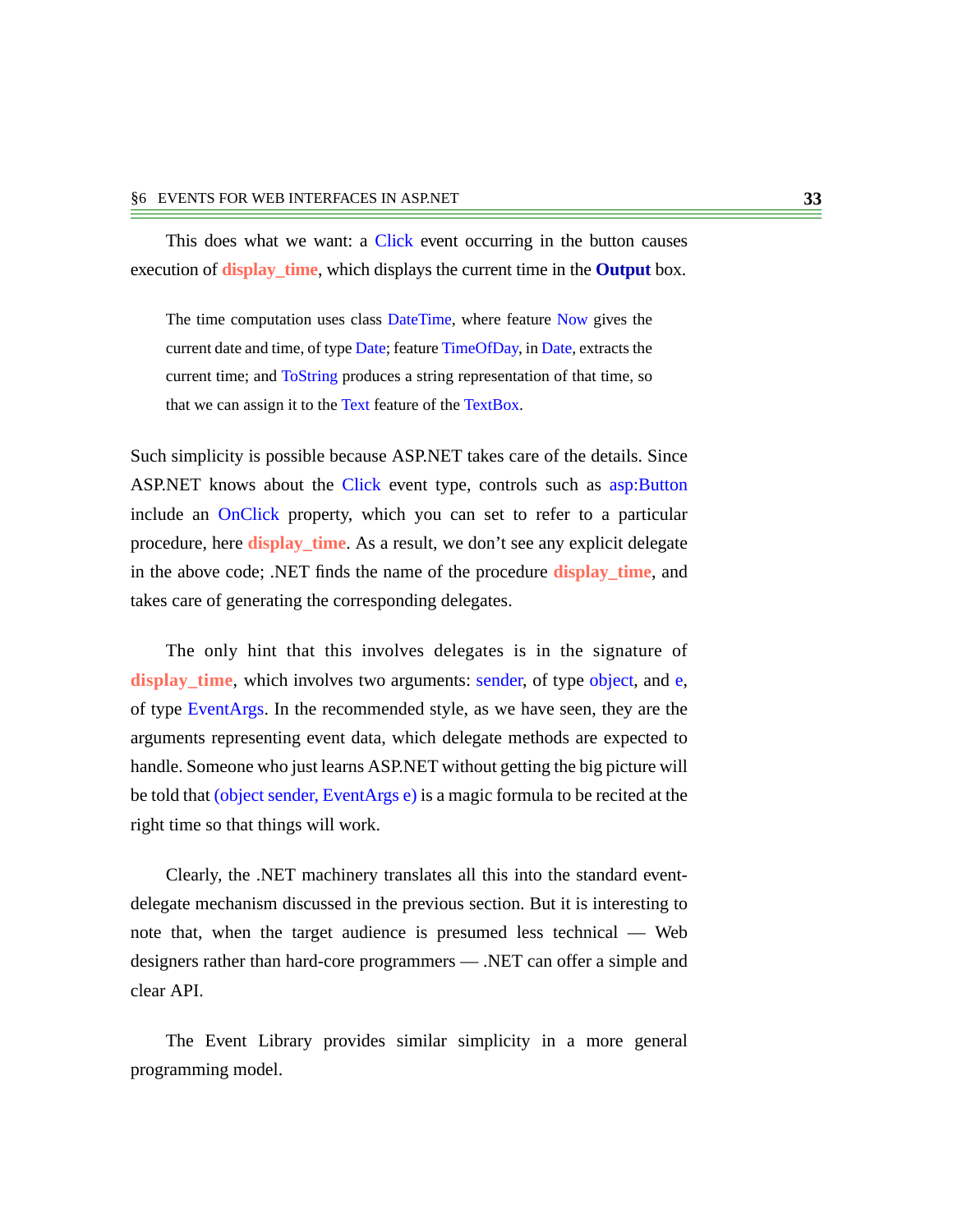This does what we want: a Click event occurring in the button causes execution of **display\_time**, which displays the current time in the **Output** box.

The time computation uses class DateTime, where feature Now gives the current date and time, of type Date; feature TimeOfDay, in Date, extracts the current time; and ToString produces a string representation of that time, so that we can assign it to the Text feature of the TextBox.

Such simplicity is possible because ASP.NET takes care of the details. Since ASP.NET knows about the Click event type, controls such as asp:Button include an OnClick property, which you can set to refer to a particular procedure, here **display\_time**. As a result, we don't see any explicit delegate in the above code; .NET finds the name of the procedure **display\_time**, and takes care of generating the corresponding delegates.

The only hint that this involves delegates is in the signature of display\_time, which involves two arguments: sender, of type object, and e, of type EventArgs. In the recommended style, as we have seen, they are the arguments representing event data, which delegate methods are expected to handle. Someone who just learns ASP.NET without getting the big picture will be told that (object sender, EventArgs e) is a magic formula to be recited at the right time so that things will work.

Clearly, the .NET machinery translates all this into the standard eventdelegate mechanism discussed in the previous section. But it is interesting to note that, when the target audience is presumed less technical — Web designers rather than hard-core programmers — .NET can offer a simple and clear API.

The Event Library provides similar simplicity in a more general programming model.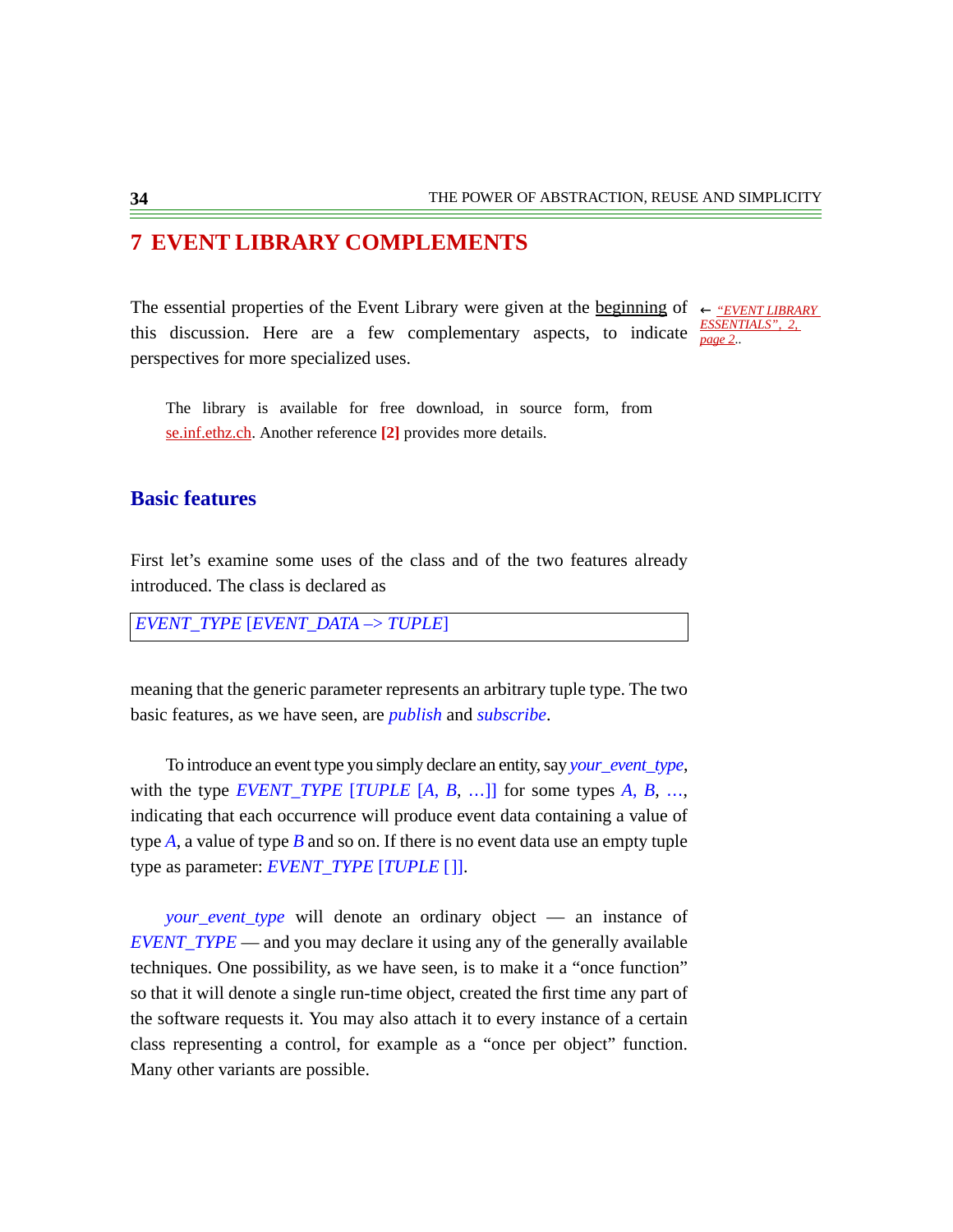# <span id="page-33-0"></span>**7 EVENT LIBRARY COMPLEMENTS**

The essential properties of the Event Library were given at the beginning of ← *"EVENT [LIBRARY](#page-1-0)* this discussion. Here are a few complementary aspects, to indicate perspectives for more specialized uses. *[ESSENTIALS", 2,](#page-1-0) [page 2](#page-1-0)*..

The library is available for free download, in source form, from [se.inf.ethz.ch.](http://se.inf.ethz.ch) Another reference **[\[2\]](#page-43-0)** provides more details.

### **Basic features**

First let's examine some uses of the class and of the two features already introduced. The class is declared as

*EVENT\_TYPE* [*EVENT\_DATA –*> *TUPLE*]

meaning that the generic parameter represents an arbitrary tuple type. The two basic features, as we have seen, are *publish* and *subscribe*.

To introduce an event type you simply declare an entity, say *your\_event\_type*, with the type  $EVENT$  *TYPE* [*TUPLE* [*A*, *B*, ...]] for some types *A*, *B*, ..., indicating that each occurrence will produce event data containing a value of type *A*, a value of type *B* and so on. If there is no event data use an empty tuple type as parameter: *EVENT\_TYPE* [*TUPLE* []].

*your\_event\_type* will denote an ordinary object — an instance of *EVENT\_TYPE* — and you may declare it using any of the generally available techniques. One possibility, as we have seen, is to make it a "once function" so that it will denote a single run-time object, created the first time any part of the software requests it. You may also attach it to every instance of a certain class representing a control, for example as a "once per object" function. Many other variants are possible.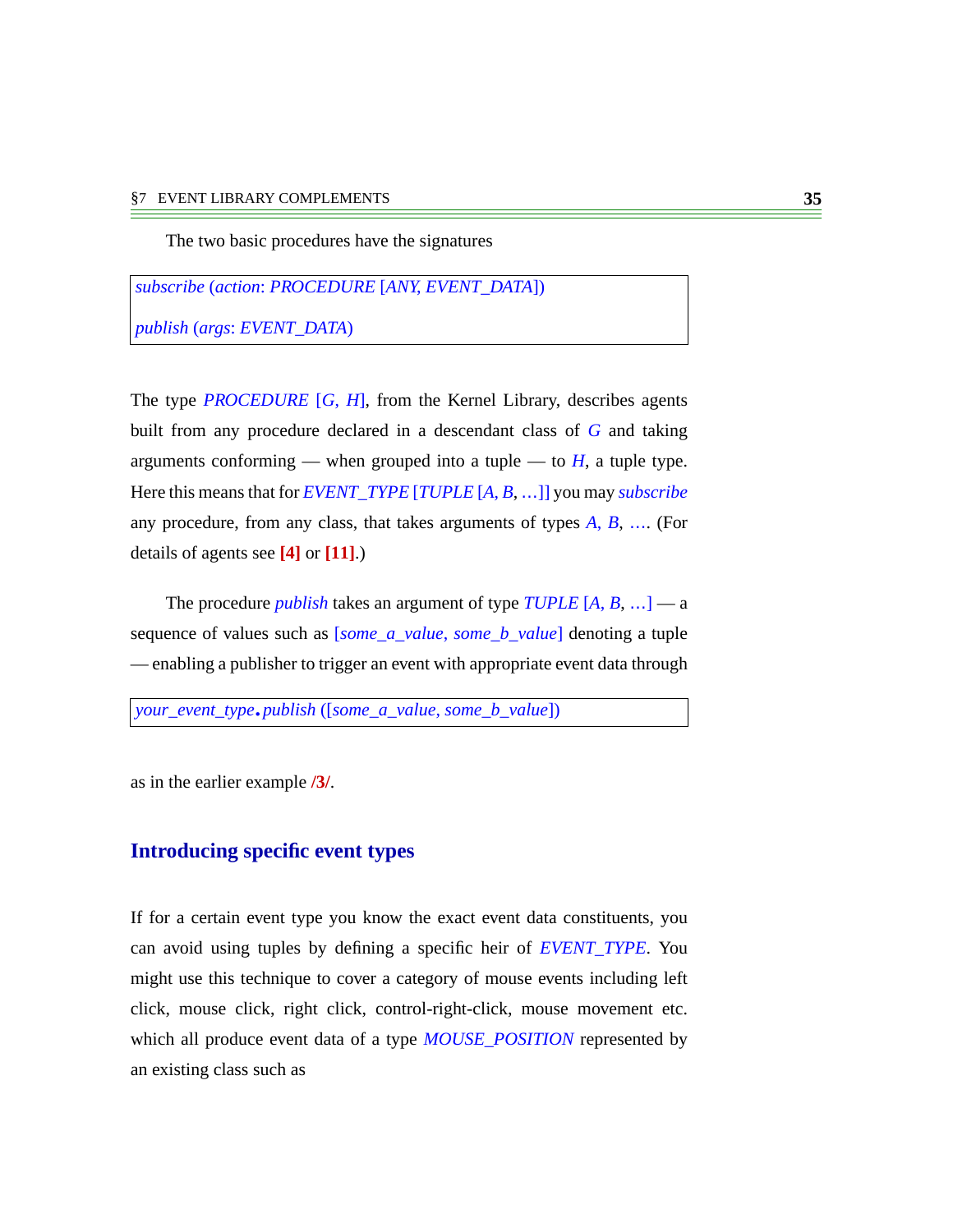The two basic procedures have the signatures

*subscribe* (*action*: *PROCEDURE* [*ANY*, *EVENT\_DATA*])

*publish* (*args*: *EVENT\_DATA*)

The type *PROCEDURE* [*G*, *H*], from the Kernel Library, describes agents built from any procedure declared in a descendant class of *G* and taking arguments conforming — when grouped into a tuple — to  $H$ , a tuple type. Here this means that for *EVENT\_TYPE* [*TUPLE* [*A*, *B*, …]] you may *subscribe* any procedure, from any class, that takes arguments of types *A*, *B*, …. (For details of agents see **[\[4\]](#page-43-1)** or **[\[11\]](#page-44-9)**.)

The procedure *publish* takes an argument of type *TUPLE*  $[A, B, \ldots]$  — a sequence of values such as [*some\_a\_value*, *some\_b\_value*] denoting a tuple — enabling a publisher to trigger an event with appropriate event data through

*your\_event\_type*.*publish* ([*some\_a\_value*, *some\_b\_value*])

as in the earlier example **[/3/](#page-1-3)**.

#### **Introducing specific event types**

If for a certain event type you know the exact event data constituents, you can avoid using tuples by defining a specific heir of *EVENT\_TYPE*. You might use this technique to cover a category of mouse events including left click, mouse click, right click, control-right-click, mouse movement etc. which all produce event data of a type *MOUSE\_POSITION* represented by an existing class such as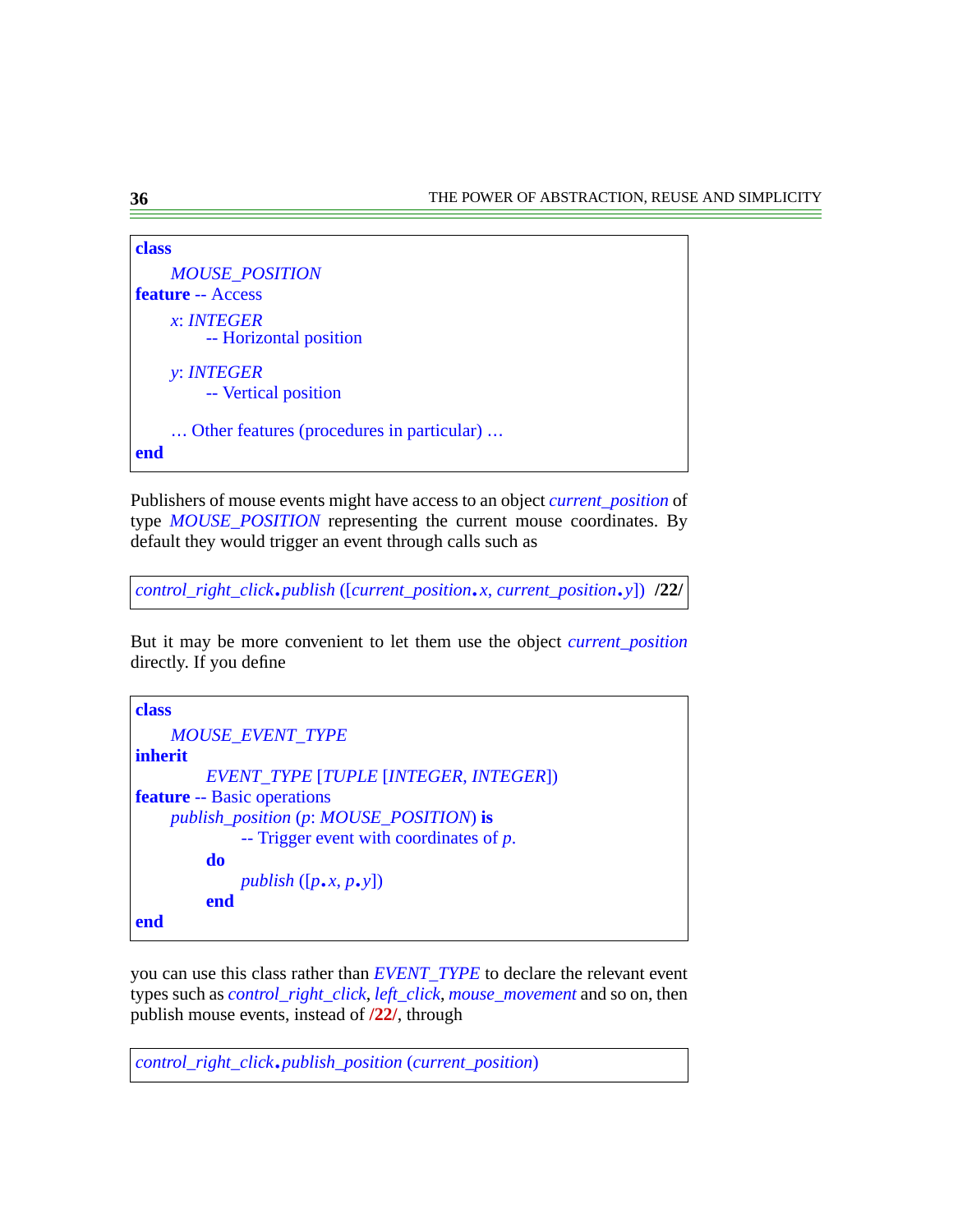| <b>LIGNS</b>                                            |
|---------------------------------------------------------|
| <b>MOUSE POSITION</b>                                   |
| <b>feature</b> -- Access                                |
| x: INTEGER<br>-- Horizontal position                    |
| y: <b>INTEGER</b><br>-- Vertical position               |
| Other features (procedures in particular)<br><b>And</b> |

Publishers of mouse events might have access to an object *current\_position* of type *MOUSE\_POSITION* representing the current mouse coordinates. By default they would trigger an event through calls such as

<span id="page-35-0"></span>*control\_right\_click*.*publish* ([*current\_position*.*x*, *current\_position*.*y*]) **/22/**

But it may be more convenient to let them use the object *current\_position* directly. If you define

```
class
    MOUSE_EVENT_TYPE
inherit
        EVENT_TYPE [TUPLE [INTEGER, INTEGER])
feature -- Basic operations
    publish_position (p: MOUSE_POSITION) is
             -- Trigger event with coordinates of p.
        do
             publish ([p.x, p.y])
        end
end
```
you can use this class rather than *EVENT\_TYPE* to declare the relevant event types such as *control\_right\_click*, *left\_click*, *mouse\_movement* and so on, then publish mouse events, instead of **[/22/](#page-35-0)**, through

*control\_right\_click*.*publish\_position* (*current\_position*)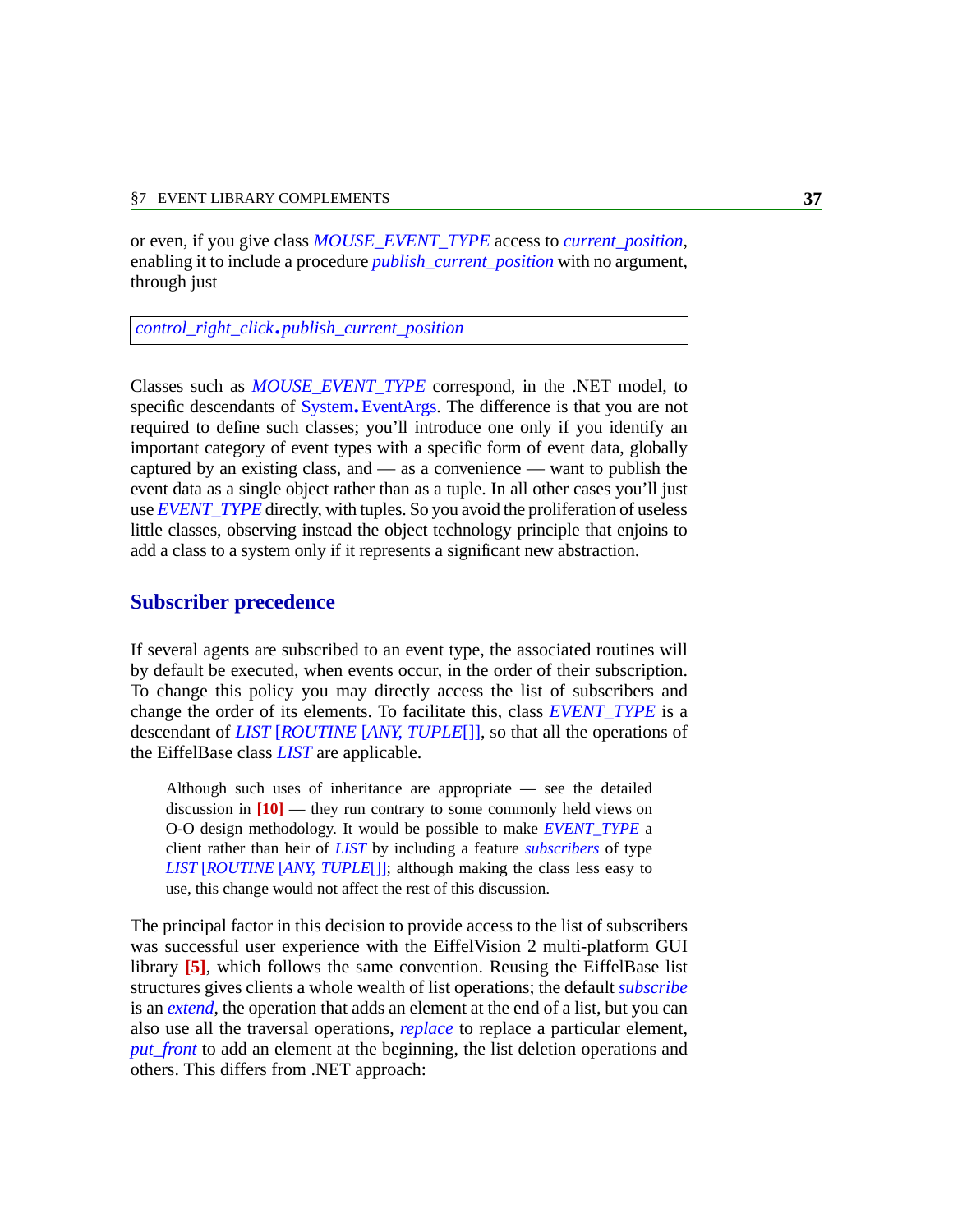or even, if you give class *MOUSE\_EVENT\_TYPE* access to *current\_position*, enabling it to include a procedure *publish\_current\_position* with no argument, through just

*control\_right\_click*.*publish\_current\_position*

Classes such as *MOUSE\_EVENT\_TYPE* correspond, in the .NET model, to specific descendants of System. EventArgs. The difference is that you are not required to define such classes; you'll introduce one only if you identify an important category of event types with a specific form of event data, globally captured by an existing class, and — as a convenience — want to publish the event data as a single object rather than as a tuple. In all other cases you'll just use *EVENT* TYPE directly, with tuples. So you avoid the proliferation of useless little classes, observing instead the object technology principle that enjoins to add a class to a system only if it represents a significant new abstraction.

#### **Subscriber precedence**

If several agents are subscribed to an event type, the associated routines will by default be executed, when events occur, in the order of their subscription. To change this policy you may directly access the list of subscribers and change the order of its elements. To facilitate this, class *EVENT\_TYPE* is a descendant of *LIST* [*ROUTINE* [*ANY*, *TUPLE*[]], so that all the operations of the EiffelBase class *LIST* are applicable.

Although such uses of inheritance are appropriate — see the detailed discussion in **[\[10\]](#page-44-8)** — they run contrary to some commonly held views on O-O design methodology. It would be possible to make *EVENT\_TYPE* a client rather than heir of *LIST* by including a feature *subscribers* of type *LIST* [*ROUTINE* [*ANY*, *TUPLE*[]]; although making the class less easy to use, this change would not affect the rest of this discussion.

The principal factor in this decision to provide access to the list of subscribers was successful user experience with the EiffelVision 2 multi-platform GUI library **[\[5\]](#page-44-10)**, which follows the same convention. Reusing the EiffelBase list structures gives clients a whole wealth of list operations; the default *subscribe* is an *extend*, the operation that adds an element at the end of a list, but you can also use all the traversal operations, *replace* to replace a particular element, *put\_front* to add an element at the beginning, the list deletion operations and others. This differs from .NET approach: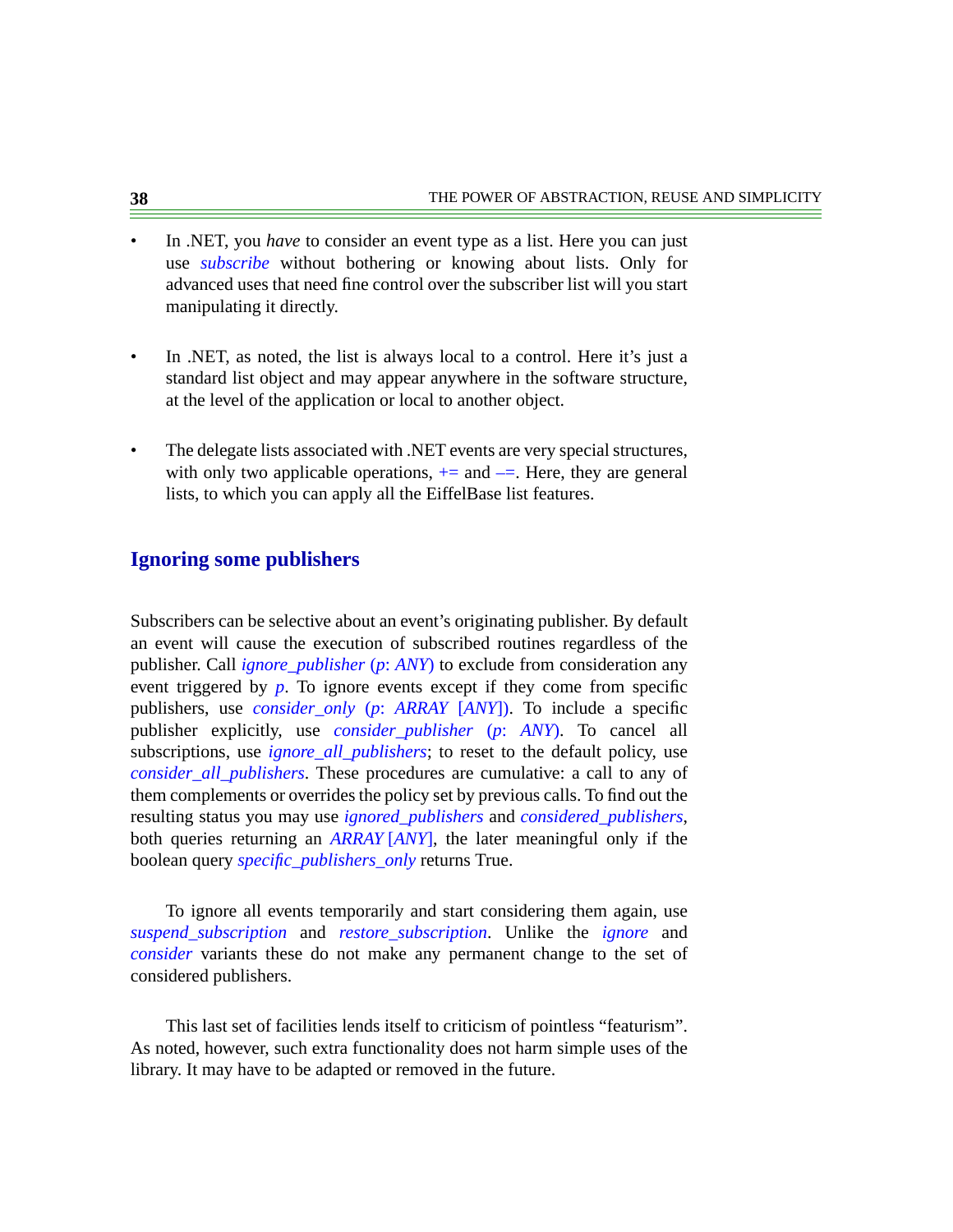- In .NET, you *have* to consider an event type as a list. Here you can just use *subscribe* without bothering or knowing about lists. Only for advanced uses that need fine control over the subscriber list will you start manipulating it directly.
- In .NET, as noted, the list is always local to a control. Here it's just a standard list object and may appear anywhere in the software structure, at the level of the application or local to another object.
- The delegate lists associated with .NET events are very special structures, with only two applicable operations,  $+=$  and  $==$ . Here, they are general lists, to which you can apply all the EiffelBase list features.

### **Ignoring some publishers**

Subscribers can be selective about an event's originating publisher. By default an event will cause the execution of subscribed routines regardless of the publisher. Call *ignore\_publisher* (*p*: *ANY*) to exclude from consideration any event triggered by  $p$ . To ignore events except if they come from specific publishers, use *consider\_only* (*p*: *ARRAY* [*ANY*]). To include a specific publisher explicitly, use *consider\_publisher* (*p*: *ANY*). To cancel all subscriptions, use *ignore\_all\_publishers*; to reset to the default policy, use *consider\_all\_publishers*. These procedures are cumulative: a call to any of them complements or overrides the policy set by previous calls. To find out the resulting status you may use *ignored\_publishers* and *considered\_publishers*, both queries returning an *ARRAY* [*ANY*], the later meaningful only if the boolean query *specific\_publishers\_only* returns True.

To ignore all events temporarily and start considering them again, use *suspend\_subscription* and *restore\_subscription*. Unlike the *ignore* and *consider* variants these do not make any permanent change to the set of considered publishers.

This last set of facilities lends itself to criticism of pointless "featurism". As noted, however, such extra functionality does not harm simple uses of the library. It may have to be adapted or removed in the future.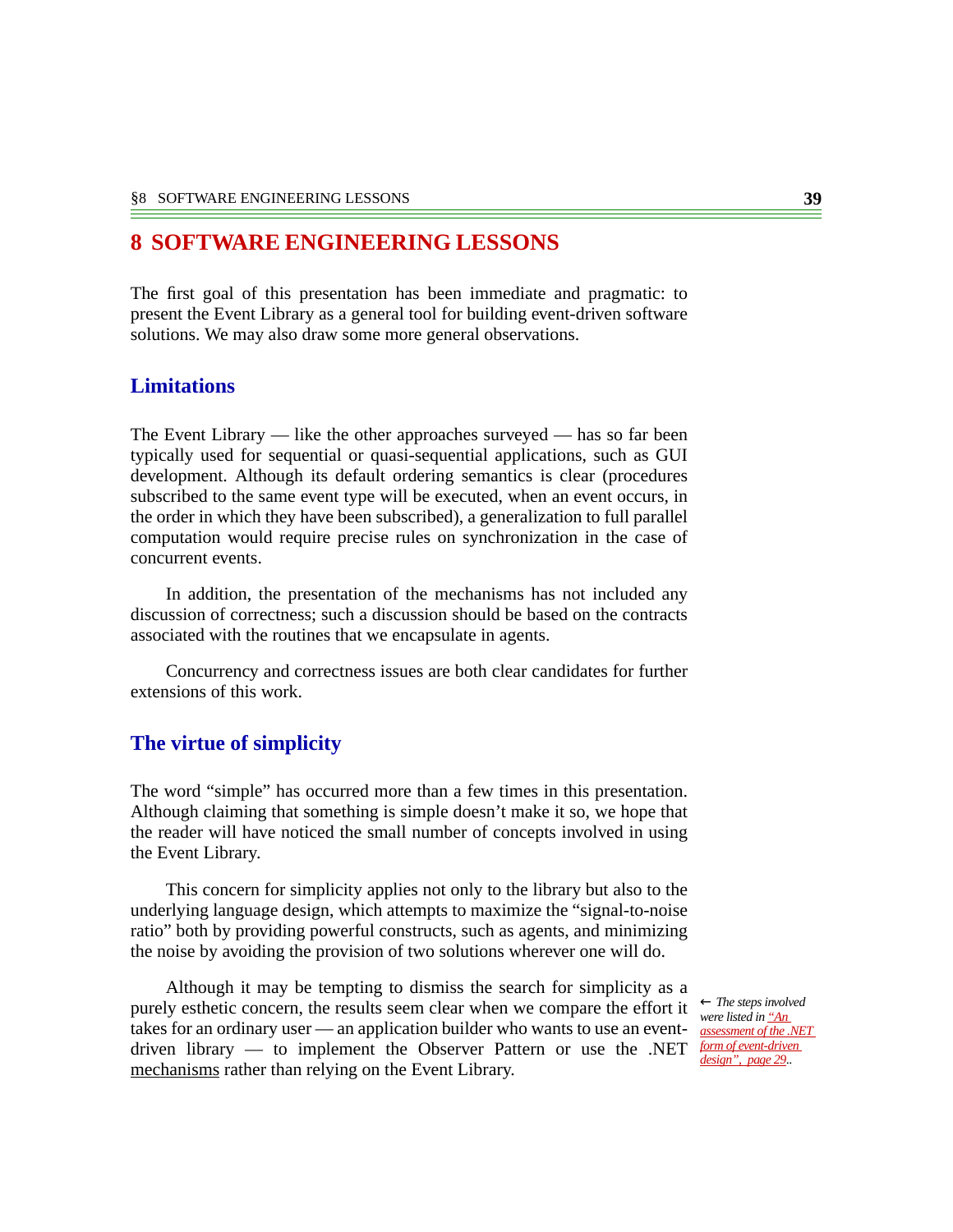# <span id="page-38-0"></span>**8 SOFTWARE ENGINEERING LESSONS**

The first goal of this presentation has been immediate and pragmatic: to present the Event Library as a general tool for building event-driven software solutions. We may also draw some more general observations.

#### **Limitations**

The Event Library — like the other approaches surveyed — has so far been typically used for sequential or quasi-sequential applications, such as GUI development. Although its default ordering semantics is clear (procedures subscribed to the same event type will be executed, when an event occurs, in the order in which they have been subscribed), a generalization to full parallel computation would require precise rules on synchronization in the case of concurrent events.

In addition, the presentation of the mechanisms has not included any discussion of correctness; such a discussion should be based on the contracts associated with the routines that we encapsulate in agents.

Concurrency and correctness issues are both clear candidates for further extensions of this work.

#### **The virtue of simplicity**

The word "simple" has occurred more than a few times in this presentation. Although claiming that something is simple doesn't make it so, we hope that the reader will have noticed the small number of concepts involved in using the Event Library.

This concern for simplicity applies not only to the library but also to the underlying language design, which attempts to maximize the "signal-to-noise ratio" both by providing powerful constructs, such as agents, and minimizing the noise by avoiding the provision of two solutions wherever one will do.

Although it may be tempting to dismiss the search for simplicity as a purely esthetic concern, the results seem clear when we compare the effort it takes for an ordinary user — an application builder who wants to use an eventdriven library — to implement the Observer Pattern or use the .NET *form of event-driven* mechanisms rather than relying on the Event Library.

← *The steps involved were listed in ["An](#page-28-1) [assessment of the .NET](#page-28-1) [design", page 29](#page-28-1)*..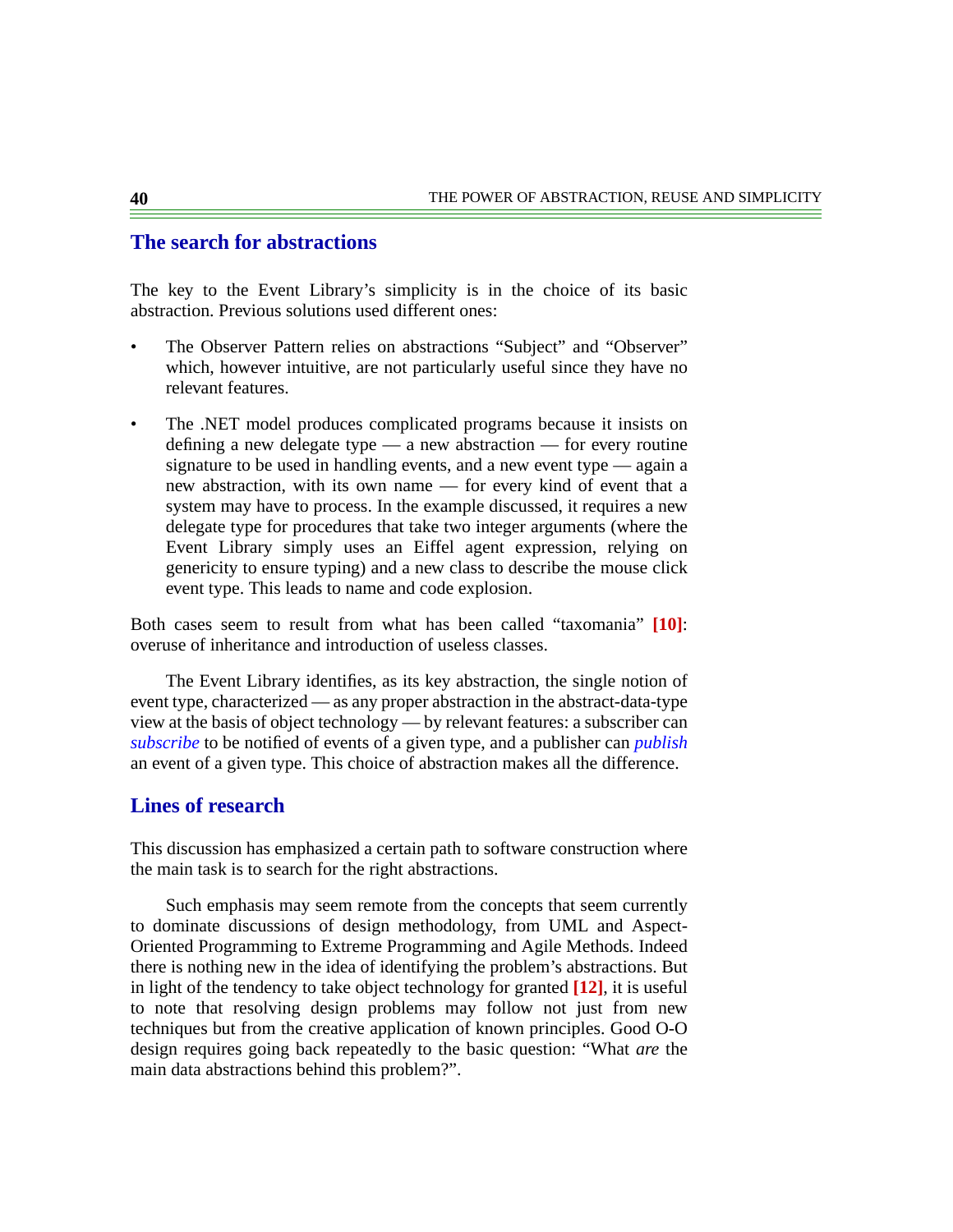### **The search for abstractions**

The key to the Event Library's simplicity is in the choice of its basic abstraction. Previous solutions used different ones:

- The Observer Pattern relies on abstractions "Subject" and "Observer" which, however intuitive, are not particularly useful since they have no relevant features.
- The .NET model produces complicated programs because it insists on defining a new delegate type — a new abstraction — for every routine signature to be used in handling events, and a new event type — again a new abstraction, with its own name — for every kind of event that a system may have to process. In the example discussed, it requires a new delegate type for procedures that take two integer arguments (where the Event Library simply uses an Eiffel agent expression, relying on genericity to ensure typing) and a new class to describe the mouse click event type. This leads to name and code explosion.

Both cases seem to result from what has been called "taxomania" **[\[10\]](#page-44-8)**: overuse of inheritance and introduction of useless classes.

The Event Library identifies, as its key abstraction, the single notion of event type, characterized — as any proper abstraction in the abstract-data-type view at the basis of object technology — by relevant features: a subscriber can *subscribe* to be notified of events of a given type, and a publisher can *publish* an event of a given type. This choice of abstraction makes all the difference.

### **Lines of research**

This discussion has emphasized a certain path to software construction where the main task is to search for the right abstractions.

Such emphasis may seem remote from the concepts that seem currently to dominate discussions of design methodology, from UML and Aspect-Oriented Programming to Extreme Programming and Agile Methods. Indeed there is nothing new in the idea of identifying the problem's abstractions. But in light of the tendency to take object technology for granted **[\[12\]](#page-44-11)**, it is useful to note that resolving design problems may follow not just from new techniques but from the creative application of known principles. Good O-O design requires going back repeatedly to the basic question: "What *are* the main data abstractions behind this problem?".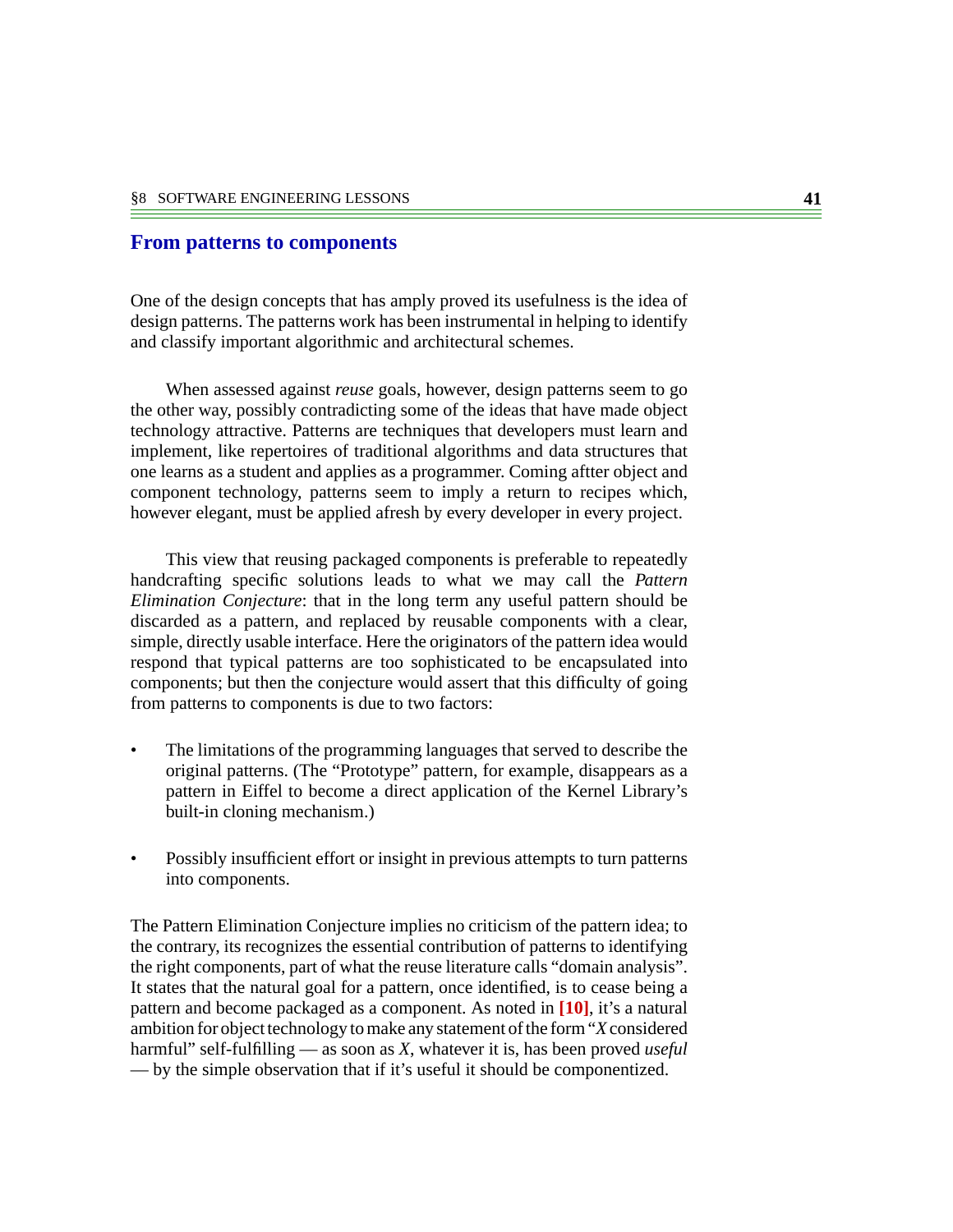#### **From patterns to components**

One of the design concepts that has amply proved its usefulness is the idea of design patterns. The patterns work has been instrumental in helping to identify and classify important algorithmic and architectural schemes.

When assessed against *reuse* goals, however, design patterns seem to go the other way, possibly contradicting some of the ideas that have made object technology attractive. Patterns are techniques that developers must learn and implement, like repertoires of traditional algorithms and data structures that one learns as a student and applies as a programmer. Coming aftter object and component technology, patterns seem to imply a return to recipes which, however elegant, must be applied afresh by every developer in every project.

This view that reusing packaged components is preferable to repeatedly handcrafting specific solutions leads to what we may call the *Pattern Elimination Conjecture*: that in the long term any useful pattern should be discarded as a pattern, and replaced by reusable components with a clear, simple, directly usable interface. Here the originators of the pattern idea would respond that typical patterns are too sophisticated to be encapsulated into components; but then the conjecture would assert that this difficulty of going from patterns to components is due to two factors:

- The limitations of the programming languages that served to describe the original patterns. (The "Prototype" pattern, for example, disappears as a pattern in Eiffel to become a direct application of the Kernel Library's built-in cloning mechanism.)
- Possibly insufficient effort or insight in previous attempts to turn patterns into components.

The Pattern Elimination Conjecture implies no criticism of the pattern idea; to the contrary, its recognizes the essential contribution of patterns to identifying the right components, part of what the reuse literature calls "domain analysis". It states that the natural goal for a pattern, once identified, is to cease being a pattern and become packaged as a component. As noted in **[\[10\]](#page-44-8)**, it's a natural ambition for object technology to make any statement of the form "*X*considered harmful" self-fulfilling — as soon as *X*, whatever it is, has been proved *useful* — by the simple observation that if it's useful it should be componentized.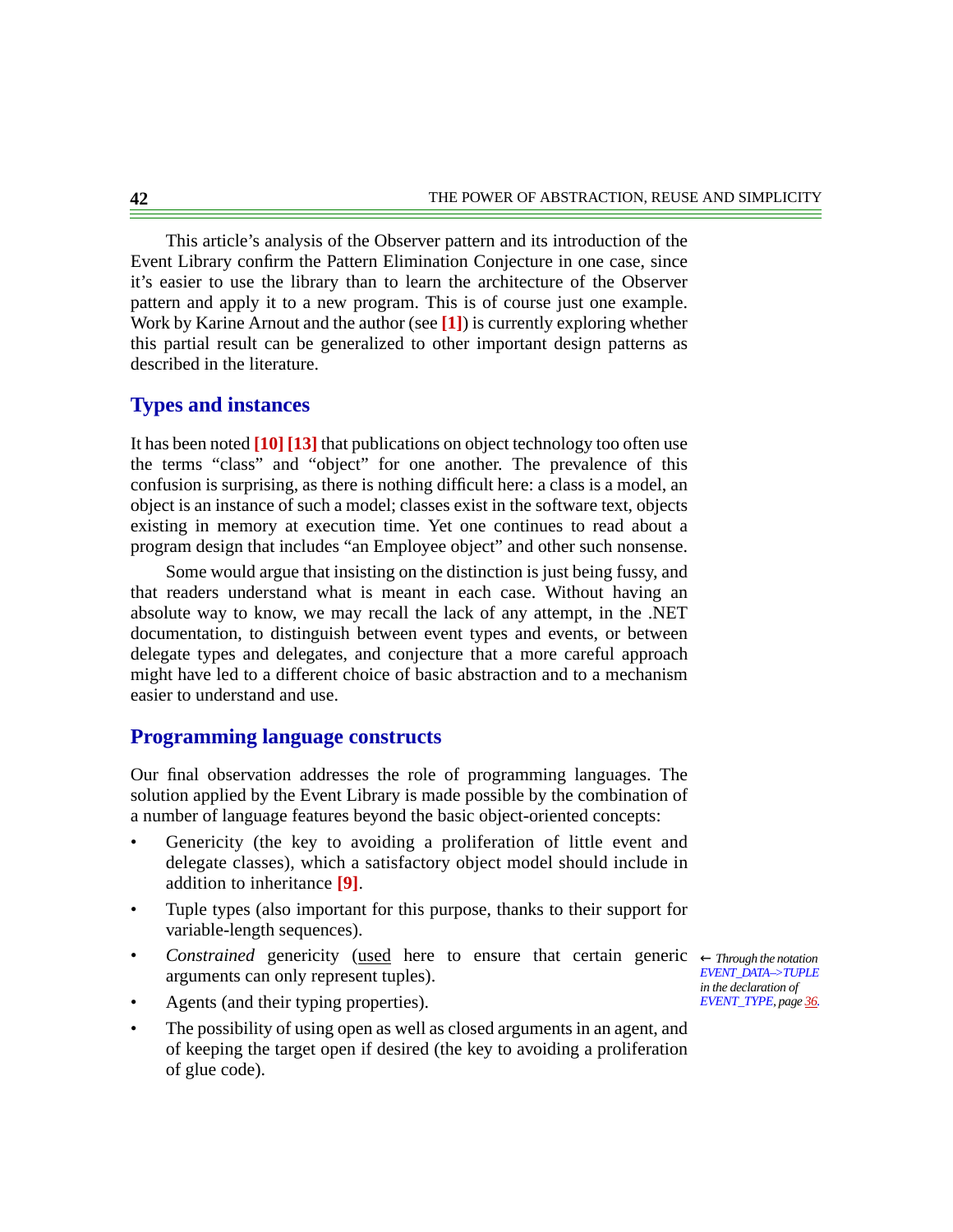This article's analysis of the Observer pattern and its introduction of the Event Library confirm the Pattern Elimination Conjecture in one case, since it's easier to use the library than to learn the architecture of the Observer pattern and apply it to a new program. This is of course just one example. Work by Karine Arnout and the author (see **[\[1\]](#page-43-2)**) is currently exploring whether this partial result can be generalized to other important design patterns as described in the literature.

### **Types and instances**

It has been noted **[\[10\]](#page-44-8) [\[13\]](#page-44-12)** that publications on object technology too often use the terms "class" and "object" for one another. The prevalence of this confusion is surprising, as there is nothing difficult here: a class is a model, an object is an instance of such a model; classes exist in the software text, objects existing in memory at execution time. Yet one continues to read about a program design that includes "an Employee object" and other such nonsense.

Some would argue that insisting on the distinction is just being fussy, and that readers understand what is meant in each case. Without having an absolute way to know, we may recall the lack of any attempt, in the .NET documentation, to distinguish between event types and events, or between delegate types and delegates, and conjecture that a more careful approach might have led to a different choice of basic abstraction and to a mechanism easier to understand and use.

### **Programming language constructs**

Our final observation addresses the role of programming languages. The solution applied by the Event Library is made possible by the combination of a number of language features beyond the basic object-oriented concepts:

- Genericity (the key to avoiding a proliferation of little event and delegate classes), which a satisfactory object model should include in addition to inheritance **[\[9\]](#page-44-13)**.
- Tuple types (also important for this purpose, thanks to their support for variable-length sequences).
- *Constrained* genericity (used here to ensure that certain generic ←*Through the notation* arguments can only represent tuples).
- Agents (and their typing properties).
- The possibility of using open as well as closed arguments in an agent, and of keeping the target open if desired (the key to avoiding a proliferation of glue code).

*EVENT\_DATA*–>*TUPLE in the declaration of EVENT\_TYPE, page [36](#page-35-1).*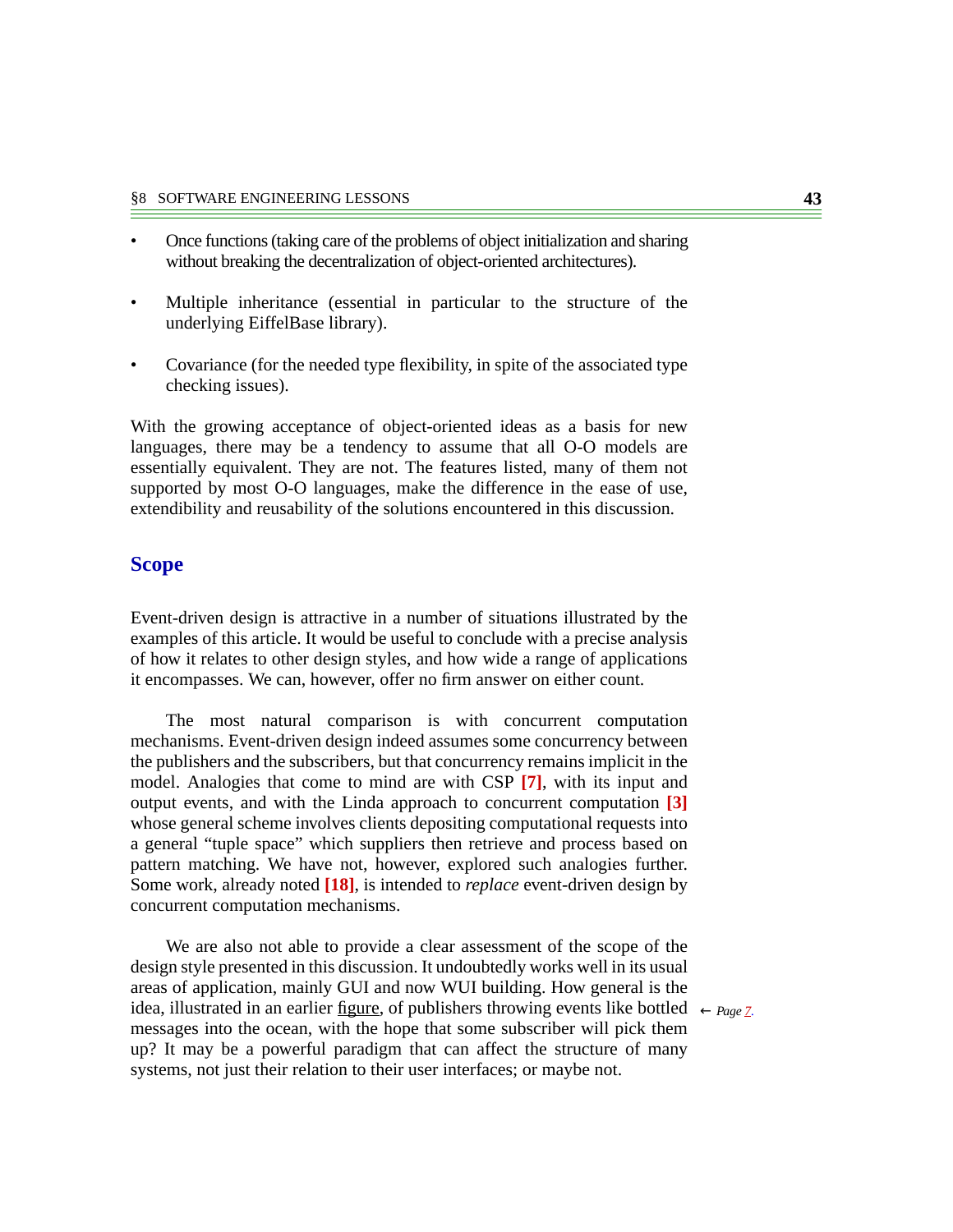- Once functions (taking care of the problems of object initialization and sharing without breaking the decentralization of object-oriented architectures).
- Multiple inheritance (essential in particular to the structure of the underlying EiffelBase library).
- Covariance (for the needed type flexibility, in spite of the associated type checking issues).

With the growing acceptance of object-oriented ideas as a basis for new languages, there may be a tendency to assume that all O-O models are essentially equivalent. They are not. The features listed, many of them not supported by most O-O languages, make the difference in the ease of use, extendibility and reusability of the solutions encountered in this discussion.

#### **Scope**

Event-driven design is attractive in a number of situations illustrated by the examples of this article. It would be useful to conclude with a precise analysis of how it relates to other design styles, and how wide a range of applications it encompasses. We can, however, offer no firm answer on either count.

The most natural comparison is with concurrent computation mechanisms. Event-driven design indeed assumes some concurrency between the publishers and the subscribers, but that concurrency remains implicit in the model. Analogies that come to mind are with CSP **[\[7\]](#page-44-14)**, with its input and output events, and with the Linda approach to concurrent computation **[\[3\]](#page-43-3)** whose general scheme involves clients depositing computational requests into a general "tuple space" which suppliers then retrieve and process based on pattern matching. We have not, however, explored such analogies further. Some work, already noted **[\[18\]](#page-44-0)**, is intended to *replace* event-driven design by concurrent computation mechanisms.

We are also not able to provide a clear assessment of the scope of the design style presented in this discussion. It undoubtedly works well in its usual areas of application, mainly GUI and now WUI building. How general is the idea, illustrated in an earlier <u>figure</u>, of publishers throwing events like bottled  $\leftarrow$  *Page Z*. messages into the ocean, with the hope that some subscriber will pick them up? It may be a powerful paradigm that can affect the structure of many systems, not just their relation to their user interfaces; or maybe not.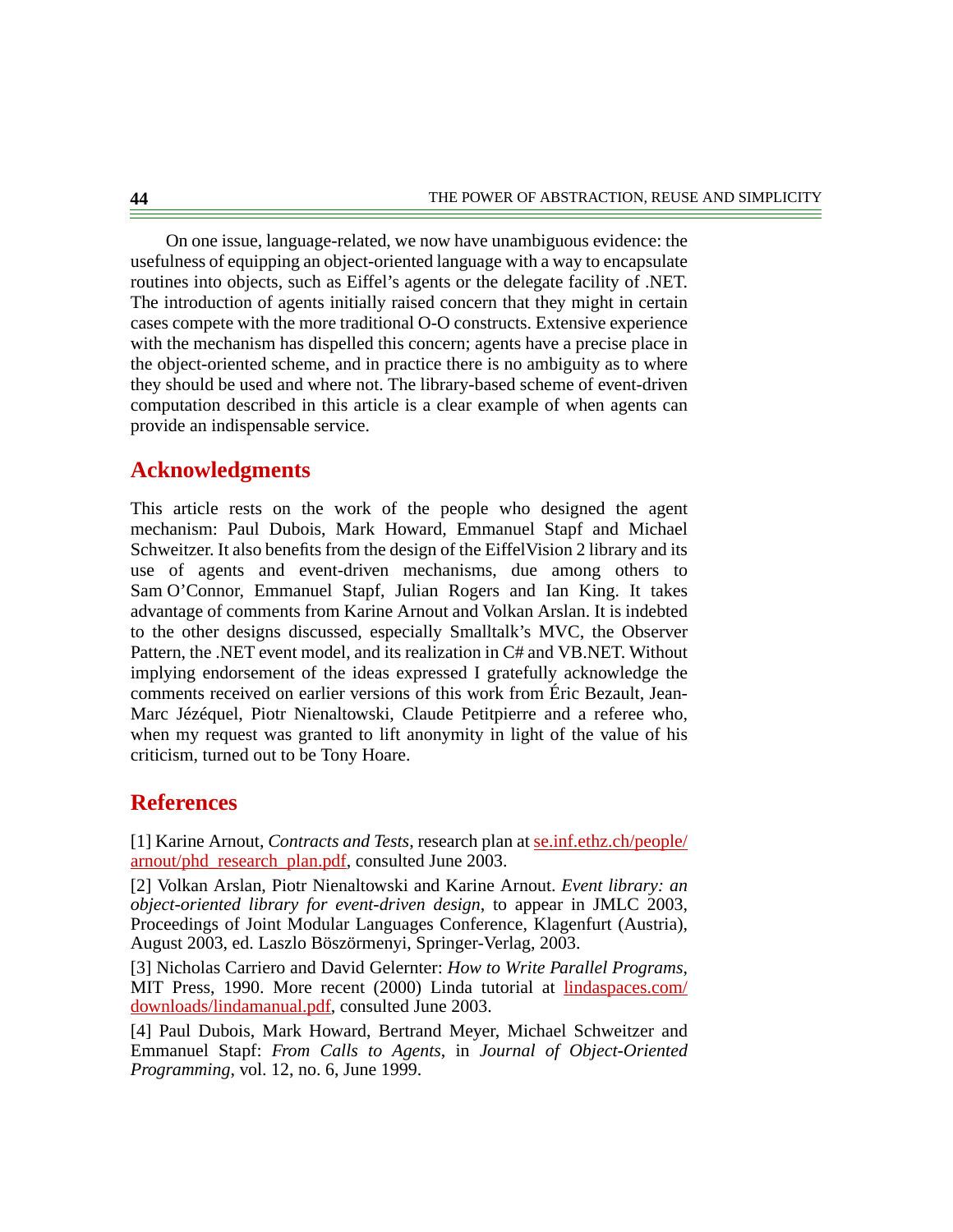On one issue, language-related, we now have unambiguous evidence: the usefulness of equipping an object-oriented language with a way to encapsulate routines into objects, such as Eiffel's agents or the delegate facility of .NET. The introduction of agents initially raised concern that they might in certain cases compete with the more traditional O-O constructs. Extensive experience with the mechanism has dispelled this concern; agents have a precise place in the object-oriented scheme, and in practice there is no ambiguity as to where they should be used and where not. The library-based scheme of event-driven computation described in this article is a clear example of when agents can provide an indispensable service.

# **Acknowledgments**

This article rests on the work of the people who designed the agent mechanism: Paul Dubois, Mark Howard, Emmanuel Stapf and Michael Schweitzer. It also benefits from the design of the EiffelVision 2 library and its use of agents and event-driven mechanisms, due among others to Sam O'Connor, Emmanuel Stapf, Julian Rogers and Ian King. It takes advantage of comments from Karine Arnout and Volkan Arslan. It is indebted to the other designs discussed, especially Smalltalk's MVC, the Observer Pattern, the .NET event model, and its realization in C# and VB.NET. Without implying endorsement of the ideas expressed I gratefully acknowledge the comments received on earlier versions of this work from Éric Bezault, Jean-Marc Jézéquel, Piotr Nienaltowski, Claude Petitpierre and a referee who, when my request was granted to lift anonymity in light of the value of his criticism, turned out to be Tony Hoare.

# **References**

<span id="page-43-2"></span>[1] Karine Arnout, *Contracts and Tests*, research plan at [se.inf.ethz.ch/people/](http://se.inf.ethz.ch/people/arnout/phd_research_plan.pdf) [arnout/phd\\_research\\_plan.pdf](http://se.inf.ethz.ch/people/arnout/phd_research_plan.pdf), consulted June 2003.

<span id="page-43-0"></span>[2] Volkan Arslan, Piotr Nienaltowski and Karine Arnout. *Event library: an object-oriented library for event-driven design*, to appear in JMLC 2003, Proceedings of Joint Modular Languages Conference, Klagenfurt (Austria), August 2003, ed. Laszlo Böszörmenyi, Springer-Verlag, 2003.

<span id="page-43-3"></span>[3] Nicholas Carriero and David Gelernter: *How to Write Parallel Programs*, MIT Press, 1990. More recent (2000) Linda tutorial at [lindaspaces.com/](http://lindaspaces.com/downloads/lindamanual.pdf) [downloads/lindamanual.pdf,](http://lindaspaces.com/downloads/lindamanual.pdf) consulted June 2003.

<span id="page-43-1"></span>[4] Paul Dubois, Mark Howard, Bertrand Meyer, Michael Schweitzer and Emmanuel Stapf: *From Calls to Agents*, in *Journal of Object-Oriented Programming*, vol. 12, no. 6, June 1999.